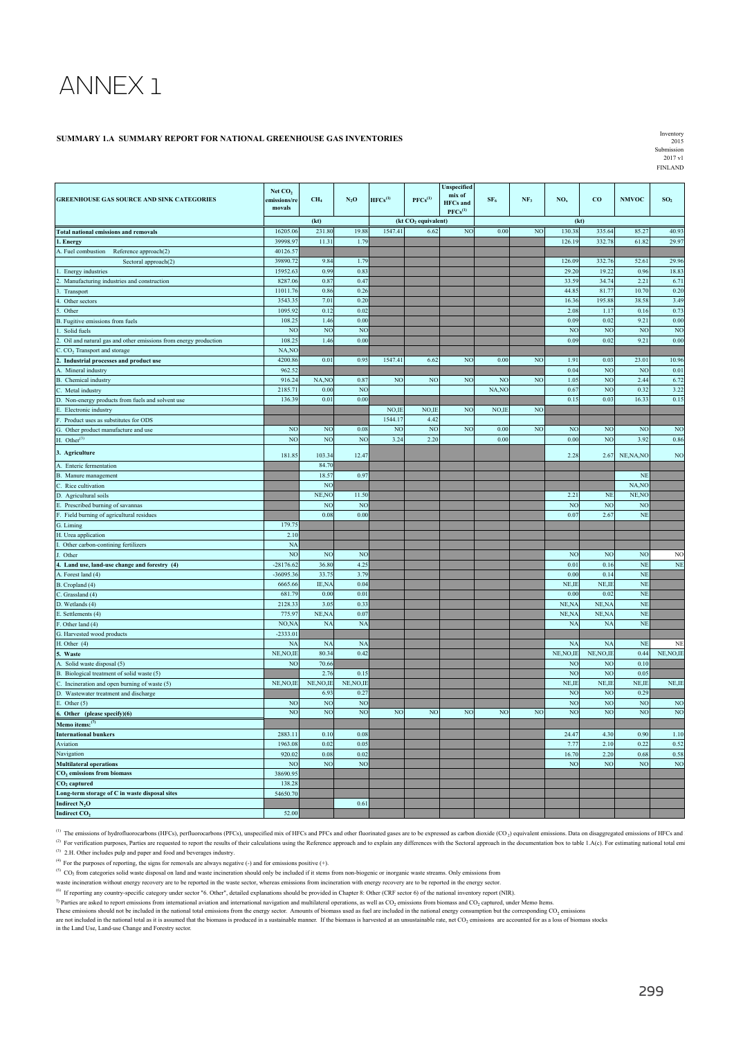# ANNEX 1

#### **SUMMARY 1.A SUMMARY REPORT FOR NATIONAL GREENHOUSE GAS INVENTORIES**

Inventory 2015 Submission 2017 v1 FINLAND

|                                                                                       | Net CO <sub>2</sub>    |                           |                |                |                                 | Unspecified<br>mix of           |                 |                 |                          |                |                |                 |
|---------------------------------------------------------------------------------------|------------------------|---------------------------|----------------|----------------|---------------------------------|---------------------------------|-----------------|-----------------|--------------------------|----------------|----------------|-----------------|
| <b>GREENHOUSE GAS SOURCE AND SINK CATEGORIES</b>                                      | emissions/re<br>movals | CH <sub>4</sub>           | $N_2O$         | $HFCs^{(1)}$   | $PFCs^{(1)}$                    | <b>HFCs</b> and<br>$PFCs^{(1)}$ | SF <sub>6</sub> | NF <sub>3</sub> | NO <sub>x</sub>          | $_{\rm co}$    | <b>NMVOC</b>   | SO <sub>2</sub> |
|                                                                                       |                        | (kt)                      |                |                | (kt CO <sub>2</sub> equivalent) |                                 |                 |                 | (kt)                     |                |                |                 |
| <b>Total national emissions and removals</b>                                          | 16205.06               | 231.80                    | 19.88          | 1547.41        | 6.62                            | N <sub>O</sub>                  | 0.00            | N <sub>O</sub>  | 130.38                   | 335.64         | 85.27          | 40.93           |
| . Energy                                                                              | 39998.9                | 11.31                     | 1.79           |                |                                 |                                 |                 |                 | 126.19                   | 332.7          | 61.82          | 29.97           |
| A. Fuel combustion<br>Reference approach(2)                                           | 40126.5                |                           |                |                |                                 |                                 |                 |                 |                          |                |                |                 |
| Sectoral approach(2)                                                                  | 39890.72               | 9.84                      | 1.79           |                |                                 |                                 |                 |                 | 126.09                   | 332.7          | 52.61          | 29.96           |
| Energy industries                                                                     | 15952.63               | 0.99                      | 0.83           |                |                                 |                                 |                 |                 | 29.20                    | 19.22          | 0.96           | 18.83           |
| Manufacturing industries and construction                                             | 8287.06                | 0.87                      | 0.47           |                |                                 |                                 |                 |                 | 33.59                    | 34.7           | 2.21           | 6.71            |
| Transport                                                                             | 11011.76               | 0.86                      | 0.26           |                |                                 |                                 |                 |                 | 44.8                     | 81.7           | 10.70          | 0.20            |
| Other sectors<br>Other                                                                | 3543.35<br>1095.92     | 7.01<br>0.12              | 0.20<br>0.02   |                |                                 |                                 |                 |                 | 16.36<br>2.08            | 195.88<br>1.17 | 38.58<br>0.16  | 3.49<br>0.73    |
| Fugitive emissions from fuels                                                         | 108.25                 | 1.46                      | 0.00           |                |                                 |                                 |                 |                 | 0.09                     | 0.02           | 9.21           | 0.00            |
| Solid fuels                                                                           | NO                     | NC                        | N <sub>O</sub> |                |                                 |                                 |                 |                 | N <sub>C</sub>           | NC             | N <sub>O</sub> | NC              |
| Oil and natural gas and other emissions from energy production                        | 108.25                 | 1.46                      | 0.00           |                |                                 |                                 |                 |                 | 0.09                     | 0.02           | 9.21           | 0.00            |
| CO <sub>2</sub> Transport and storage                                                 | NA,NO                  |                           |                |                |                                 |                                 |                 |                 |                          |                |                |                 |
| Industrial processes and product use                                                  | 4200.86                | 0.01                      | 0.95           | 1547.41        | 6.62                            | N <sub>O</sub>                  | 0.00            | N <sub>O</sub>  | 1.91                     | 0.03           | 23.01          | 10.96           |
| Mineral industry                                                                      | 962.52                 |                           |                |                |                                 |                                 |                 |                 | 0.04                     | NO             | N <sub>O</sub> | 0.01            |
| Chemical industry                                                                     | 916.24                 | NA, NO                    | 0.87           | NO             | NO                              | NO                              | NO              | N <sub>O</sub>  | 1.05                     | N <sub>O</sub> | 2.44           | 6.72            |
| Metal industry                                                                        | 2185.71                | 0.00                      | <b>NC</b>      |                |                                 |                                 | NA.NO           |                 | $0.6^{\circ}$            | <b>NC</b>      | 0.32           | 3.22            |
| Non-energy products from fuels and solvent use                                        | 136.39                 | 0.01                      | 0.00           |                |                                 |                                 |                 |                 | 0.15                     | 0.03           | 16.33          | 0.15            |
| Electronic industry                                                                   |                        |                           |                | NO,II          | NO,IE                           | NO                              | NO,IE           | N <sub>O</sub>  |                          |                |                |                 |
| Product uses as substitutes for ODS                                                   |                        |                           |                | 1544.17        | 4.42                            |                                 |                 |                 |                          |                |                |                 |
| Other product manufacture and use                                                     | NO                     | NC                        | 0.08           | N <sub>O</sub> | N <sub>O</sub>                  | N <sub>O</sub>                  | 0.00            | N <sub>O</sub>  | NO                       | NC             | N <sub>O</sub> | N <sub>O</sub>  |
| Other $^{(3)}$                                                                        | N <sub>O</sub>         | N <sub>O</sub>            | N <sub>O</sub> | 3.24           | 2.20                            |                                 | 0.00            |                 | 0.00                     | NO             | 3.92           | 0.86            |
| 3. Agriculture                                                                        | 181.85                 | 103.34                    | 12.47          |                |                                 |                                 |                 |                 | 2.28                     | 2.67           | NE, NA, NO     | N <sub>O</sub>  |
| Enteric fermentation                                                                  |                        | 84.70                     |                |                |                                 |                                 |                 |                 |                          |                |                |                 |
| Manure management                                                                     |                        | 18.5'                     | 0.97           |                |                                 |                                 |                 |                 |                          |                | NE             |                 |
| Rice cultivation                                                                      |                        | NC                        |                |                |                                 |                                 |                 |                 |                          |                | NA,NC          |                 |
| Agricultural soils                                                                    |                        | NE, NO                    | 11.50          |                |                                 |                                 |                 |                 | 2.21                     | <b>NE</b>      | NE, NC         |                 |
| Prescribed burning of savannas                                                        |                        | NC<br>0.08                | N <sub>O</sub> |                |                                 |                                 |                 |                 | <b>NO</b><br>$0.0^\circ$ | NO             | NC             |                 |
| Field burning of agricultural residues                                                | 179.7                  |                           | 0.00           |                |                                 |                                 |                 |                 |                          | 2.67           | NE             |                 |
| Liming                                                                                | 2.10                   |                           |                |                |                                 |                                 |                 |                 |                          |                |                |                 |
| . Urea application<br>Other carbon-contining fertilizers                              | <b>NA</b>              |                           |                |                |                                 |                                 |                 |                 |                          |                |                |                 |
| Other                                                                                 | N <sub>O</sub>         | <b>NO</b>                 | N <sub>O</sub> |                |                                 |                                 |                 |                 | NO <sub>1</sub>          | NO             | N <sub>O</sub> | N <sub>O</sub>  |
| Land use, land-use change and forestry (4)                                            | $-28176.62$            | 36.80                     | 4.25           |                |                                 |                                 |                 |                 | 0.01                     | 0.16           | <b>NE</b>      | <b>NE</b>       |
| A. Forest land (4)                                                                    | $-36095.36$            | 33.75                     | 3.79           |                |                                 |                                 |                 |                 | 0.00                     | 0.14           | <b>NE</b>      |                 |
| Cropland (4)                                                                          | 6665.66                | IE,N/                     | 0.04           |                |                                 |                                 |                 |                 | NE,II                    | NE,II          | NE             |                 |
| Grassland (4)                                                                         | 681.79                 | 0.00                      | 0.01           |                |                                 |                                 |                 |                 | 0.00                     | 0.02           | NE             |                 |
| Wetlands (4)                                                                          | 2128.33                | 3.05                      | 0.33           |                |                                 |                                 |                 |                 | NE,N/                    | NE, N          | NE             |                 |
| Settlements (4)                                                                       | 775.97                 | NE,NA                     | 0.07           |                |                                 |                                 |                 |                 | NE, NA                   | NE, N/A        | NE             |                 |
| Other land (4)                                                                        | NO,NA                  | NA                        | <b>NA</b>      |                |                                 |                                 |                 |                 | <b>NA</b>                | <b>NA</b>      | NE             |                 |
| . Harvested wood products                                                             | $-2333.01$             |                           |                |                |                                 |                                 |                 |                 |                          |                |                |                 |
| . Other $(4)$                                                                         | <b>NA</b>              | N/                        | NA             |                |                                 |                                 |                 |                 | N/                       | NA             | NE             | NI              |
| Waste                                                                                 | NE, NO, IE             | 80.34                     | 0.42           |                |                                 |                                 |                 |                 | NE, NO, IE               | NE, NO, IE     | 0.44           | NE, NO, IE      |
| Solid waste disposal (5)                                                              | NO                     | 70.66<br>2.7 <sub>0</sub> | 0.15           |                |                                 |                                 |                 |                 | NO<br>NO                 | NO<br>NC       | 0.10<br>0.05   |                 |
| Biological treatment of solid waste (5)<br>Incineration and open burning of waste (5) | NE, NO, IE             | NE, NO, IE                | NE, NO, IE     |                |                                 |                                 |                 |                 | NE,IE                    | NE,IE          | NE,IE          | NE, IE          |
| Wastewater treatment and discharge                                                    |                        | 6.93                      | 0.27           |                |                                 |                                 |                 |                 | NO                       | NO             | 0.29           |                 |
| Other $(5)$                                                                           | N <sub>O</sub>         | <b>NC</b>                 | NC             |                |                                 |                                 |                 |                 | <b>NO</b>                | NC             | N <sub>O</sub> | NO              |
| Other (please specify)(6)                                                             | NO                     | N <sub>O</sub>            | N <sub>O</sub> | N <sub>O</sub> | N <sub>O</sub>                  | NC                              | N <sub>O</sub>  | N <sub>O</sub>  | NO                       | NC             | N <sub>O</sub> | N <sub>O</sub>  |
| Memo items: <sup>(7)</sup>                                                            |                        |                           |                |                |                                 |                                 |                 |                 |                          |                |                |                 |
| <b>International bunkers</b>                                                          | 2883.11                | 0.10                      | 0.08           |                |                                 |                                 |                 |                 | $24.4^{\circ}$           | 4.30           | 0.90           | 1.10            |
| Aviation                                                                              | 1963.08                | 0.02                      | 0.05           |                |                                 |                                 |                 |                 | 7.77                     | 2.10           | 0.22           | 0.52            |
| Navigation                                                                            | 920.02                 | 0.08                      | 0.02           |                |                                 |                                 |                 |                 | 16.70                    | 2.20           | 0.68           | 0.58            |
| <b>Multilateral operations</b>                                                        | N <sub>O</sub>         | N <sub>O</sub>            | N <sub>O</sub> |                |                                 |                                 |                 |                 | N <sub>O</sub>           | N <sub>O</sub> | N <sub>O</sub> | N <sub>O</sub>  |
| CO <sub>2</sub> emissions from biomass                                                | 38690.95               |                           |                |                |                                 |                                 |                 |                 |                          |                |                |                 |
| CO <sub>2</sub> captured                                                              | 138.2                  |                           |                |                |                                 |                                 |                 |                 |                          |                |                |                 |
| Long-term storage of C in waste disposal sites                                        | 54650.70               |                           |                |                |                                 |                                 |                 |                 |                          |                |                |                 |
| Indirect $N_2O$                                                                       |                        |                           | 0.61           |                |                                 |                                 |                 |                 |                          |                |                |                 |
| Indirect CO <sub>2</sub>                                                              | 52.00                  |                           |                |                |                                 |                                 |                 |                 |                          |                |                |                 |

<sup>(1)</sup> The emissions of hydrofluorocarbons (HFCs), perfluorocarbons (PFCs), unspecified mix of HFCs and PFCs and cher fluorinated gases are to be expressed as carbon dioxide (CO<sub>2</sub>) equivalent emissions. Data on disaggregat

(2) For verification purposes, Parties are requested to report the results of their calculations using the Reference approach and to explain any differences with the Sectoral approach in the documentation box to table 1.A( (3) 2.H. Other includes pulp and paper and food and beverages industry.

(4) For the purposes of reporting, the signs for removals are always negative (-) and for emissions positive (+).<br>(5) CO<sub>2</sub> from categories solid waste disposal on land and waste incineration should only be included if it

waste incineration without energy recovery are to be reported in the waste sector, whereas emissions from incineration with energy recovery are to be reported in the energy sector.

(6) If reporting any country-specific category under sector "6. Other", detailed explanations should be provided in Chapter 8: Other (CRF sector 6) of the national inventory report (NIR).

<sup>7)</sup> Parties are asked to report emissions from international aviation and international navigation and multilateral operations, as well as CO<sub>2</sub> emissions from biomass and CO<sub>2</sub> captured, under Menno Items.<br>These emissio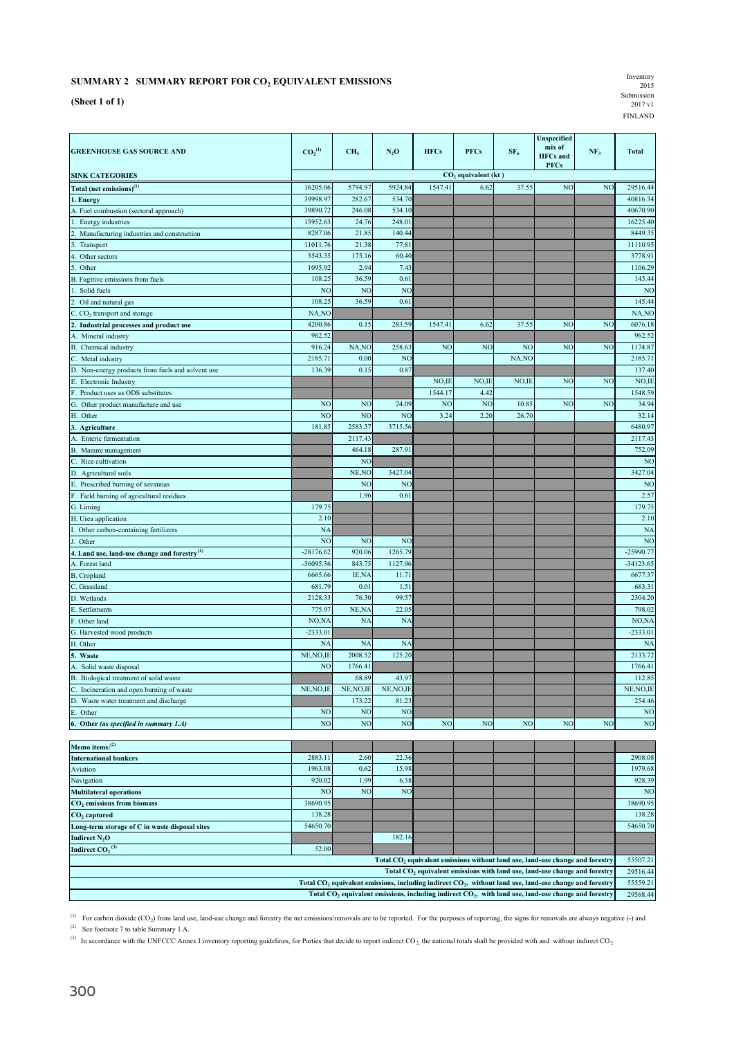## **SUMMARY 2 SUMMARY REPORT FOR CO2 EQUIVALENT EMISSIONS**

| SUMMARY 2 SUMMARY REPORT FOR CO, EQUIVALENT EMISSIONS | Inventory<br>2015              |
|-------------------------------------------------------|--------------------------------|
| (Sheet 1 of 1)                                        | Submission<br>$2017 \text{ v}$ |
|                                                       | <b>FINLAND</b>                 |

|                                                            |                                |                 |                |                   |                                 |                 | Unspecified                              |                 |                  |
|------------------------------------------------------------|--------------------------------|-----------------|----------------|-------------------|---------------------------------|-----------------|------------------------------------------|-----------------|------------------|
| <b>GREENHOUSE GAS SOURCE AND</b>                           | CO <sub>2</sub> <sup>(1)</sup> | CH <sub>4</sub> | $N_2$ O        | <b>HFCs</b>       | <b>PFCs</b>                     | SF <sub>6</sub> | mix of<br><b>HFCs</b> and<br><b>PFCs</b> | NF <sub>3</sub> | <b>Total</b>     |
| <b>SINK CATEGORIES</b>                                     |                                |                 |                |                   | CO <sub>2</sub> equivalent (kt) |                 |                                          |                 |                  |
| Total (net emissions) <sup>(1)</sup>                       | 16205.06                       | 5794.97         | 5924.84        | 1547.41           | 6.62                            | 37.55           | NO <sub></sub>                           | NO <sub>1</sub> | 29516.44         |
| 1. Energy                                                  | 39998.97                       | 282.67          | 534.70         |                   |                                 |                 |                                          |                 | 40816.34         |
| A. Fuel combustion (sectoral approach)                     | 39890.72                       | 246.08          | 534.10         |                   |                                 |                 |                                          |                 | 40670.90         |
| Energy industries                                          | 15952.63                       | 24.76           | 248.01         |                   |                                 |                 |                                          |                 | 16225.40         |
| Manufacturing industries and construction<br>2             | 8287.06                        | 21.85           | 140.44         |                   |                                 |                 |                                          |                 | 8449.35          |
| Transport                                                  | 11011.76                       | 21.38           | 77.81          |                   |                                 |                 |                                          |                 | 11110.95         |
| Other sectors<br>4                                         | 3543.35                        | 175.16          | 60.40          |                   |                                 |                 |                                          |                 | 3778.91          |
| Other                                                      | 1095.92                        | 2.94            | 7.43           |                   |                                 |                 |                                          |                 | 1106.29          |
| Fugitive emissions from fuels                              | 108.25                         | 36.59           | 0.61           |                   |                                 |                 |                                          |                 | 145.44           |
| Solid fuels                                                | <b>NO</b>                      | <b>NC</b>       | N <sub>O</sub> |                   |                                 |                 |                                          |                 | N <sub>O</sub>   |
| Oil and natural gas                                        | 108.25                         | 36.59           | 0.61           |                   |                                 |                 |                                          |                 | 145.44           |
| $C. CO2$ transport and storage                             | NA, NO                         |                 |                |                   |                                 |                 |                                          |                 | NA, NO           |
| Industrial processes and product use                       | 4200.86                        | 0.15            | 283.59         | 1547.41           | 6.62                            | 37.55           | N <sub>O</sub>                           | NO <sub>1</sub> | 6076.18          |
| Mineral industry                                           | 962.52                         |                 |                |                   |                                 |                 |                                          |                 | 962.52           |
| B. Chemical industry                                       | 916.24                         | NA,NO           | 258.63         | N <sub>O</sub>    | NO <sub></sub>                  | N <sub>O</sub>  | NO                                       | NO <sub>1</sub> | 1174.87          |
| C. Metal industry                                          | 2185.71                        | 0.00            | N <sub>O</sub> |                   |                                 | NA, NO          |                                          |                 | 2185.71          |
| D. Non-energy products from fuels and solvent use          | 136.39                         | 0.15            | 0.87           |                   |                                 |                 |                                          |                 | 137.40           |
| E. Electronic Industry<br>Product uses as ODS substitutes  |                                |                 |                | NO, IE<br>1544.17 | NO,IE<br>4.42                   | NO.IE           | NO                                       | N <sub>O</sub>  | NO,IE<br>1548.59 |
|                                                            | NO                             | N <sub>O</sub>  | 24.09          | N <sub>O</sub>    | NO                              | 10.85           | NO                                       | NO              | 34.94            |
| Other product manufacture and use<br>G.<br>Н.<br>Other     | N <sub>O</sub>                 | N <sub>O</sub>  | N <sub>O</sub> | 3.24              | 2.20                            | 26.70           |                                          |                 | 32.14            |
| 3.                                                         | 181.85                         | 2583.57         | 3715.56        |                   |                                 |                 |                                          |                 | 6480.97          |
| Agriculture<br><b>Enteric fermentation</b>                 |                                | 2117.43         |                |                   |                                 |                 |                                          |                 | 2117.43          |
| $B$ .<br>Manure management                                 |                                | 464.18          | 287.91         |                   |                                 |                 |                                          |                 | 752.09           |
| Rice cultivation                                           |                                | N <sub>O</sub>  |                |                   |                                 |                 |                                          |                 | NO               |
| D. Agricultural soils                                      |                                | NE, NO          | 3427.04        |                   |                                 |                 |                                          |                 | 3427.04          |
| E. Prescribed burning of savannas                          |                                | N <sub>O</sub>  | N <sub>O</sub> |                   |                                 |                 |                                          |                 | NO               |
| F. Field burning of agricultural residues                  |                                | 1.96            | 0.61           |                   |                                 |                 |                                          |                 | 2.57             |
| G. Liming                                                  | 179.75                         |                 |                |                   |                                 |                 |                                          |                 | 179.75           |
| H. Urea application                                        | 2.10                           |                 |                |                   |                                 |                 |                                          |                 | 2.10             |
| Other carbon-containing fertilizers                        | <b>NA</b>                      |                 |                |                   |                                 |                 |                                          |                 | NA               |
| Other                                                      | NO                             | N <sub>O</sub>  | NO             |                   |                                 |                 |                                          |                 | NO               |
| 4. Land use, land-use change and forestry <sup>(1)</sup>   | $-28176.62$                    | 920.06          | 1265.79        |                   |                                 |                 |                                          |                 | $-25990.77$      |
| A. Forest land                                             | -36095.36                      | 843.75          | 1127.96        |                   |                                 |                 |                                          |                 | -34123.65        |
| <b>B.</b> Cropland                                         | 6665.66                        | IE, NA          | 11.71          |                   |                                 |                 |                                          |                 | 6677.37          |
| C. Grassland                                               | 681.79                         | 0.01            | 1.51           |                   |                                 |                 |                                          |                 | 683.31           |
| D. Wetlands                                                | 2128.33                        | 76.30           | 99.57          |                   |                                 |                 |                                          |                 | 2304.20          |
| E. Settlements                                             | 775.97                         | NE, NA          | 22.05          |                   |                                 |                 |                                          |                 | 798.02           |
| F. Other land                                              | NO, NA                         | <b>NA</b>       | NA             |                   |                                 |                 |                                          |                 | NO,NA            |
| G. Harvested wood products                                 | $-2333.01$                     |                 |                |                   |                                 |                 |                                          |                 | $-2333.01$       |
| H. Other                                                   | <b>NA</b>                      | <b>NA</b>       | <b>NA</b>      |                   |                                 |                 |                                          |                 | <b>NA</b>        |
| 5. Waste                                                   | NE, NO, IE                     | 2008.52         | 125.20         |                   |                                 |                 |                                          |                 | 2133.72          |
| Solid waste disposal<br>A.                                 | NO                             | 1766.41         |                |                   |                                 |                 |                                          |                 | 1766.41          |
| <b>B.</b><br>Biological treatment of solid waste           |                                | 68.89           | 43.97          |                   |                                 |                 |                                          |                 | 112.85           |
| C. Incineration and open burning of waste                  | NE, NO, IE                     | NE, NO, IE      | NE, NO, IE     |                   |                                 |                 |                                          |                 | NE, NO, IE       |
| D.<br>Waste water treatment and discharge                  |                                | 173.22          | 81.23          |                   |                                 |                 |                                          |                 | 254.46           |
| Ε.<br>Other                                                | N <sub>O</sub>                 | N <sub>O</sub>  | N <sub>O</sub> |                   |                                 |                 |                                          |                 | NO               |
| 6. Other (as specified in summary 1.A)                     | NO                             | NO              | $_{\rm NO}$    | NO <sub>1</sub>   | NO                              | NO <sub>1</sub> | NO <sub></sub>                           | NO              | NO               |
|                                                            |                                |                 |                |                   |                                 |                 |                                          |                 |                  |
| Memo items: <sup>(2)</sup><br><b>International bunkers</b> | 2883.11                        | 2.60            | 22.36          |                   |                                 |                 |                                          |                 | 2908.08          |
| Aviation                                                   | 1963.08                        | 0.62            | 15.98          |                   |                                 |                 |                                          |                 | 1979.68          |
| Navigation                                                 | 920.02                         | 1.99            | 6.38           |                   |                                 |                 |                                          |                 | 928.39           |
| <b>Multilateral operations</b>                             | NO                             | N <sub>O</sub>  | NO             |                   |                                 |                 |                                          |                 | N <sub>O</sub>   |
| CO <sub>2</sub> emissions from biomass                     | 38690.95                       |                 |                |                   |                                 |                 |                                          |                 | 38690.95         |
| $CO2$ captured                                             | 138.28                         |                 |                |                   |                                 |                 |                                          |                 | 138.28           |
| Long-term storage of C in waste disposal sites             | 54650.70                       |                 |                |                   |                                 |                 |                                          |                 | 54650.70         |

**Indirect CO<sub>2</sub>**<sup> $(2)$ </sup> **(3)** 52.00 55507.21 29516.44 55559.21 29568.44 **Total CO2 equivalent emissions without land use, land-use change and forestry** Total CO<sub>2</sub> equivalent emissions with land use, land-use change and forestry Total CO<sub>2</sub> equivalent emissions, including indirect CO<sub>2</sub>, without land use, land-use change and forestry Total CO<sub>2</sub> equivalent emissions, including indirect CO<sub>2</sub>, with land use, land-use change and forestry

(2) See footnote 7 to table Summary 1.A. (1) For carbon dioxide  $(CO_2)$  from land use, land-use change and forestry the net emissions/removals are to be reported. For the purposes of reporting, the signs for removals are always negative (-) and

<sup>(3)</sup> In accordance with the UNFCCC Annex I inventory reporting guidelines, for Parties that decide to report indirect CO<sub>2</sub>, the national totals shall be provided with and without indirect CO<sub>2</sub>.

**Indirect N<sub>2</sub>O** 182.16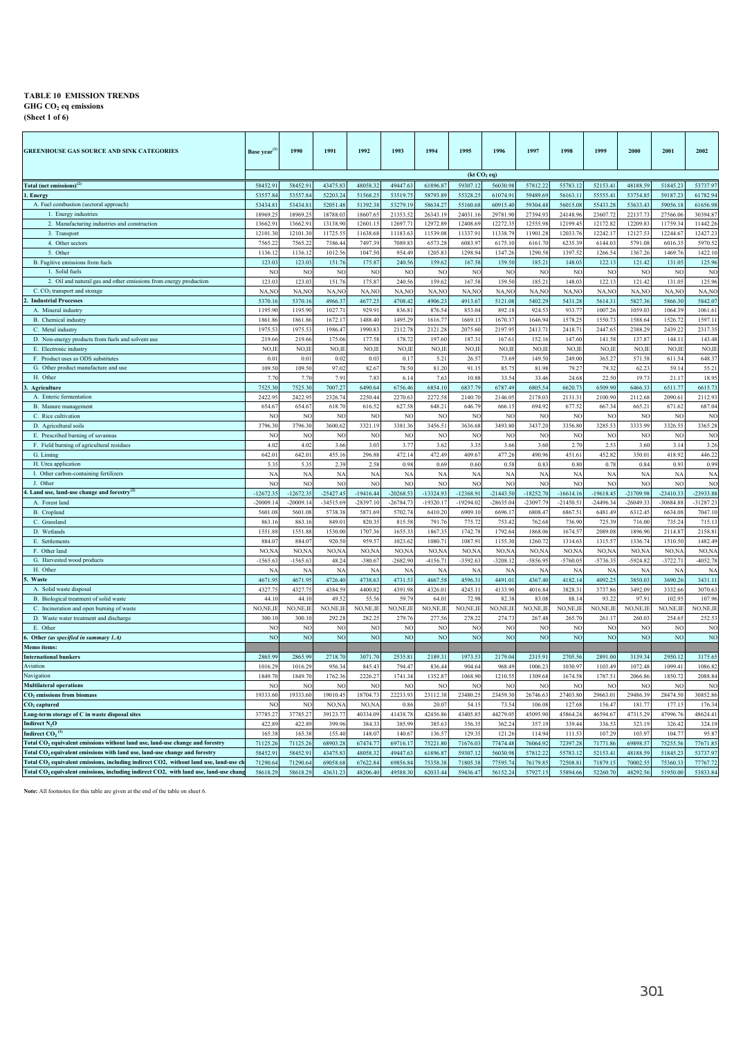**GHG CO2 eq emissions**

**(Sheet 1 of 6)**

| <b>GREENHOUSE GAS SOURCE AND SINK CATEGORIES</b>                                                  | Base year <sup>(1</sup>   | 1990                      | 1991                      | 1992                      | 1993                | 1994                     | 1995                      | 1996                 | 1997                      | 1998                      | 1999                      | 2000               | 2001                      | 2002                |
|---------------------------------------------------------------------------------------------------|---------------------------|---------------------------|---------------------------|---------------------------|---------------------|--------------------------|---------------------------|----------------------|---------------------------|---------------------------|---------------------------|--------------------|---------------------------|---------------------|
|                                                                                                   |                           |                           |                           |                           |                     |                          | (kt CO <sub>2</sub> eq)   |                      |                           |                           |                           |                    |                           |                     |
| otal (net emissions) <sup>(2)</sup>                                                               | 58452.91                  | 58452.91                  | 43475.83                  | 48058.32                  | 49447.63            | 61896.87                 | 59307.12                  | 56030.98             | 57812.22                  | 55783.12                  | 52153.41                  | 48188.59           | 51845.23                  | 53737.97            |
| Energy                                                                                            | 53557.84<br>53434.8       | 53557.84<br>53434.8       | 52203.24                  | 51568.25                  | 53519.75            | 58793.8                  | 55328.2                   | 61074.91<br>60915.40 | 59489.69<br>59304.48      | 56163.11                  | 55555.41<br>55433.28      | 53754.8            | 59187.23                  | 61782.94            |
| A. Fuel combustion (sectoral approach)                                                            | 18969.2                   | 189692                    | 52051.48                  | 51392.38<br>18607.6       | 53279.19            | 58634.27                 | 55160.68                  | 29781.90             | 273949                    | 56015.08                  |                           | 53633.4<br>221377  | 59056.18<br>27566.06      | 61656.98<br>3039487 |
| 1. Energy industries<br>2. Manufacturing industries and construction                              | 13662.9                   | 13662.9                   | 18788.03<br>13138.90      |                           | 21353.52<br>12697.7 | 26343.19<br>12972.8      | 24031.1                   | 12272.35             | 12555.9                   | 24148.96                  | 23607.72<br>12172.8       |                    | 11759.34                  | 11442.26            |
| 3. Transport                                                                                      | 12101.3                   | 12101.30                  | 11725.5:                  | 12601.1:<br>11638.68      | 11183.6             | 11539.0                  | 12408.6<br>11337.9        | 11338.79             | 11901.2                   | 12199.4<br>12033.76       | 12242.17                  | 12209.8<br>12127.5 | 12244.6                   | 12427.23            |
| 4. Other sectors                                                                                  | 7565.2                    | 7565.2                    | 7386.44                   | 7497.39                   | 7089.8              | 6573.2                   | 6083.9                    | 6175.10              | 6161.7                    | 6235.39                   | 6144.03                   | 5791.08            | 6016.3                    | 5970.52             |
| 5. Other                                                                                          | 1136.12                   | 1136.12                   | 1012.56                   | 1047.50                   | 954.49              | 1205.83                  | 1298.94                   | 1347.26              | 1290.58                   | 1397.5                    | 1266.54                   | 1367.2             | 1469.7                    | 1422.10             |
| B. Fugitive emissions from fuels                                                                  | 123.03                    | 123.03                    | 151.76                    | 175.8                     | 240.56              | 159.62                   | 167.51                    | 159.50               | 185.21                    | 148.0                     | 122.13                    | 121.42             | 131.05                    | 125.96              |
| 1. Solid fuels                                                                                    | NO                        | NO                        | <b>NC</b>                 | NC                        | NO                  | NC                       | NO                        | NO                   | NC                        | NO                        | NC                        | NO                 | NC                        | N <sub>C</sub>      |
| 2. Oil and natural gas and other emissions from energy production                                 | 123.03                    | 123.03                    | 151.76                    | 175.87                    | 240.56              | 159.62                   | 167.5                     | 159.50               | 185.21                    | 148.03                    | 122.13                    | 121.42             | 131.05                    | 125.96              |
| C. CO <sub>2</sub> transport and storage                                                          | NA,NO                     | NA,NC                     | NA,NC                     | NA,NC                     | NA,NO               | NA, NO                   | NA,NO                     | NA,NC                | NA, NO                    | NA,NO                     | NA,NC                     | NA,NO              | NA,NC                     | NA,NO               |
| <b>Industrial Processes</b>                                                                       | 5370.16                   | 5370.1                    | 4966.37                   | 4677.2                    | 4708.42             | 4906.23                  | 4913.6                    | 5121.08              | 5402.29                   | 5431.2                    | 5614.31                   | 5827.36            | 5866.30                   | 5842.07             |
| A. Mineral industry                                                                               | 1195.9                    | 1195.90                   | 1027.71                   | 929.91                    | 836.8               | 876.54                   | 853.0                     | 892.18               | 924.53                    | 933.7                     | 1007.26                   | 1059.03            | 1064.39                   | 1061.61             |
| B. Chemical industry                                                                              | 1861.86                   | 1861.8                    | 1672.17                   | 1488.40                   | 1495.29             | 1616.77                  | 1669.1                    | 1670.37              | 1646.94                   | 1578.2                    | 1550.73                   | 1588.64            | 1526.72                   | 1597.11             |
| C. Metal industry                                                                                 | 1975.53                   | 1975.53                   | 1986.47                   | 1990.83                   | 2112.78             | 2121.28                  | 2075.60                   | 2197.95              | 2413.7                    | 2418.7                    | 2447.65                   | 2388.29            | 2439.22                   | 2317.35             |
| D. Non-energy products from fuels and solvent use                                                 | 219.66                    | 219.66                    | 175.06                    | 177.58                    | 178.72              | 197.60                   | 187.3                     | 167.61               | 152.16                    | 147.60                    | 141.58                    | 137.8              | 144.11                    | 143.48              |
| E. Electronic industry                                                                            | NO.II                     | NO,II                     | NO,II                     | NO,II                     | NO, II              | NO,IE                    | NO,I                      | NO, II               | NO,II                     | NO,I                      | NO,II                     | NO, II             | NO,I                      | NO,IE               |
| F. Product uses as ODS substitutes                                                                | 0.01                      | 0.01                      | 0.02                      | 0.03                      | 0.17                | 5.21                     | 26.5'                     | 73.69                | 149.50                    | 249.00                    | 365.2                     | 571.58             | 611.54                    | 648.37              |
| G. Other product manufacture and use                                                              | 109.50                    | 109.50                    | 97.02                     | 82.67                     | 78.50               | 81.20                    | 91.15                     | 85.7                 | 81.98                     | 79.2                      | 79.3                      | 62.23              | 59.14                     | 55.21               |
| H. Other                                                                                          | 7.7(                      | 7.70                      | 7.91                      | 7.83                      | 6.14                | 7.63                     | 10.88                     | 33.54                | 33.46                     | 24.68                     | 22.50                     | 19.73              | 21.17                     | 18.95               |
| <b>Agriculture</b>                                                                                | 7525.30                   | 7525.30                   | 7007.27                   | 6490.64                   | 6756.46             | 6854.10                  | 6837.7                    | 6787.49              | 6805.54                   | 6620.7                    | 6509.90                   | 6466.33            | 6511.7                    | 6615.73             |
| A. Enteric fermentation                                                                           | 2422.95                   | 2422.95                   | 2326.74                   | 2250.44                   | 2270.63             | 2272.58                  | 2140.7                    | 2146.05              | 2178.03                   | 2131.31                   | 2100.90                   | 2112.68            | 2090.6                    | 2112.93             |
| B. Manure management                                                                              | 654.67                    | 654.67                    | 618.70                    | 616.52                    | 627.58              | 648.21                   | 646.79                    | 666.15               | 694.92                    | 677.52                    | 667.34                    | 665.21             | 671.62                    | 687.04              |
| C. Rice cultivation<br>D. Agricultural soils                                                      | N <sub>O</sub><br>3796.30 | N <sub>O</sub><br>3796.30 | N <sub>O</sub><br>3600.62 | N <sub>O</sub><br>3321.19 | NO<br>3381.36       | NO<br>3456.51            | N <sub>C</sub><br>3636.68 | NO<br>3493.80        | N <sub>O</sub><br>3437.20 | N <sub>O</sub><br>3356.80 | N <sub>O</sub><br>3285.53 | NC<br>3333.99      | N <sub>O</sub><br>3326.55 | NO<br>3365.28       |
| E. Prescribed burning of savannas                                                                 | NC                        | NO                        | NC                        | N <sub>O</sub>            | NC                  | NO                       | NO                        | NO                   | N <sub>O</sub>            | N                         | <b>NC</b>                 | NC                 | NC                        | NO                  |
| F. Field burning of agricultural residues                                                         | 4.02                      | 4.02                      | 3.66                      | 3.03                      | 3.77                | 3.62                     | 3.3 <sub>2</sub>          | 3.66                 | 3.60                      | 2.70                      | 2.53                      | 3.60               | 3.14                      | 3.26                |
| G. Liming                                                                                         | 642.01                    | 642.0                     | 455.16                    | 296.88                    | 472.14              | 472.49                   | 409.67                    | 477.26               | 490.96                    | 451.61                    | 452.82                    | 350.01             | 418.92                    | 446.22              |
| H. Urea application                                                                               | 5.35                      | 5.35                      | 2.39                      | 2.58                      | 0.98                | 0.69                     | 0.60                      | 0.58                 | 0.83                      | 0.80                      | 0.78                      | 0.84               | 0.93                      | 0.99                |
| I. Other carbon-containing fertilizers                                                            | $N_A$                     | N/                        | N                         | NA                        | N/                  | NA                       | N/                        | NA                   | N/                        | N/                        | N                         | N/                 | N/                        | NA                  |
| J. Other                                                                                          | NO                        | NO                        | N <sub>O</sub>            | N <sub>O</sub>            | NC                  | NO                       | NO                        | NO                   | N <sub>O</sub>            | N <sub>O</sub>            | N <sub>O</sub>            | NC                 | N <sub>O</sub>            | NO                  |
| Land use, land-use change and forestry <sup>(2</sup> )                                            | $-12672.3$                | $-12672.3$                | $-25427.45$               | $-19416.44$               | $-20268.53$         | $-13324.93$              | $-12368.9$                | $-21443.50$          | $-18252.70$               | $-16614.16$               | $-19618.45$               | $-21709.98$        | $-23410.3$                | -23933.88           |
| A. Forest land                                                                                    | $-2000914$                | $-20009.14$               | -34515.69                 | $-28397.10$               | $-26784.7$          | $-19320.17$              | $-19294.02$               | $-28635.04$          | $-23097.7$                | $-21450.5$                | $-24496.34$               | $-26049.3$         | $-3068485$                | -31287.23           |
| B. Cropland                                                                                       | 5601.0                    | 5601.0                    | 5738.38                   | 5871.69                   | 5702.74             | 6410.20                  | 6909.1                    | 6696.17              | 6808.4                    | 6867.5                    | 6481.49                   | 6312.4             | 6634.0                    | 7047.10             |
| C. Grassland                                                                                      | 863.1                     | 863.1                     | 849.01                    | 820.3                     | 815.5               | 791.76                   | 775.7                     | 753.42               | 762.6                     | 736.9                     | 725.39                    | 716.00             | 735.24                    | 715.13              |
| D. Wetlands                                                                                       | 1551.8                    | 1551.8                    | 1530.00                   | 1707.36                   | 1655.3              | 1867.35                  | 1742.7                    | 1792.64              | 1868.0                    | 1674.5                    | 2089.08                   | 1896.90            | 2114.8                    | 2158.81             |
| E. Settlements                                                                                    | 884.0                     | 884.07                    | 920.50                    | 959.5                     | 1023.62             | 1080.71                  | 1087.9                    | 1155.30              | 1260.7                    | 1314.63                   | 1315.57                   | 1336.74            | 1510.50                   | 1482.49             |
| F. Other land                                                                                     | NO, N                     | NO.N                      | NO.N/                     | NO <sub>N</sub>           | NO <sub>N</sub>     | NO N                     | NO <sub>N</sub>           | NO <sub>N</sub>      | NO.N                      | NO, N                     | NO N                      | NO, N              | NO, N/                    | NO,NA               |
| G. Harvested wood products                                                                        | $-1565.6$                 | $-1565.6$                 | 48.24                     | $-380.6'$                 | $-2682.90$          | $-4156.71$               | $-3592.6$                 | $-3208.12$           | -5856.9                   | $-5760.0$                 | 5736.35                   | $-5924.8$          | $-3722.7$                 | $-4052.78$          |
| H. Other                                                                                          | N                         | N/                        | N/                        | <b>NA</b>                 | N/                  | NA                       | $N_A$                     | N/                   | N/                        | N/                        | N <sub>A</sub>            | N                  | NA                        | NA                  |
| Waste                                                                                             | 4671.9                    | 4671.95                   | 4726.40                   | 4738.63                   | 4731.53             | 4667.58                  | 4596.3                    | 4491.01              | 4367.40                   | 4182.14                   | 4092.25                   | 3850.03            | 3690.26                   | 3431.11             |
| A. Solid waste disposal                                                                           | 4327.7                    | 4327.7                    | 4384.59                   | 4400.82                   | 4391.98             | 4326.01                  | 4245.1                    | 4133.90              | 4016.84                   | 3828.3                    | 3737.86                   | 3492.09            | 3332.66                   | 3070.63             |
| B. Biological treatment of solid waste                                                            | 44.1                      | 44.1                      | 49.52                     | 55.5                      | 59.7                | 64.01                    | 72.91                     | 82.38                | 83.0                      | 88.1                      | 93.2                      | 97.9               | 102.9                     | 107.96              |
| C. Incineration and open burning of waste<br>D. Waste water treatment and discharge               | NO, NE, II<br>300.10      | NO,NE,II<br>300.10        | NO, NE, IE<br>292.28      | NO, NE, IE<br>282.2'      | NO,NE,II            | NO,NE,IE                 | NO,NE,II                  | NO,NE,IE<br>274.7    | NO,NE,IE                  | NO,NE,II                  | NO,NE,IE                  | NO,NE,II           | NO, NE, II                | NO,NE,IE<br>252.53  |
| E. Other                                                                                          | NO                        | N <sub>O</sub>            | N <sub>O</sub>            | NC                        | 279.76<br>NO        | 277.56<br>N <sub>O</sub> | 278.23<br>N <sub>C</sub>  | NO                   | 267.48<br>N <sub>O</sub>  | 265.70<br>NO              | 261.17<br>NC              | 260.03<br>NO       | 254.65<br>N <sub>C</sub>  | NO                  |
| Other (as specified in summary 1.A)                                                               | N <sub>O</sub>            | N <sub>O</sub>            | N <sub>O</sub>            | N <sub>O</sub>            | N <sub>O</sub>      | N <sub>O</sub>           | N <sub>O</sub>            | N <sub>O</sub>       | N <sub>O</sub>            | NC                        | N <sub>O</sub>            | N <sub>O</sub>     | N <sub>O</sub>            | NO                  |
| Iemo items:                                                                                       |                           |                           |                           |                           |                     |                          |                           |                      |                           |                           |                           |                    |                           |                     |
| <b>iternational bunkers</b>                                                                       | 2865.99                   | 2865.99                   | 2718.70                   | 3071.70                   | 2535.81             | 2189.31                  | 1973.53                   | 2179.04              | 2315.91                   | 2705.56                   | 2891.00                   | 3139.34            | 2950.12                   | 3175.65             |
| viation                                                                                           | 1016.29                   | 1016.29                   | 956.34                    | 845.43                    | 794.47              | 836.44                   | 904.64                    | 968.49               | 1006.23                   | 1030.97                   | 1103.49                   | 1072.48            | 1099.41                   | 1086.82             |
| avigation                                                                                         | 1849.70                   | 1849.70                   | 1762.36                   | 2226.27                   | 1741.34             | 1352.87                  | 1068.9                    | 1210.55              | 1309.68                   | 1674.5                    | 1787.51                   | 2066.86            | 1850.72                   | 2088.84             |
| <b>Multilateral operations</b>                                                                    | NC                        | NC                        | NC                        | <b>NC</b>                 | NC                  | NO                       | N <sub>0</sub>            | NO                   | NC                        | N <sub>0</sub>            | NO                        | NC                 | NC                        | NO                  |
| CO <sub>2</sub> emissions from biomass                                                            | 19333.60                  | 19333.60                  | 19010.45                  | 18704.73                  | 22233.93            | 23112.38                 | 23480.2                   | 23459.30             | 26746.63                  | 27403.80                  | 29663.01                  | 29486.39           | 28474.50                  | 30852.86            |
| O <sub>2</sub> captured                                                                           | NC                        | NC                        | NO, N/                    | NO, N/                    | 0.86                | 20.07                    | 54.1                      | 73.54                | 106.08                    | 127.68                    | 156.4                     | 181.7              | 177.1                     | 176.34              |
| ong-term storage of C in waste disposal sites                                                     | 37785.27                  | 37785.27                  | 39123.77                  | 40334.09                  | 41438.78            | 42456.86                 | 43405.8                   | 44279.05             | 45095.90                  | 45864.2                   | 46594.67                  | 47315.29           | 47996.7                   | 48624.41            |
| ndirect N <sub>2</sub> O                                                                          | 422.8                     | 422.8                     | 399.96                    | 3843                      | 385.99              | 385.63                   | 356.3                     | 362.2                | 357.1                     | 3394                      | 336.53                    | 323.19             | 326.4                     | 324.19              |
| ndirect CO2 $^{\text{\tiny (3)}}$                                                                 | 165.38                    | 165.38                    | 155.40                    | 148.0                     | 140.67              | 136.57                   | 129.3:                    | 121.26               | 114.9                     | 111.53                    | 107.29                    | 103.9              | 104.7                     | 95.87               |
| otal CO <sub>2</sub> equivalent emissions without land use, land-use change and forestry          | 71125.26                  | 71125.26                  | 68903.28                  | 67474.7                   | 69716.17            | 75221.80                 | 71676.03                  | 77474.48             | 76064.9                   | 72397.28                  | 71771.86                  | 69898.5            | 75255.5                   | 77671.85            |
| Total CO <sub>2</sub> equivalent emissions with land use, land-use change and forestry            | 58452.9                   | 58452.91                  | 43475.83                  | 48058.32                  | 49447.63            | 61896.87                 | 59307.12                  | 56030.98             | 57812.22                  | 55783.12                  | 52153.41                  | 48188.59           | 51845.23                  | 53737.97            |
| Total CO <sub>2</sub> equivalent emissions, including indirect CO2, without land use, land-use ch | 71290.6                   | 71290.64                  | 69058.68                  | 67622.84                  | 69856.84            | 75358.38                 | 71805.38                  | 77595.74             | 76179.8                   | 72508.8                   | 71879.15                  | 70002.5            | 75360.33                  | 77767.72            |
| Total CO <sub>2</sub> equivalent emissions, including indirect CO2, with land use, land-use chang | 58618.29                  | 58618.29                  | 43631.23                  | 48206.40                  | 49588.30            | 62033.44                 | 59436.47                  | 56152.24             | 57927.1                   | 55894.66                  | 52260.70                  | 48292.56           | 51950.00                  | 53833.84            |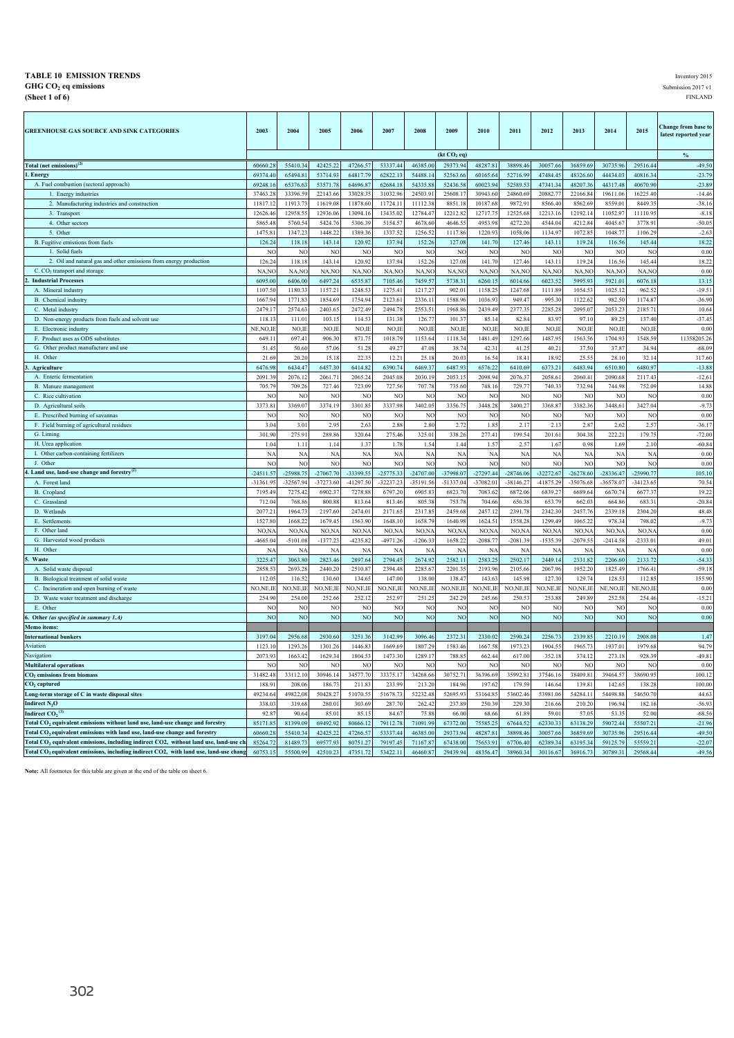#### **TABLE 10 EMISSION TRENDS** Inventory 2015<br> **GHG CO<sub>2</sub> eq emissions** 2017 v1  $\bf{GHG \ CO_2}$  **eq emissions** Submission 2017 v1 **(Sheet 1 of 6)** FINLAND

| <b>GREENHOUSE GAS SOURCE AND SINK CATEGORIES</b>                                                  | 2003               | 2004                 | 2005              | 2006                 | 2007                 | 2008               | 2009                    | 2010             | 2011                 | 2012                 | 2013                 | 2014                | 2015                 | Change from base to<br>latest reported year |
|---------------------------------------------------------------------------------------------------|--------------------|----------------------|-------------------|----------------------|----------------------|--------------------|-------------------------|------------------|----------------------|----------------------|----------------------|---------------------|----------------------|---------------------------------------------|
|                                                                                                   |                    |                      |                   |                      |                      |                    | (kt CO <sub>2</sub> eq) |                  |                      |                      |                      |                     |                      | $\%$                                        |
| Total (net emissions) <sup>(2)</sup>                                                              | 60660.28           | 55410.34             | 42425.2           | 47266.57             | 53337.44             | 46385.00           | 29373.94                | 48287.81         | 38898.46             | 30057.66             | 36859.69             | 30735.96            | 29516.44             | $-49.50$                                    |
| 1. Energy                                                                                         | 69374.40           | 65494.8              | 53714.9           | 64817.7              | 62822.13             | 54488.1            | 52563.66                | 60165.6          | 52716.99             | 47484.4              | 48326.60             | 44434.03            | 40816.34             | $-23.79$                                    |
| A. Fuel combustion (sectoral approach)                                                            | 69248.1            | 65376.63             | 53571.7           | 64696.87             | 62684.18             | 54335.8            | 52436.58                | 60023.94         | 52589.53             | 47341.3              | 48207.36             | 44317.48            | 40670.90             | $-23.89$                                    |
| 1. Energy industries                                                                              | 37463.2            | 33396.59             | 22143.66          | 33028.3:             | 31032.96             | 24503.9            | 25608.17                | 30943.60         | 24860.69             | 20882.77             | 22166.84             | 19611.06            | 16225.40             | $-14.46$                                    |
| 2. Manufacturing industries and construction                                                      | 11817.1            | 11913.7              | 11619.0           | 11878.60             | 11724.1              | 11112.3            | 8851.18                 | 10187.6          | 9872.91              | 8566.40              | 8562.69              | 8559.0              | 8449.3               | $-38.16$                                    |
| 3. Transport                                                                                      | 12626.46           | 12958.5              | 12936.0           | 13094.16             | 13435.02             | 12784.47           | 12212.82                | 12717.7          | 12525.68             | 12213.16             | 12192.14             | 11052.97            | 11110.95             | $-8.18$                                     |
| 4. Other sectors                                                                                  | 5865.48            | 5760.54              | 5424.7            | 5306.39              | 5154.5               | 4678.6             | 4646.55                 | 4953.98          | 4272.20              | 4544.04              | 4212.84              | 4045.67             | 3778.91              | $-50.05$                                    |
| 5. Other                                                                                          | 1475.8             | 1347.23              | 1448.2            | 1389.36              | 1337.52              | 1256.52            | 1117.86                 | 1220.9           | 1058.06              | 1134.97              | 1072.8               | 1048.7              | 1106.29              | $-2.63$                                     |
| B. Fugitive emissions from fuels                                                                  | 126.24             | 118.18               | 143.14            | 120.92               | 137.94               | 152.26             | 127.08                  | 141.70           | 127.46               | 143.11               | 119.24               | 116.56              | 145.44               | 18.22                                       |
| 1. Solid fuels                                                                                    | N <sub>0</sub>     | NO                   | N <sub>0</sub>    | N                    | N                    | NC                 | N                       | NO               | NO                   | NC                   | NC                   | N                   | N <sub>O</sub>       | 0.00                                        |
| 2. Oil and natural gas and other emissions from energy production                                 | 126.24             | 118.18               | 143.1             | 120.92               | 137.94               | 152.26             | 127.08                  | 141.70           | 127.46               | 143.1                | 119.24               | 116.56              | 145.44               | 18.22                                       |
| C. CO <sub>2</sub> transport and storage                                                          | NA,NO              | NA,NO                | NA,NO             | NA,NO                | NA,NO                | NA,NO              | NA,NO                   | NA,NO            | NA,NO                | NA,NO                | NA,NC                | NA,NO               | NA,NO                | 0.00                                        |
| <b>Industrial Processes</b>                                                                       | 6095.0             | 6406.00              | 6497.2            | 6535.87              | 7105.4               | 7459.5             | 5738.31                 | 6260.1           | 6014.66              | 6023.52              | 5995.93              | 5921.0              | 6076.18              | 13.15                                       |
| A. Mineral industry                                                                               | 1107.5             | 1180.3               | 1157.2            | 1248.5               | 1275.4               | 1217.2             | 902.01                  | 1158.2           | 1247.68              | 1111.89              | 1054.53              | 1025.12             | 962.52               | $-19.51$                                    |
| B. Chemical industry                                                                              | 1667.9             | 1771.83              | 1854.6            | 1754.94              | 2123.6               | 2336.1             | 1588.96                 | 1036.9           | 949.47               | 995.30               | 1122.62              | 982.50              | 1174.87              | $-36.90$                                    |
| C. Metal industry                                                                                 | 2479.1             | 2574.63              | 2403.6            | 2472.49              | 2494.7               | 2553.5             | 1968.86                 | 2439.4           | 2377.35              | 2285.28              | 2095.07              | 2053.23             | 2185.71              | 10.64                                       |
| D. Non-energy products from fuels and solvent use                                                 | 118.13             | 111.01               | 103.1             | 114.53               | 131.3                | 126.77             | 101.37                  | 85.14            | 82.84                | 83.97                | 97.10                | 89.25               | 137.40               | $-37.45$                                    |
| E. Electronic industry                                                                            | NE, NO, I          | NO.IE                | $NO,$ II          | NO,II                | NO,II                | NO,II              | NO,IE                   | NO.II            | NO,IE                | NO,II                | NO,IE                | NO,II               | NO.IE                | 0.00                                        |
| F. Product uses as ODS substitutes                                                                | 649.11             | 697.41               | 906.3             | 871.75               | 1018.79              | 1153.64            | 1118.34                 | 1481.49          | 1297.66              | 1487.95              | 1563.56              | 1704.93             | 1548.59              | 11358205.26                                 |
| G. Other product manufacture and use                                                              | 51.45              | 50.60                | 57.0              | 51.28                | 49.2                 | 47.08              | 38.74                   | 42.3             | 41.25                | 40.2                 | 37.50                | 37.8                | 34.94                | $-68.09$                                    |
| H. Other                                                                                          | 21.69              | 20.20                | 15.1              | 22.35                | 12.2                 | 25.18              | 20.0                    | 16.54            | 18.41                | 18.92                | 25.55                | 28.10               | 32.14                | 317.60                                      |
| Agriculture                                                                                       | 6476.98            | 6434.47              | 6457.3            | 6414.82              | 6390.74              | 6469.3             | 6487.93                 | 6576.22          | 6410.69              | 6373.21              | 6483.94              | 6510.80             | 6480.97              | $-13.88$                                    |
| A. Enteric fermentation                                                                           | 2091.39            | 2076.12              | 2061.7            | 2065.24              | 2045.08              | 2030.1             | 2053.15                 | 2098.94          | 2076.37              | 2058.6               | 2060.41              | 2090.68             | 2117.43              | $-12.61$                                    |
| B. Manure management                                                                              | 705.79             | 709.26               | 727.4             | 723.09               | 727.56               | 707.7              | 735.60                  | 748.1            | 729.77               | 740.33               | 732.94               | 744.98              | 752.09               | 14.88                                       |
| C. Rice cultivation                                                                               | N <sub>0</sub>     | NC                   | N <sub>0</sub>    | N                    | N                    | N                  | N                       | N <sub>C</sub>   | NO                   | N                    | NC                   | N <sub>0</sub>      | N <sub>O</sub>       | 0.00                                        |
| D. Agricultural soils                                                                             | 3373.8             | 3369.07              | 3374.1            | 3301.85              | 3337.98              | 3402.0             | 3356.75                 | 3448.2           | 3400.27              | 3368.87              | 3382.36              | 3448.6              | 3427.04              | $-9.73$                                     |
| E. Prescribed burning of savannas                                                                 | NC                 | N <sub>O</sub>       | N                 | NC                   | NO                   | NC                 | <b>NC</b>               | NO               | N <sub>O</sub>       | N <sub>O</sub>       | NO                   | NC                  | N <sub>O</sub>       | 0.00                                        |
| F. Field burning of agricultural residues                                                         | 3.04               | 3.01                 | 2.9               | 2.63                 | 2.88                 | 2.80               | 2.72                    | 1.8 <sup>4</sup> | 2.17                 | 2.13                 | 2.8'                 | 2.62                | 2.57                 | $-36.17$                                    |
| G. Liming                                                                                         | 301.90             | 275.91               | 289.8             | 320.64               | 275.46               | 325.01             | 338.26                  | 277.41           | 199.54               | 201.61               | 304.38               | 222.21              | 179.75               | $-72.00$                                    |
| H. Urea application                                                                               | 1.04               | 1.11                 | 1.14              | 1.37                 | 1.78                 | 1.54               | 1.44                    | 1.57             | 2.57                 | 1.67                 | 0.98                 | 1.69                | 2.10                 | $-60.84$                                    |
| I. Other carbon-containing fertilizers                                                            | NA                 | <b>NA</b>            | NA                | <b>NA</b>            | N/                   | <b>NA</b>          | NA                      | NA               | NA                   | NA                   | NA                   | <b>NA</b>           | <b>NA</b>            | 0.00                                        |
| J. Other                                                                                          | NO                 | N <sub>O</sub>       | N <sub>C</sub>    | NO                   | NO                   | NC                 | NC                      | N <sub>C</sub>   | N <sub>O</sub>       | NC                   | NO                   | NC                  | NO                   | 0.00                                        |
| 4. Land use, land-use change and forestry <sup>(2)</sup>                                          | $-24511.57$        | $-25988.75$          | $-27067.7$        | -33399.55            | $-25775.33$          | $-24707.00$        | -37998.07               | $-27297.44$      | $-28746.06$          | $-32272.67$          | $-26278.60$          | $-28336.47$         | $-25990.77$          | 105.10                                      |
| A. Forest land                                                                                    | -31361.95          | -32567.94            | $-37273.60$       | $-41297.5$           | $-32237.23$          | $-35191.5$         | $-51337.04$             | $-37082.0$       | $-38146.27$          | -41875.29            | $-35076.68$          | $-36578.0$          | $-34123.65$          | 70.54                                       |
| B. Cropland<br>C. Grassland                                                                       | 7195.4             | 7275.4               | 6902.3            | 7278.8<br>813.64     | 6797.20              | 6905.8             | 6823.7                  | 7083.6<br>704.6  | 6872.06              | 6839.2               | 6689.6               | 6670.7              | 6677.37              | 19.22<br>$-20.84$                           |
| D. Wetlands                                                                                       | 712.0<br>2077.21   | 768.86<br>1964.7     | 800.8<br>2197.6   | 2474.0               | 813.46<br>2171.6     | 805.3<br>2317.8    | 753.78<br>2459.68       | 2457.1           | 656.38<br>2391.78    | 653.7<br>2342.30     | 662.03<br>2457.76    | 664.8<br>2339.18    | 683.31<br>2304.20    | 48.48                                       |
| E. Settlements                                                                                    | 1527.80            | 1668.22              | 1679.4            | 1563.90              | 1648.10              | 1658.79            | 1640.98                 | 1624.5           | 1558.28              | 1299.49              | 1065.22              | 978.3               | 798.02               | $-9.73$                                     |
| F. Other land                                                                                     |                    |                      |                   |                      |                      |                    |                         | NO,N.            |                      |                      |                      |                     |                      | 0.00                                        |
| G. Harvested wood products                                                                        | NO, N<br>$-4665.0$ | NO, N/<br>$-5101.08$ | NO,N<br>$-1377.2$ | NO, N/<br>$-4235.82$ | NO, N/<br>$-4971.26$ | NO, N<br>$-1206.3$ | NO, N/A<br>1658.22      | $-2088.7$        | NO, NA<br>$-2081.39$ | NO, N/<br>$-1535.39$ | NO, N/<br>$-2079.55$ | NO, N/<br>$-2414.5$ | NO, N/A<br>$-2333.0$ | 49.01                                       |
| H. Other                                                                                          | NA                 | NА                   | N/                | NA                   | N/                   | NA                 | NA                      | NA               | NA                   | NA                   | NA                   | NA                  | NA                   | 0.00                                        |
| Waste                                                                                             | 3225.47            | 3063.80              | 2823.4            | 2897.64              | 2794.45              | 2674.92            | 2582.11                 | 2583.2           | 2502.17              | 2449.14              | 2331.82              | 2206.60             | 2133.72              | $-54.33$                                    |
| A. Solid waste disposal                                                                           | 2858.53            | 2693.28              | 2440.2            | 2510.87              | 2394.48              | 2285.6             | 2201.35                 | 2193.96          | 2105.66              | 2067.96              | 1952.20              | 1825.49             | 1766.41              | $-59.18$                                    |
| B. Biological treatment of solid waste                                                            | 112.0              | 116.52               | 130.6             | 134.65               | 147.00               | 138.00             | 138.47                  | 143.63           | 145.98               | 127.30               | 129.74               | 128.53              | 112.85               | 155.90                                      |
| C. Incineration and open burning of waste                                                         | NO, NE, I          | NO, NE, II           | NO, NE, II        | NO,NE,I              | NO, NE, II           | NO,NE,II           | NO, NE, IF              | NO, NE, I        | NO, NE, IE           | NO, NE, II           | NO, NE, IF           | NE, NO, II          | NE, NO, II           | 0.00                                        |
| D. Waste water treatment and discharge                                                            | 254.90             | 254.00               | 252.6             | 252.12               | 252.9                | 251.2              | 242.29                  | 245.66           | 250.53               | 253.88               | 249.89               | 252.58              | 254.46               | $-15.21$                                    |
| E. Other                                                                                          | NC                 | N <sub>O</sub>       | NC                | N <sub>O</sub>       | NO                   | NC                 | <b>NC</b>               | N <sub>O</sub>   | N <sub>O</sub>       | N <sub>O</sub>       | N <sub>O</sub>       | N <sub>O</sub>      | N <sub>O</sub>       | 0.00                                        |
| 6. Other (as specified in summary 1.A)                                                            | <b>NC</b>          | N <sub>O</sub>       | N <sub>O</sub>    | N <sub>O</sub>       | NO                   | N <sub>O</sub>     | N <sub>O</sub>          | N <sub>O</sub>   | N <sub>O</sub>       | N <sub>O</sub>       | N <sub>O</sub>       | N <sub>O</sub>      | N <sub>O</sub>       | 0.00                                        |
| Memo items:                                                                                       |                    |                      |                   |                      |                      |                    |                         |                  |                      |                      |                      |                     |                      |                                             |
| <b>International bunkers</b>                                                                      | 3197.0             | 2956.68              | 2930.60           | 3251.36              | 3142.99              | 3096.46            | 2372.31                 | 2330.02          | 2590.24              | 2256.73              | 2339.85              | 2210.19             | 2908.08              | 1.47                                        |
| Aviation                                                                                          | 1123.1             | 1293.26              | 1301.2            | 1446.83              | 1669.6               | 1807.29            | 1583.46                 | 1667.5           | 1973.23              | 1904.5:              | 1965.7               | 1937.01             | 1979.68              | 94.79                                       |
| Navigation                                                                                        | 2073.93            | 1663.42              | 1629.34           | 1804.53              | 1473.30              | 1289.17            | 788.85                  | 662.44           | 617.00               | 352.18               | 374.12               | 273.18              | 928.39               | $-49.81$                                    |
| <b>Multilateral operations</b>                                                                    | NC                 | NC                   | NC                | N                    | NO                   | NO                 | NC                      | N                | N <sub>O</sub>       | N                    | NC                   | NC                  | NO                   | 0.00                                        |
| CO <sub>2</sub> emissions from biomass                                                            | 31482.48           | 33112.10             | 30946.14          | 34577.70             | 33375.17             | 34268.66           | 30752.71                | 36396.69         | 35992.81             | 37546.16             | 38409.8              | 39464.57            | 38690.95             | 100.12                                      |
| CO <sub>2</sub> captured                                                                          | 188.9              | 208.0                | 186.7             | 211.8                | 233.9                | 213.20             | 184.96                  | 197.6            | 179.59               | 146.64               | 139.8                | 142.6               | 138.28               | 100.00                                      |
| Long-term storage of C in waste disposal sites                                                    | 49234.64           | 49822.08             | 50428.2           | 51070.55             | 51678.7              | 52232.48           | 52695.93                | 53164.8          | 53602.46             | 53981.06             | 54284.11             | 54498.88            | 54650.70             | 44.63                                       |
| Indirect N <sub>2</sub> O                                                                         | 338.03             | 319.68               | 280.0             | 303.69               | 287.70               | 262.42             | 237.89                  | 250.39           | 229.30               | 216.66               | 210.20               | 196.94              | 182.16               | $-56.93$                                    |
| Indirect $CO2$ <sup>(3)</sup>                                                                     | 92.8               | 90.64                | 85.0              | 85.1                 | 84.6                 | 75.88              | 66.00                   | 68.66            | 61.89                | 59.01                | 57.05                | 53.3                | 52.00                | $-68.56$                                    |
| Total CO <sub>2</sub> equivalent emissions without land use, land-use change and forestry         | 85171.85           | 81399.09             | 69492.92          | 80666.12             | 79112.78             | 71091.99           | 67372.00                | 75585.2          | 67644.52             | 62330.33             | 63138.29             | 59072.44            | 55507.21             | $-21.96$                                    |
| Total CO <sub>2</sub> equivalent emissions with land use, land-use change and forestry            | 60660.28           | 55410.34             | 42425.2           | 47266.57             | 53337.44             | 46385.00           | 29373.94                | 48287.8          | 38898.46             | 30057.66             | 36859.69             | 30735.9             | 29516.44             | $-49.50$                                    |
| Total CO <sub>2</sub> equivalent emissions, including indirect CO2, without land use, land-use ch | 85264.72           | 81489.73             | 69577.93          | 80751.27             | 79197.45             | 71167.8            | 67438.00                | 75653.9          | 67706.40             | 62389.34             | 63195.34             | 59125.79            | 55559.21             | $-22.07$                                    |
| Total CO <sub>2</sub> equivalent emissions, including indirect CO2, with land use, land-use chang | 60753.15           | 55500.99             | 42510.23          | 47351.72             | 53422.11             | 46460.87           | 29439.94                | 48356.47         | 38960.34             | 30116.67             | 36916.73             | 30789.31            | 29568.44             | $-49.56$                                    |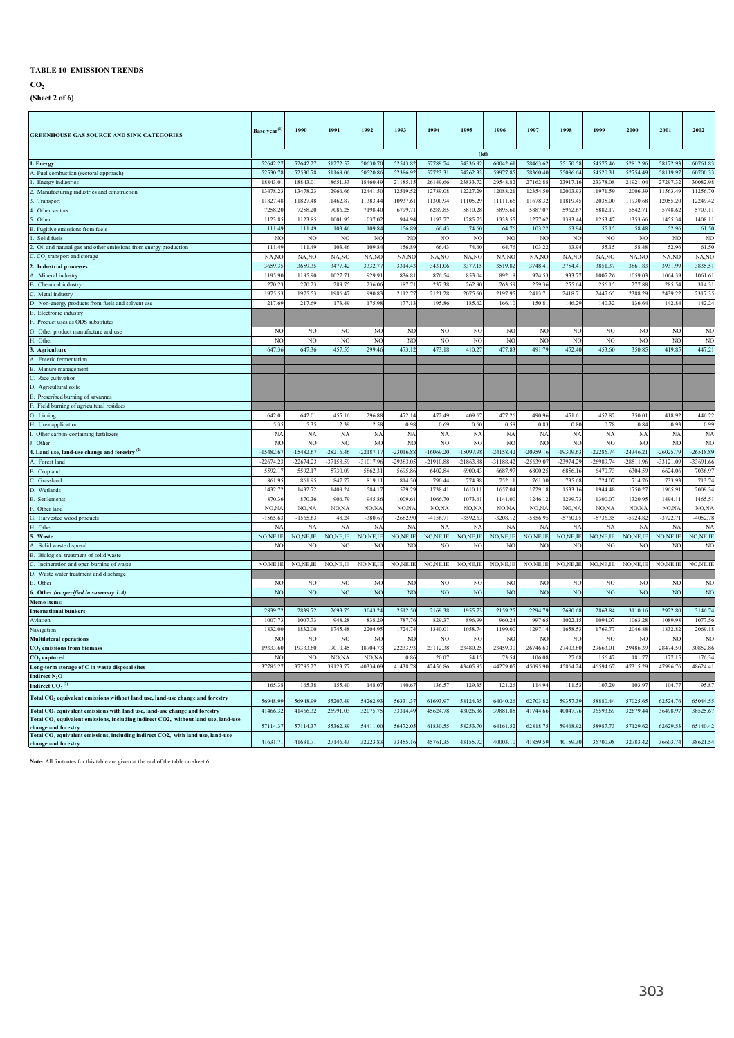**CO2**

**(Sheet 2 of 6)**

| <b>GREENHOUSE GAS SOURCE AND SINK CATEGORIES</b>                                                                                                                                         | Base year <sup>(1</sup> | 1990           | 1991           | 1992           | 1993           | 1994           | 1995           | 1996           | 1997           | 1998           | 1999            | 2000           | 2001           | 2002           |
|------------------------------------------------------------------------------------------------------------------------------------------------------------------------------------------|-------------------------|----------------|----------------|----------------|----------------|----------------|----------------|----------------|----------------|----------------|-----------------|----------------|----------------|----------------|
|                                                                                                                                                                                          |                         |                |                |                |                |                | (kt)           |                |                |                |                 |                |                |                |
| . Energy                                                                                                                                                                                 | 52642.27                | 52642.27       | 51272.52       | 50630.70       | 52543.82       | 57789.74       | 54336.92       | 60042.61       | 58463.62       | 55150.58       | 54575.46        | 52812.96       | 58172.93       | 60761.83       |
| A. Fuel combustion (sectoral approach)                                                                                                                                                   | 52530.7                 | 52530.7        | 51169.06       | 50520.86       | 52386.92       | 57723.3        | 54262.33       | 59977.85       | 58360.40       | 55086.64       | 54520.3         | 52754.49       | 58119.97       | 60700.33       |
| Energy industries                                                                                                                                                                        | 18843.0                 | 18843.0        | 18651.3        | 18460.49       | 21185.1        | 26149.6        | 23833.7        | 29548.8        | 27162.8        | 23917.1        | 23378.0         | 21921.04       | 27297.3        | 30082.98       |
| Manufacturing industries and construction                                                                                                                                                | 13478.2                 | 13478.2        | 12966.6        | 12441.5        | 12519.52       | 12789.0        | 12227.2        | 12088.2        | 12354.5        | 12003.9        | 11971.5         | 12006.3        | 11563.49       | 11256.7        |
| Transport                                                                                                                                                                                | 11827.4                 | 11827.4        | 11462.8        | 11383.44       | 10937.61       | 11300.9        | 11105.2        | 11111.66       | 11678.3        | 11819.4:       | 12035.0         | 11930.6        | 12055.20       | 12249.42       |
| Other sectors                                                                                                                                                                            | 7258.2                  | 7258.2         | 7086.2         | 7198.40        | 6799.7         | 6289.8         | 5810.28        | 5895.6         | 5887.0         | 5962.6         | 5882.1          | 5542.7         | 5748.62        | 5703.1         |
| Other                                                                                                                                                                                    | 1123.8                  | 1123.8         | 1001.9         | 1037.02        | 944.94         | 1193.7         | 1285.7         | 1333.5         | 1277.6         | 1383.44        | 1253.4          | 1353.6         | 1455.34        | 1408.11        |
| B. Fugitive emissions from fuels                                                                                                                                                         | 111.49                  | 111.49         | 103.46         | 109.84         | 156.89         | 66.4           | 74.60          | 64.76          | 103.2          | 63.94          | 55.1            | 58.48          | 52.96          | 61.50          |
| Solid fuels                                                                                                                                                                              | N <sub>C</sub>          | N <sub>0</sub> | NO             | NO             | NC             | NO             | N <sub>C</sub> | N <sub>O</sub> | N <sub>0</sub> | N <sub>C</sub> | N <sub>C</sub>  | NO             | NO             | NC             |
| Oil and natural gas and other emissions from energy production                                                                                                                           | $111.4^{\circ}$         | 111.4          | 103.46         | 109.84         | 156.89         | 66.43          | 74.60          | 64.76          | 103.2          | 63.94          | 55.1            | 58.48          | 52.96          | 61.50          |
| CO <sub>2</sub> transport and storage                                                                                                                                                    | NA,NO                   | NA, NO         | NA, NO         | NA, NC         | NA,NO          | NA,NC          | NA,NO          | NA, NO         | NA,NO          | NA,NO          | NA,NO           | NA,NO          | NA, NO         | NA, NC         |
| <b>Industrial processes</b>                                                                                                                                                              | 3659.3                  | 3659.3         | 347742         | 3332.7         | 3314.43        | 3431.0         | 3377.1         | 3519.82        | 3748.4         | 3754.41        | 3851.3          | 3861.8         | 3931.99        | 3835.51        |
| . Mineral industry                                                                                                                                                                       | 1195.9                  | 1195.9         | 10277          | 929.9          | 836.81         | 876.5          | 8530           | 892.18         | 924.5          | 9337           | 10072           | 10590          | 10643          | 1061.61        |
| <b>B.</b> Chemical industr                                                                                                                                                               | 270.2                   | 270.2          | 289.7          | 236.0          | 187.7          | 237.3          | 262.9          | 263.5          | 259.3          | 255.6          | 256.1           | 277.8          | 285.5          | 314.3          |
| Metal industry                                                                                                                                                                           | 1975.5                  | 1975.5         | 1986.47        | 1990.8         | 2112.7         | 2121.28        | 2075.6         | 2197.9         | 2413.7         | 2418.7         | 2447.6          | 2388.2         | 2439.2         | 2317.35        |
| Non-energy products from fuels and solvent use                                                                                                                                           | 217.6                   | 217.69         | 173.49         | 175.98         | 177.13         | 195.86         | 185.6          | 166.10         | 150.81         | 146.29         | 140.3           | 136.6          | 142.84         | 142.24         |
| Electronic industry                                                                                                                                                                      |                         |                |                |                |                |                |                |                |                |                |                 |                |                |                |
| Product uses as ODS substitutes                                                                                                                                                          |                         |                |                |                |                |                |                |                |                |                |                 |                |                |                |
| G. Other product manufacture and use                                                                                                                                                     | N <sub>C</sub>          | NC             | NO             | N <sub>O</sub> | NC             | N <sub>C</sub> | NC             | NO             | N <sub>C</sub> | N <sub>C</sub> | N <sub>C</sub>  | NC             | NO             | N <sub>O</sub> |
| H. Other                                                                                                                                                                                 | NC                      | N <sub>0</sub> | NC             | NC             | NC             | NC             | N              | N <sub>O</sub> | NO             | NO             | NC              | N <sub>0</sub> | NO             | NC             |
| 3. Agriculture                                                                                                                                                                           | 647.36                  | 647.36         | 457.55         | 299.46         | 473.12         | 473.18         | 410.27         | 477.83         | 491.79         | 452.40         | 453.60          | 350.85         | 419.85         | 447.21         |
| Enteric fermentation                                                                                                                                                                     |                         |                |                |                |                |                |                |                |                |                |                 |                |                |                |
| B. Manure management                                                                                                                                                                     |                         |                |                |                |                |                |                |                |                |                |                 |                |                |                |
| Rice cultivation                                                                                                                                                                         |                         |                |                |                |                |                |                |                |                |                |                 |                |                |                |
| D. Agricultural soils                                                                                                                                                                    |                         |                |                |                |                |                |                |                |                |                |                 |                |                |                |
| Prescribed burning of savannas                                                                                                                                                           |                         |                |                |                |                |                |                |                |                |                |                 |                |                |                |
| Field burning of agricultural residues                                                                                                                                                   |                         |                |                |                |                |                |                |                |                |                |                 |                |                |                |
| G. Liming                                                                                                                                                                                | 642.0                   | 642.0          | 455.1          | 296.88         | 472.14         | 472.49         | 409.6          | 477.26         | 490.9          | 451.6          | 452.8           | 350.01         | 418.92         | 446.2          |
| H. Urea application                                                                                                                                                                      | 5.3                     | 5.35           | 2.39           | 2.58           | 0.98           | 0.69           | 0.60           | 0.58           | 0.83           | 0.80           | 0.78            | 0.84           | 0.93           | 0.99           |
| Other carbon-containing fertilizers                                                                                                                                                      | NA                      | N/             | NA             | NA             | <b>NA</b>      | NA             | N/             | <b>NA</b>      | N/             | <b>NA</b>      | NA              | N/             | <b>NA</b>      | <b>NA</b>      |
| Other                                                                                                                                                                                    | NC                      | N <sub>0</sub> | NO             | <b>NC</b>      | <b>NC</b>      | NC             | N <sub>C</sub> | N <sub>O</sub> | N <sub>C</sub> | NO             | NC              | N <sub>C</sub> | NO             | NO             |
| 4. Land use, land-use change and forestry                                                                                                                                                | $-15482.6$              | $-15482.6$     | $-28216.46$    | $-22187.17$    | $-23016.88$    | $-16069.20$    | $-15097.98$    | $-24158.42$    | $-20959.1$     | $-19309.6$     | $-22286.74$     | $-24346.21$    | $-26025.79$    | $-26518.89$    |
| . Forest land                                                                                                                                                                            | $-22674.2$              | $-226742$      | -37158.59      | $-31017.96$    | $-29383.05$    | $-21910.88$    | $-21863.8$     | -31188.42      | -25639.0       | $-23974.29$    | $-26989.7$      | $-28511.9$     | $-33121.09$    | $-3369166$     |
| <b>B.</b> Cropland                                                                                                                                                                       | 5592.1                  | 5592.1         | 5730.09        | 5862.3         | 5695.86        | 6402.8         | 69004          | 6687.97        | 6800.2         | 68561          | 6470.7          | 6304.5         | 6624.06        | 7036.97        |
| Grassland                                                                                                                                                                                | 861.9                   | 861.9          | 847.7          | 819.1          | 814.30         | 790.4          | 774.3          | 752.11         | 761.3          | 735.6          | 724.0           | 714.7          | 733.9          | 713.7          |
| ). Wetlands                                                                                                                                                                              | 1432.7                  | 1432.7         | 1409.2         | 1584.1         | 1529.29        | 1738.4         | 1610.1         | 1657.04        | 1729.1         | 1533.1         | 1944.4          | 1750.2         | 1965.91        | 2009.3         |
| Settlements                                                                                                                                                                              | 870.3                   | 870.3          | 906.79         | 945.8          | 1009.61        | 1066.7         | 1073.6         | 1141.00        | 1246.1         | 1299.7         | 1300.0          | 1320.9         | 1494.11        | 1465.5         |
| Other land                                                                                                                                                                               | NO,N.                   | NO, N          | NO, NA         | NO, N          | NO, NA         | NO, N          | NO, N/         | NO,NA          | NO, N          | NO, N/         | NO <sub>N</sub> | NO, N          | NO, NA         | NO,NA          |
| Harvested wood products                                                                                                                                                                  | $-1565.6$               | $-1565.6$      | 48.24          | $-380.67$      | $-2682.90$     | $-4156.7$      | $-3592.6$      | $-3208.12$     | $-5856.9$      | $-5760.0$      | $-5736.3$       | $-5924.8$      | $-3722.71$     | $-4052.78$     |
| H. Other                                                                                                                                                                                 | N                       | N.             | NA             | N              | <b>NA</b>      | N/             | N              | $N_A$          | N/             | N/             | N               | NA             | <b>NA</b>      | N/             |
| Waste                                                                                                                                                                                    | NO, NE, IE              | NO,NE,IE       | NO, NE, IE     | NO, NE, IE     | NO, NE, IE     | NO, NE, IE     | NO, NE, II     | NO, NE, IE     | NO,NE,IE       | NO, NE, IE     | NO, NE, IE      | NO, NE, IE     | NO, NE, IE     | NO, NE, IE     |
| Solid waste disposal                                                                                                                                                                     | NC                      | N <sub>0</sub> | NO             | N <sub>C</sub> | <b>NC</b>      | NC             | NC             | N <sub>O</sub> | NO             | NO             | NC              | NC             | NO             | NO             |
| Biological treatment of solid waste                                                                                                                                                      |                         |                |                |                |                |                |                |                |                |                |                 |                |                |                |
| Incineration and open burning of waste                                                                                                                                                   | NO,NE,II                | NO,NE,IE       | NO, NE, IE     | NO, NE, IE     | NO,NE,IE       | NO,NE,IE       | NO,NE,IE       | NO, NE, IE     | NO,NE,IE       | NO, NE, IE     | NO,NE,IE        | NO, NE, IE     | NO, NE, IE     | NO,NE,IE       |
| D. Waste water treatment and discharge                                                                                                                                                   |                         |                |                |                |                |                |                |                |                |                |                 |                |                |                |
| Other                                                                                                                                                                                    | N <sub>C</sub>          | N <sub>C</sub> | NC             | N <sub>O</sub> | N <sub>C</sub> | NO             | N <sub>C</sub> | N <sub>O</sub> | NO             | N <sub>C</sub> | N <sub>C</sub>  | N <sub>C</sub> | NO             | N <sub>O</sub> |
| Other (as specified in summary 1.A)                                                                                                                                                      | N <sub>O</sub>          | NO             | N <sub>O</sub> | N <sub>O</sub> | N <sub>O</sub> | NO             | NO             | N <sub>O</sub> | NC             | N <sub>O</sub> | N <sub>O</sub>  | <b>NC</b>      | N <sub>O</sub> | N <sub>O</sub> |
| Memo items:                                                                                                                                                                              |                         |                |                |                |                |                |                |                |                |                |                 |                |                |                |
| <b>International bunkers</b>                                                                                                                                                             | 2839.7                  | 2839.7         | 2693.7         | 3043.24        | 2512.50        | 2169.38        | 1955.7         | 2159.2         | 2294.7         | 2680.68        | 2863.84         | 3110.1         | 2922.80        | 3146.74        |
| Aviation                                                                                                                                                                                 | 1007.7                  | 1007.7         | 948.28         | 838.29         | 78776          | 829.3          | 896.99         | 960.24         | 997.6          | 1022.15        | 1094.0          | 1063.28        | 1089.98        | 1077.56        |
| Navigation                                                                                                                                                                               | 1832.0                  | 1832.0         | 1745.48        | 2204.9:        | 1724.74        | 1340.0         | 1058.7         | 1199.00        | 1297.1         | 1658.5         | 1769.7          | 2046.8         | 1832.82        | 2069.1         |
| <b>Multilateral operations</b>                                                                                                                                                           | N <sub>0</sub>          | N <sub>0</sub> | NO             | N <sub>0</sub> | NO             | N              | N <sub>C</sub> | NO             | N <sub>0</sub> | NO             | N <sub>0</sub>  | N <sub>0</sub> | NO             | N <sub>C</sub> |
| CO <sub>2</sub> emissions from biomass                                                                                                                                                   | 19333.6                 | 19333.60       | 19010.45       | 18704.7        | 22233.93       | 23112.38       | 23480.2        | 23459.30       | 26746.6        | 27403.80       | 29663.0         | 29486.39       | 28474.50       | 30852.86       |
| $CO2$ captured                                                                                                                                                                           | NC                      | N <sub>0</sub> | NO, N/         | NO, N/         | 0.86           | 20.0           | 54.1           | 73.54          | 106.0          | 127.6          | 156.4           | 181.7          | 177.15         | 176.34         |
| Long-term storage of C in waste disposal sites                                                                                                                                           | 37785.2                 | 37785.2        | 39123.7        | 40334.09       | 41438.78       | 42456.86       | 43405.8        | 44279.05       | 45095.9        | 45864.24       | 46594.6         | 47315.2        | 47996.76       | 48624.41       |
| Indirect N <sub>2</sub> O                                                                                                                                                                |                         |                |                |                |                |                |                |                |                |                |                 |                |                |                |
| Indirect $CO2$ <sup>(3)</sup>                                                                                                                                                            | 165.3                   | 165.3          | 155.40         | 148.0          | 140.67         | 136.5          | 129.3          | 121.2          | 114.9          | 111.53         | 107.2           | 103.9          | 104.7          | 95.8           |
| Total CO <sub>2</sub> equivalent emissions without land use, land-use change and forestry                                                                                                | 56948.9                 | 56948.9        | 552074         | 54262.93       | 56331.33       | 61693.9        | 581243         | 64040.2        | 62703.8        | 59357.3        | 588804          | 57025.6        | 625247         | 65044.5        |
|                                                                                                                                                                                          | 41466.3                 | 41466.3        | 26991.0        | 32075.7        | 33314.49       | 45624.7        | 43026.3        | 39881.8        | 41744.6        | 40047.7        | 36593.6         | 32679.44       | 36498.9        | 38525.6        |
| Total CO <sub>2</sub> equivalent emissions with land use, land-use change and forestry<br>Total CO <sub>2</sub> equivalent emissions, including indirect CO2, without land use, land-use |                         |                |                |                |                |                |                |                |                |                |                 |                |                |                |
| change and forestry                                                                                                                                                                      | 57114.3                 | 57114.3        | 55362.8        | 54411.00       | 56472.05       | 61830.5:       | 58253.7        | 64161.52       | 62818.7        | 59468.93       | 58987.7         | 57129.6        | 62629.53       | 65140.42       |
| Total CO <sub>2</sub> equivalent emissions, including indirect CO2, with land use, land-use                                                                                              |                         |                |                |                |                |                |                |                |                |                |                 |                |                |                |
| change and forestry                                                                                                                                                                      | 41631.7                 | 41631.7        | 27146.43       | 32223.83       | 33455.16       | 45761.35       | 43155.7        | 40003.10       | 41859.59       | 40159.30       | 36700.9         | 32783.42       | 36603.7        | 38621.54       |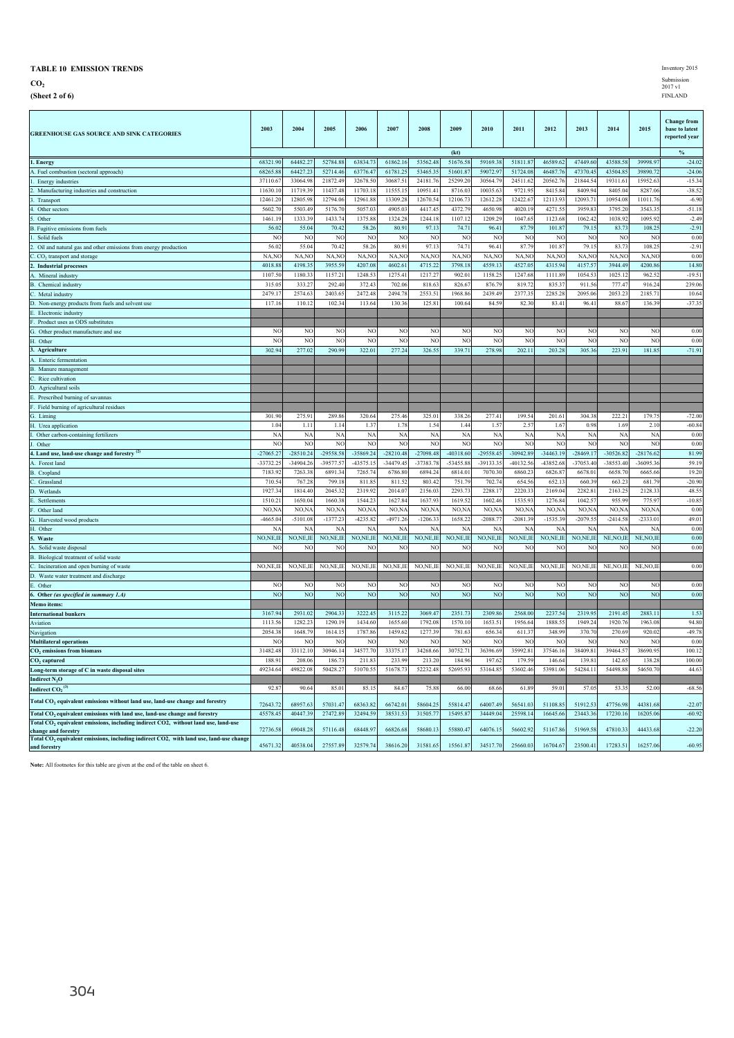**CO2**

**(Sheet 2 of 6)** FINLAND

| <b>GREENHOUSE GAS SOURCE AND SINK CATEGORIES</b>                                                                                                                                         | 2003                    | 2004                    | 2005           | 2006            | 2007           | 2008        | 2009           | 2010           | 2011           | 2012        | 2013            | 2014                    | 2015           | <b>Change from</b><br>base to latest<br>reported year |
|------------------------------------------------------------------------------------------------------------------------------------------------------------------------------------------|-------------------------|-------------------------|----------------|-----------------|----------------|-------------|----------------|----------------|----------------|-------------|-----------------|-------------------------|----------------|-------------------------------------------------------|
|                                                                                                                                                                                          |                         |                         |                |                 |                |             | (kt)           |                |                |             |                 |                         |                | $\%$                                                  |
| 1. Energy                                                                                                                                                                                | 68321.90                | 64482.2                 | 52784.88       | 63834.73        | 61862.16       | 53562.48    | 51676.58       | 59169.38       | 51811.8        | 46589.62    | 47449.60        | 43588.58                | 39998.97       | $-24.02$                                              |
| A. Fuel combustion (sectoral approach)                                                                                                                                                   | 68265.8                 | 64427.2                 | 52714.46       | 63776.4         | 61781.25       | 53465.3     | 51601.8        | 59072.9        | 51724.08       | 46487.7     | 47370.4         | 43504.8:                | 39890.72       | $-24.06$                                              |
| 1. Energy industries                                                                                                                                                                     | 37110.6                 | 33064.9                 | 21872.49       | 32678.5         | 30687.5        | 24181.7     | 25299.20       | 30564.7        | 24511.6        | 20562.7     | 21844.5         | 19311.6                 | 15952.6        | $-15.34$                                              |
| Manufacturing industries and construction<br>2.                                                                                                                                          | 11630.1                 | 11719.3                 | 11437.48       | 11703.1         | 11555.1        | 10951.4     | 8716.03        | 10035.6        | 9721.9         | 8415.8      | 8409.9          | 8405.0                  | 8287.06        | $-38.52$                                              |
| Transport                                                                                                                                                                                | 12461.20                | 12805.9                 | 12794.06       | 12961.8         | 13309.28       | 12670.5     | 12106.7        | 12612.2        | 12422.6        | 12113.9     | 12093.7         | 10954.08                | 11011.7        | $-6.90$                                               |
| 4. Other sectors                                                                                                                                                                         | 5602.70                 | 5503.49                 | 5176.70        | 5057.0          | 4905.03        | 4417.4      | 4372.79        | 4650.9         | 4020.19        | 4271.5:     | 3959.8          | 3795.20                 | 3543.3         | $-51.18$                                              |
| Other                                                                                                                                                                                    | 1461.19                 | 1333.3                  | 1433.74        | 1375.88         | 1324.28        | 1244.1      | 1107.12        | 1209.29        | 1047.65        | 1123.68     | 1062.42         | 1038.92                 | 1095.92        | $-2.49$                                               |
| B. Fugitive emissions from fuels<br>Solid fuels                                                                                                                                          | 56.02<br>N <sub>O</sub> | 55.04<br>N <sub>O</sub> | 70.42<br>NO    | 58.26<br>NC     | 80.91<br>NO    | 97.1<br>N   | 74.71<br>NC    | 96.41<br>NC    | 87.79<br>NC    | 101.8<br>NC | 79.1:<br>N      | 83.73<br>N <sub>O</sub> | 108.2<br>NC    | $-2.91$<br>0.00                                       |
| 2. Oil and natural gas and other emissions from energy production                                                                                                                        | 56.02                   | 55.04                   | 70.42          | 58.26           | 80.91          | 97.1        | 74.71          | 96.41          | 87.79          | 101.87      | 79.1:           | 83.73                   | 108.2          | $-2.91$                                               |
| C. CO <sub>2</sub> transport and storage                                                                                                                                                 | NA,NO                   | NA,NO                   | NA,NO          | NA,NO           | NA,NO          | NA,N        | NA,NO          | NA,NO          | NA,NO          | NA,NO       | NA,NO           | NA, NO                  | NA,NO          | 0.00                                                  |
| 2. Industrial processes                                                                                                                                                                  | 4018.8                  | 4198.3                  | 3955.59        | 4207.0          | 4602.6         | 4715.2      | 3798.18        | 4559.13        | 4527.05        | 4315.9      | 4157.5          | 3944.49                 | 4200.86        | 14.80                                                 |
| A. Mineral industry                                                                                                                                                                      | 1107.50                 | 1180.3                  | 1157.21        | 1248.5          | 1275.41        | 1217.2      | 902.01         | 1158.25        | 1247.68        | 1111.89     | 1054.5          | 1025.12                 | 962.5          | $-19.51$                                              |
| <b>B.</b> Chemical industry                                                                                                                                                              | 315.0                   | 333.2                   | 292.40         | 372.4           | 702.06         | 818.6       | 826.6          | 876.79         | 819.7          | 835.3       | 911.56          | 777.41                  | 916.2          | 239.06                                                |
| C. Metal industry                                                                                                                                                                        | 2479.1                  | 2574.6                  | 2403.6         | 2472.4          | 2494.78        | 2553.5      | 1968.86        | 2439.4         | 2377.35        | 2285.2      | 2095.06         | 2053.23                 | 2185.7         | 10.64                                                 |
| D. Non-energy products from fuels and solvent use                                                                                                                                        | 117.16                  | 110.1                   | 102.34         | 113.6           | 130.36         | 125.8       | 100.64         | 84.5           | 82.30          | 83.4        | 96.4            | 88.6                    | 136.39         | $-37.35$                                              |
| E. Electronic industry                                                                                                                                                                   |                         |                         |                |                 |                |             |                |                |                |             |                 |                         |                |                                                       |
| F. Product uses as ODS substitutes                                                                                                                                                       |                         |                         |                |                 |                |             |                |                |                |             |                 |                         |                |                                                       |
| G. Other product manufacture and use                                                                                                                                                     | N <sub>O</sub>          | N <sub>O</sub>          | N <sub>O</sub> | N <sub>O</sub>  | N <sub>C</sub> | NO          | N <sub>O</sub> | N <sub>O</sub> | NC.            | NO          | NC              | N <sub>O</sub>          | N <sub>O</sub> | 0.00                                                  |
| H. Other                                                                                                                                                                                 | N <sub>O</sub>          | N <sub>O</sub>          | N <sub>O</sub> | NC              | NO             | NO          | NC             | NC             | NC             | NO          | NC              | NC                      | NC             | 0.00                                                  |
| 3. Agriculture                                                                                                                                                                           | 302.94                  | 277.02                  | 290.99         | 322.01          | 277.24         | 326.55      | 339.71         | 278.98         | 202.11         | 203.28      | 305.36          | 223.91                  | 181.85         | $-71.91$                                              |
| A. Enteric fermentation                                                                                                                                                                  |                         |                         |                |                 |                |             |                |                |                |             |                 |                         |                |                                                       |
| <b>B.</b> Manure management                                                                                                                                                              |                         |                         |                |                 |                |             |                |                |                |             |                 |                         |                |                                                       |
| C. Rice cultivation                                                                                                                                                                      |                         |                         |                |                 |                |             |                |                |                |             |                 |                         |                |                                                       |
| D. Agricultural soils                                                                                                                                                                    |                         |                         |                |                 |                |             |                |                |                |             |                 |                         |                |                                                       |
| E. Prescribed burning of savannas                                                                                                                                                        |                         |                         |                |                 |                |             |                |                |                |             |                 |                         |                |                                                       |
| F. Field burning of agricultural residues<br>G. Liming                                                                                                                                   | 301.90                  | 275.91                  | 289.86         | 320.64          | 275.46         | 325.01      | 338.26         | 277.41         | 199.54         | 201.6       | 304.38          | 222.21                  | 179.75         | $-72.00$                                              |
| H. Urea application                                                                                                                                                                      | 1.04                    | 1.11                    | 1.14           | 1.37            | 1.78           | 1.54        | 1.44           | 1.57           | 2.5'           | 1.6'        | 0.98            | 1.69                    | 2.10           | $-60.84$                                              |
| I. Other carbon-containing fertilizers                                                                                                                                                   | NA                      | <b>NA</b>               | NA             | <b>NA</b>       | <b>NA</b>      | <b>NA</b>   | <b>NA</b>      | N <sub>A</sub> | N <sub>A</sub> | $N_A$       | $N_A$           | N <sub>A</sub>          | NA             | 0.00                                                  |
| J. Other                                                                                                                                                                                 | N <sub>O</sub>          | N <sub>O</sub>          | N <sub>O</sub> | NC              | NO             | NO          | NC             | NC             | NC             | NO          | NC              | NC                      | NO             | 0.00                                                  |
| 4. Land use, land-use change and forestry                                                                                                                                                | $-27065.2$              | $-28510.24$             | -29558.58      | -35869.24       | $-28210.48$    | $-27098.48$ | $-40318.60$    | $-29558.45$    | $-30942.89$    | $-34463.19$ | $-28469.1'$     | $-30526.82$             | $-28176.62$    | 81.99                                                 |
| A. Forest land                                                                                                                                                                           | -33732.2                | $-34904.2$              | $-39577.5'$    | $-43575.1$      | $-34479.45$    | $-37383.7$  | -53455.88      | $-39133.3$     | $-40132.56$    | -43852.6    | $-37053.40$     | $-38553.40$             | $-36095.3$     | 59.19                                                 |
| B. Cropland                                                                                                                                                                              | 7183.92                 | 7263.3                  | 6891.34        | 7265.7          | 6786.80        | 6894.2      | 6814.01        | 7070.3         | 6860.2         | 6826.8      | 6678.0          | 6658.70                 | 6665.66        | 19.20                                                 |
| C. Grassland                                                                                                                                                                             | 710.54                  | 767.2                   | 799.18         | 811.8           | 811.52         | 803.4       | 751.79         | 702.7          | 654.56         | 652.1       | 660.39          | 663.23                  | 681.79         | $-20.90$                                              |
| D. Wetlands                                                                                                                                                                              | 1927.34                 | 1814.40                 | 2045.32        | 2319.9          | 2014.0         | 2156.0      | 2293.73        | 2288.1         | 2220.33        | 2169.04     | 2282.8          | 2163.25                 | 2128.3         | 48.55                                                 |
| E.<br>Settlements                                                                                                                                                                        | 1510.21                 | 1650.0                  | 1660.3         | 1544.2          | 1627.84        | 1637.9      | 1619.52        | 1602.46        | 1535.93        | 1276.8      | 1042.57         | 955.99                  | 775.97         | $-10.85$                                              |
| F.<br>Other land                                                                                                                                                                         | NO, N                   | NO, N                   | NO, N          | NO <sub>N</sub> | NO,N           | NO, N       | NO, N/         | NO, N          | NO,N/          | NO.N.       | NO <sub>N</sub> | NO,N.                   | NO,N.          | 0.00                                                  |
| G. Harvested wood products                                                                                                                                                               | $-4665.04$              | $-5101.0$               | $-1377.23$     | $-4235.8$       | $-4971.26$     | $-1206.3$   | 1658.22        | $-2088.7$      | $-2081.39$     | $-1535.39$  | $-2079.5$       | $-2414.58$              | $-2333.01$     | 49.01                                                 |
| H. Other                                                                                                                                                                                 | N                       | N                       | N/             | N/              | $N_A$          | N/          | N/             | N/             | N.             | N/          | N/              | N                       | N/             | 0.00                                                  |
| 5. Waste                                                                                                                                                                                 | NO, NE, IE              | NO, NE, IE              | NO, NE, IE     | NO, NE, IE      | NO, NE, IE     | NO, NE, IE  | NO, NE, II     | NO, NE, IF     | NO, NE, IF     | NO, NE, IF  | NO, NE, IF      | NE, NO, IE              | NE, NO, II     | 0.00                                                  |
| Solid waste disposal<br>A                                                                                                                                                                | N <sub>O</sub>          | N <sub>O</sub>          | N <sub>O</sub> | NC              | N <sub>O</sub> | NO          | NC             | NC             | NC             | N           | NC              | NO                      | NC             | 0.00                                                  |
| B. Biological treatment of solid waste<br>Ċ<br>Incineration and open burning of waste                                                                                                    | NO, NE, IE              | NO, NE, II              | NO, NE, IE     | NO, NE, IE      | NO, NE, IE     | NO, NE, II  | NO, NE, II     | NO, NE, IE     | NO, NE, IE     | NO, NE, II  | NO, NE, IF      | NE, NO, II              | NE, NO, II     | 0.00                                                  |
| D. Waste water treatment and discharge                                                                                                                                                   |                         |                         |                |                 |                |             |                |                |                |             |                 |                         |                |                                                       |
| E. Other                                                                                                                                                                                 | N <sub>O</sub>          | N <sub>O</sub>          | N <sub>O</sub> | N <sub>O</sub>  | N <sub>O</sub> | NC          | <b>NC</b>      | NC             | NC             | NO          | NO              | N <sub>O</sub>          | N <sub>O</sub> | 0.00                                                  |
| 6. Other (as specified in summary 1.A)                                                                                                                                                   | N <sub>O</sub>          | N <sub>O</sub>          | N <sub>O</sub> | N <sub>O</sub>  | N <sub>O</sub> | NC          | <b>NC</b>      | NO             | NC             | NO          | <b>NC</b>       | NO                      | N <sub>O</sub> | 0.00                                                  |
| Memo items:                                                                                                                                                                              |                         |                         |                |                 |                |             |                |                |                |             |                 |                         |                |                                                       |
| <b>International bunkers</b>                                                                                                                                                             | 3167.94                 | 2931.02                 | 2904.33        | 3222.4          | 3115.22        | 3069.47     | 2351.73        | 2309.86        | 2568.00        | 2237.54     | 2319.9          | 2191.4                  | 2883.11        | 1.53                                                  |
| Aviation                                                                                                                                                                                 | 1113.56                 | 1282.2                  | 1290.19        | 1434.60         | 1655.60        | 1792.08     | 1570.10        | 1653.5         | 1956.64        | 1888.5      | 1949.2          | 1920.76                 | 1963.08        | 94.80                                                 |
| Navigation                                                                                                                                                                               | 2054.3                  | 1648.7                  | 1614.1:        | 1787.8          | 1459.6         | 1277.3      | 781.6          | 656.3          | 611.3          | 348.99      | 370.7           | 270.69                  | 920.0          | $-49.78$                                              |
| <b>Multilateral operations</b>                                                                                                                                                           | NO                      | N <sub>O</sub>          | N <sub>O</sub> | N <sub>O</sub>  | N <sub>O</sub> | NC          | NC             | N <sub>0</sub> | NC             | N           | N               | NC                      | NC             | 0.00                                                  |
| CO <sub>2</sub> emissions from biomass                                                                                                                                                   | 31482.48                | 33112.10                | 30946.14       | 34577.70        | 33375.1        | 34268.66    | 30752.71       | 36396.69       | 35992.8        | 37546.16    | 38409.8         | 39464.57                | 38690.95       | 100.12                                                |
| CO <sub>2</sub> captured                                                                                                                                                                 | 188.9                   | 208.06                  | 186.73         | 211.83          | 233.99         | 213.20      | 184.96         | 197.62         | 179.59         | 146.6       | 139.8           | 142.6                   | 138.28         | 100.00                                                |
| Long-term storage of C in waste disposal sites                                                                                                                                           | 49234.64                | 49822.08                | 50428.27       | 51070.55        | 51678.73       | 52232.48    | 52695.93       | 53164.85       | 53602.46       | 53981.06    | 54284.11        | 54498.88                | 54650.70       | 44.63                                                 |
| Indirect N <sub>2</sub> O                                                                                                                                                                |                         |                         |                |                 |                |             |                |                |                |             |                 |                         |                |                                                       |
| Indirect $CO_2$ <sup>(3)</sup>                                                                                                                                                           | 92.8                    | 90.6                    | 85.01          | 85.1            | 84.6           | 75.8        | 66.00          | 68.66          | 61.89          | 59.01       | 57.05           | 53.3                    | 52.00          | $-68.56$                                              |
| Total CO <sub>2</sub> equivalent emissions without land use, land-use change and forestry                                                                                                | 72643.72                | 68957.63                | 57031.47       | 68363.82        | 66742.01       | 58604.2:    | 55814.47       | 64007.49       | 56541.03       | 51108.85    | 51912.53        | 47756.98                | 44381.68       | $-22.07$                                              |
| Total CO <sub>2</sub> equivalent emissions with land use, land-use change and forestry<br>Total CO <sub>2</sub> equivalent emissions, including indirect CO2, without land use, land-use | 45578.45                | 40447.39                | 27472.89       | 32494.5         | 38531.53       | 31505.7     | 15495.87       | 34449.04       | 25598.14       | 16645.66    | 23443.36        | 17230.16                | 16205.06       | $-60.92$                                              |
| change and forestry                                                                                                                                                                      | 72736.58                | 69048.28                | 57116.48       | 68448.9         | 66826.68       | 58680.1     | 55880.47       | 64076.15       | 56602.92       | 51167.86    | 51969.58        | 47810.33                | 44433.68       | $-22.20$                                              |
| Total CO <sub>2</sub> equivalent emissions, including indirect CO2, with land use, land-use change<br>and forestry                                                                       | 45671.32                | 40538.04                | 27557.89       | 32579.74        | 38616.20       | 31581.65    | 15561.87       | 34517.70       | 25660.03       | 16704.67    | 23500.41        | 17283.51                | 16257.06       | $-60.95$                                              |
|                                                                                                                                                                                          |                         |                         |                |                 |                |             |                |                |                |             |                 |                         |                |                                                       |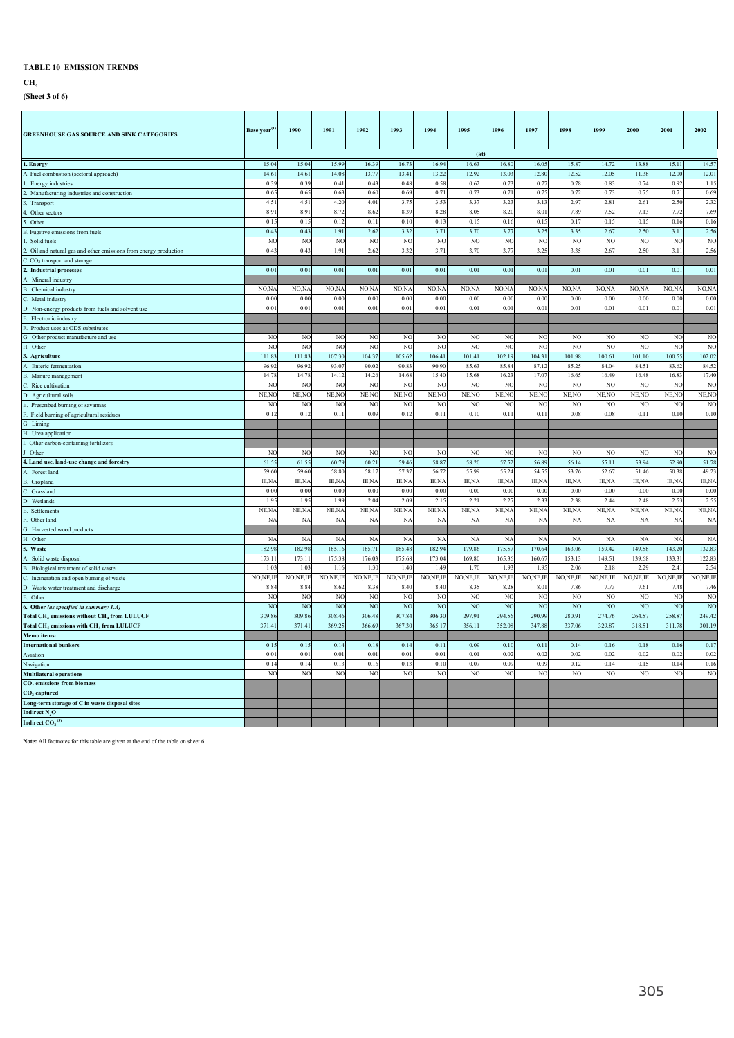### **CH4**

**(Sheet 3 of 6)**

| <b>GREENHOUSE GAS SOURCE AND SINK CATEGORIES</b>                                                           | Base year <sup>(1)</sup> | 1990             | 1991                 | 1992             | 1993               | 1994                             | 1995                 | 1996                 | 1997                    | 1998                    | 1999                 | 2000               | 2001               | 2002                              |
|------------------------------------------------------------------------------------------------------------|--------------------------|------------------|----------------------|------------------|--------------------|----------------------------------|----------------------|----------------------|-------------------------|-------------------------|----------------------|--------------------|--------------------|-----------------------------------|
|                                                                                                            |                          |                  |                      |                  |                    |                                  | (kt)                 |                      |                         |                         |                      |                    |                    |                                   |
| . Energy                                                                                                   | 15.04                    | 15.04            | 15.99                | 16.39            | 16.73              | 16.94                            | 16.63                | 16.80                | 16.0                    | 15.87                   | 14.72                | 13.88              | 15.11              | 14.57                             |
| A. Fuel combustion (sectoral approach)                                                                     | 14.61                    | 14.61            | 14.08                | 13.77            | 13.41              | 13.22                            | 12.92                | 13.03                | 12.8                    | 12.52                   | 12.05                | 11.38              | 12.00              | 12.01                             |
| Energy industries                                                                                          | 0.39                     | 0.39             | 0.41                 | 0.43             | 0.48               | 0.58                             | 0.62                 | 0.73                 | 0.7                     | 0.78                    | $0.8^\circ$          | 0.74               | 0.92               | 1.15                              |
| Manufacturing industries and construction                                                                  | 0.65                     | 0.65             | 0.63                 | 0.60             | 0.69               | 0.71                             | 0.7                  | 0.71                 | 0.7                     | 0.72                    | 0.73                 | 0.75               | 0.71               | 0.69                              |
| Transport                                                                                                  | 4.51                     | 4.51             | 4.20                 | 4.01             | 3.75               | 3.53                             | 3.37                 | 3.23                 | 3.1                     | 2.9'                    | 2.81                 | 2.61               | 2.5(               | 2.32                              |
| Other sectors                                                                                              | 8.91                     | 8.91             | 8.72                 | 8.62             | 8.39               | 8.28                             | 8.05                 | 8.20                 | 8.01                    | 7.89                    | 7.52                 | 7.13               | 7.72               | 7.69                              |
| Other                                                                                                      | 0.15                     | 0.15             | 0.12                 | 0.11             | 0.10               | 0.13                             | 0.1                  | 0.16                 | 0.1                     | 0.1'                    | 0.15                 | 0.13               | 0.16               | 0.16                              |
| 3. Fugitive emissions from fuels                                                                           | 0.43                     | 0.43             | 1.91                 | 2.62             | 3.32               | 3.71                             | 3.70                 | 3.77                 | 3.25                    | 3.35                    | 2.67                 | 2.50               | 3.11               | 2.56                              |
| Solid fuels                                                                                                | NC                       | N <sub>O</sub>   | <b>NO</b>            | NC               | N <sub>O</sub>     | N <sub>O</sub>                   | N <sub>O</sub>       | N <sub>O</sub>       | NC                      | NO                      | N <sub>O</sub>       | NO                 | N <sub>O</sub>     | N <sub>O</sub>                    |
| Oil and natural gas and other emissions from energy production                                             | 0.43                     | 0.43             | 1.91                 | 2.62             | 3.32               | 3.71                             | 3.70                 | 3.77                 | 3.25                    | 3.35                    | 2.67                 | 2.50               | 3.11               | 2.56                              |
| . CO <sub>2</sub> transport and storage                                                                    |                          |                  |                      |                  |                    |                                  |                      |                      |                         |                         |                      |                    |                    |                                   |
| Industrial processes                                                                                       | 0.01                     | 0.01             | 0.01                 | 0.01             | 0.01               | 0.01                             | 0.01                 | 0.01                 | 0.01                    | 0.01                    | 0.01                 | 0.01               | 0.01               | 0.01                              |
| . Mineral industry                                                                                         |                          |                  |                      |                  |                    |                                  |                      |                      |                         |                         |                      |                    |                    |                                   |
| 3. Chemical industry                                                                                       | NO,N<br>0.00             | NO,N/<br>0.00    | NO,N.<br>0.00        | NO,N.<br>0.00    | NO, N<br>0.00      | NO,N/<br>0.00                    | NO,N<br>0.00         | NO,N/<br>0.00        | NO,N.<br>0 <sub>0</sub> | NO, N<br>0 <sub>0</sub> | NO,N<br>0.00         | NO,N<br>0.00       | NO, N/<br>0.00     | NO, N/<br>0.00                    |
| . Metal industry                                                                                           | 0.01                     | 0.01             | 0.01                 | 0.01             | 0.01               | 0.01                             | 0.01                 | 0.01                 | 0.01                    | 0 <sub>0</sub>          | 0.01                 | 0.01               | 0.01               | 0.01                              |
| D. Non-energy products from fuels and solvent use<br>. Electronic industry                                 |                          |                  |                      |                  |                    |                                  |                      |                      |                         |                         |                      |                    |                    |                                   |
| Product uses as ODS substitutes                                                                            |                          |                  |                      |                  |                    |                                  |                      |                      |                         |                         |                      |                    |                    |                                   |
| G. Other product manufacture and use                                                                       | NC                       | NO               | N <sub>O</sub>       | N <sub>O</sub>   | N <sub>C</sub>     | $_{\rm NO}$                      | N <sub>O</sub>       | NO                   | NO                      | NO                      | N <sub>O</sub>       | N <sub>O</sub>     | NO                 | NO                                |
| I. Other                                                                                                   | NO                       | NC               | NO                   | NO               | NC                 | NC                               | N <sub>O</sub>       | NO                   | NC                      | N <sub>0</sub>          | NO                   | NO                 | NO                 | N <sub>O</sub>                    |
| 3. Agriculture                                                                                             | 111.83                   | 111.83           | 107.30               | 104.3            | 105.62             | 106.41                           | 101.41               | 102.19               | 104.31                  | 101.98                  | 100.61               | 101.10             | 100.55             | 102.02                            |
| A. Enteric fermentation                                                                                    | 96.92                    | 96.92            | 93.07                | 90.02            | 90.83              | 90.90                            | 85.63                | 85.84                | 87.1                    | 85.2                    | 84.04                | 84.5               | 83.62              | 84.52                             |
| B. Manure management                                                                                       | 14.78                    | 14.78            | 14.12                | 14.26            | 14.68              | 15.40                            | 15.68                | 16.23                | 17.0'                   | 16.6                    | 16.49                | 16.48              | 16.83              | 17.40                             |
| . Rice cultivation                                                                                         | N <sub>C</sub>           | NO               | NO                   | N <sub>C</sub>   | NO                 | N <sub>O</sub>                   | N <sub>O</sub>       | N <sub>O</sub>       | NC                      | N <sub>0</sub>          | NO                   | N <sub>C</sub>     | N <sub>C</sub>     | N <sub>O</sub>                    |
| D. Agricultural soils                                                                                      | NE,NO                    | NE, NC           | NE, NC               | NE, NO           | NE, NC             | NE, NO                           | NE, NC               | NE,NO                | NE, NO                  | NE, NO                  | NE, NC               | NE, NO             | NE, NO             | NE, NO                            |
| Prescribed burning of savannas                                                                             | NO                       | NC               | NC                   | NC               | NC                 | NC                               | N <sub>O</sub>       | NO                   | N <sub>0</sub>          | N <sub>0</sub>          | NO                   | NO                 | NO                 | N <sub>O</sub>                    |
| Field burning of agricultural residues                                                                     | 0.12                     | 0.12             | 0.11                 | 0.05             | 0.12               | 0.11                             | 0.10                 | 0.11                 | 0.11                    | 0.03                    | 0.08                 | 0.11               | 0.10               | 0.10                              |
| 3. Liming                                                                                                  |                          |                  |                      |                  |                    |                                  |                      |                      |                         |                         |                      |                    |                    |                                   |
| I. Urea application                                                                                        |                          |                  |                      |                  |                    |                                  |                      |                      |                         |                         |                      |                    |                    |                                   |
| Other carbon-containing fertilizers                                                                        |                          |                  |                      |                  |                    |                                  |                      |                      |                         |                         |                      |                    |                    |                                   |
| Other                                                                                                      | NC                       | NO               | N <sub>O</sub>       | NO               | N <sub>C</sub>     | N <sub>O</sub>                   | N <sub>O</sub>       | N <sub>O</sub>       | NC                      | NO                      | N <sub>O</sub>       | NC                 | NO                 | NO                                |
| 4. Land use, land-use change and forestry                                                                  | 61.55                    | 61.55            | 60.7                 | 60.21            | 59.46              | 58.87                            | 58.20                | 57.52                | 56.89                   | 56.14                   | 55.11                | 53.94              | 52.90              | 51.78                             |
| . Forest land                                                                                              | 59.60                    | 59.60            | 58.80                | 58.17            | 57.3               | 56.72                            | 55.99                | 55.24                | 54.5                    | 53.7                    | 52.6'                | 51.46              | 50.38              | 49.23                             |
| <b>B.</b> Cropland                                                                                         | IE,N                     | IE,NA            | IE,N/                | IE,NA            | IE,N               | IE,NA                            | IE, NA               | IE, NA               | IE,N/                   | IE,N/                   | IE,NA                | IE, NA             | IE,N/              | IE, NA                            |
| C. Grassland                                                                                               | 0.00                     | 0.00             | 0.00                 | 0.00             | 0.00               | 0.00                             | 0.00                 | 0.00                 | 0.00                    | 0.00                    | 0.00                 | 0.00               | 0.00               | 0.00                              |
| ). Wetlands                                                                                                | 1.95                     | 1.95             | 1.99                 | 2.04             | 2.09               | 2.15                             | 2.21                 | 2.27                 | 2.33                    | 2.38                    | 2.44                 | 2.48               | 2.53               | 2.55                              |
| Settlements                                                                                                | NE,N.                    | NE, NA           | NE, NA               | NE, N            | NE, NA             | NE, NA                           | NE, NA               | NE, NA               | NE, N/                  | NE,N/                   | NE, NA               | NE, N/             | NE, NA             | NE, NA                            |
| Other land                                                                                                 | <b>NA</b>                | <b>NA</b>        | NA                   | <b>NA</b>        | <b>NA</b>          | NA                               | <b>NA</b>            | NA                   | NA                      | NA                      | NA                   | NA                 | $N_A$              | <b>NA</b>                         |
| i. Harvested wood products                                                                                 |                          |                  |                      |                  |                    |                                  |                      |                      |                         |                         |                      |                    |                    |                                   |
| I. Other                                                                                                   | N/                       | <b>NA</b>        | NA                   | N/               | NA                 | <b>NA</b>                        | <b>NA</b>            | <b>NA</b>            | <b>NA</b>               | N/                      | NA                   | NA                 | $N_A$              | NA                                |
| . Waste                                                                                                    | 182.98                   | 182.98           | 185.16               | 185.71           | 185.48             | 182.94                           | 179.86               | 175.57               | 170.64                  | 163.06                  | 159.42               | 149.58             | 143.20             | 132.83                            |
| A. Solid waste disposal                                                                                    | 173.1                    | 173.11           | 175.38               | 176.03           | 175.68             | 173.04                           | 169.80               | 165.36               | 160.6                   | 153.13                  | 149.51               | 139.68             | 133.31             | 122.83                            |
| 3. Biological treatment of solid waste                                                                     | 1.03                     | 1.03             | 11                   | 1.30             | 1.40               | 1.49                             | 17                   | 19 <sup>°</sup>      | 19                      | 2.06                    | 2.18                 | $2.2^{\circ}$      | 2.41               | 2.54                              |
| Incineration and open burning of waste                                                                     | NO, NE, II               | NO,NE,IE<br>8.84 | NO, NE, IE<br>8.62   | NO,NE,IE<br>8.38 | NO, NE, IE<br>8.40 | NO, NE, IE<br>8.40               | NO, NE, IE<br>8.35   | NO,NE,IE<br>8.28     | NO, NE, IE<br>8.01      | NO,NE,II<br>7.86        | NO, NE, IE<br>7.73   | NO, NE, II<br>7.61 | NO, NE, II<br>7.48 | NO, NE, II<br>7.46                |
| O. Waste water treatment and discharge                                                                     | 8.84<br>NO               | NC               |                      |                  | NC                 |                                  |                      |                      | N <sub>C</sub>          |                         |                      | N <sub>C</sub>     | NO                 |                                   |
| . Other                                                                                                    | N <sub>O</sub>           | N <sub>C</sub>   | NO<br>N <sub>O</sub> | NO<br><b>NO</b>  | N <sub>O</sub>     | N <sub>O</sub><br>N <sub>O</sub> | NC<br>N <sub>O</sub> | NO<br>N <sub>O</sub> | N <sub>O</sub>          | N<br>N                  | N <sub>O</sub><br>NO | N <sub>O</sub>     | NO                 | N <sub>O</sub><br>NO <sub>1</sub> |
| Other (as specified in summary 1.A)<br>Total CH <sub>4</sub> emissions without CH <sub>4</sub> from LULUCF | 309.86                   | 309.86           | 308.46               | 306.48           | 307.84             | 306.30                           | 297.91               | 294.56               | 290.99                  | 280.9                   | 274.76               | 264.5'             | 258.87             | 249.42                            |
| <b>Total CH<sub>4</sub></b> emissions with CH <sub>4</sub> from LULUCF                                     | 371.41                   | 371.41           | 369.25               | 366.69           | 367.30             | 365.17                           | 356.11               | 352.08               | 347.88                  | 337.06                  | 329.87               | 318.51             | 311.78             | 301.19                            |
| Memo items:                                                                                                |                          |                  |                      |                  |                    |                                  |                      |                      |                         |                         |                      |                    |                    |                                   |
| <b>International bunkers</b>                                                                               | 0.15                     | 0.15             | 0.14                 | 0.18             | 0.14               | 0.11                             | 0.09                 | 0.10                 | 0.11                    | 0.14                    | 0.16                 | 0.18               | 0.16               | 0.17                              |
| Aviation                                                                                                   | 0.01                     | 0.01             | 0.01                 | 0.01             | 0.01               | 0.01                             | 0.01                 | 0.02                 | 0.02                    | 0.02                    | 0.02                 | 0.02               | 0.02               | 0.02                              |
| Navigation                                                                                                 | 0.14                     | 0.14             | 0.13                 | 0.16             | 0.13               | 0.10                             | 0.07                 | 0.05                 | 0.09                    | 0.12                    | 0.14                 | 0.13               | 0.14               | 0.16                              |
| <b>Multilateral operations</b>                                                                             | N <sub>O</sub>           | N <sub>O</sub>   | N <sub>O</sub>       | NO               | N <sub>O</sub>     | NO                               | N <sub>O</sub>       | N <sub>O</sub>       | NO                      | NO                      | N <sub>O</sub>       | N <sub>O</sub>     | N <sub>O</sub>     | N <sub>O</sub>                    |
| CO <sub>2</sub> emissions from biomass                                                                     |                          |                  |                      |                  |                    |                                  |                      |                      |                         |                         |                      |                    |                    |                                   |
| CO <sub>2</sub> captured                                                                                   |                          |                  |                      |                  |                    |                                  |                      |                      |                         |                         |                      |                    |                    |                                   |
| Long-term storage of C in waste disposal sites                                                             |                          |                  |                      |                  |                    |                                  |                      |                      |                         |                         |                      |                    |                    |                                   |
| Indirect N <sub>2</sub> O                                                                                  |                          |                  |                      |                  |                    |                                  |                      |                      |                         |                         |                      |                    |                    |                                   |
| Indirect $CO2$ <sup>(3)</sup>                                                                              |                          |                  |                      |                  |                    |                                  |                      |                      |                         |                         |                      |                    |                    |                                   |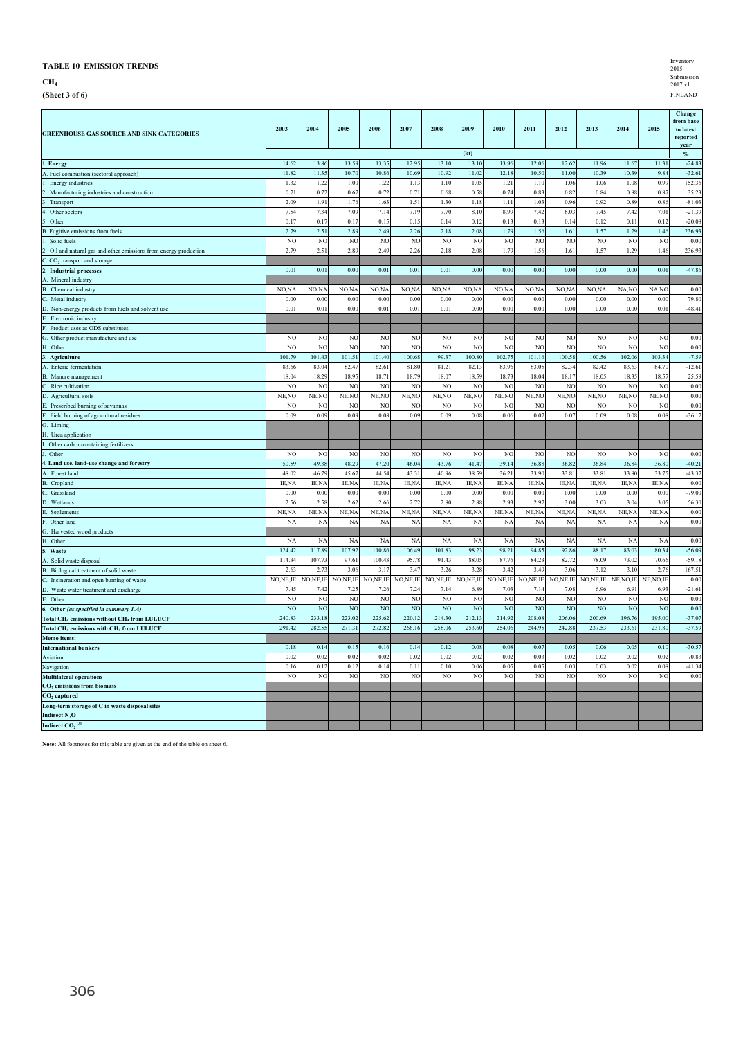**CH4**

**(Sheet 3 of 6)** FINLAND

| <b>GREENHOUSE GAS SOURCE AND SINK CATEGORIES</b>                         | 2003                    | 2004                    | 2005                    | 2006           | 2007                   | 2008           | 2009                   | 2010           | 2011                | 2012         | 2013           | 2014                   | 2015             | Change<br>from base<br>to latest<br>reported |
|--------------------------------------------------------------------------|-------------------------|-------------------------|-------------------------|----------------|------------------------|----------------|------------------------|----------------|---------------------|--------------|----------------|------------------------|------------------|----------------------------------------------|
|                                                                          |                         |                         |                         |                |                        |                | (kt)                   |                |                     |              |                |                        |                  | year<br>$\%$                                 |
| 1. Energy                                                                | 14.62                   | 13.86                   | 13.59                   | 13.35          | 12.95                  | 13.10          | 13.10                  | 13.96          | 12.06               | 12.62        | 11.96          | 11.67                  | 11.31            | $-24.83$                                     |
| A. Fuel combustion (sectoral approach)                                   | 11.82                   | 11.35                   | 10.70                   | 10.86          | 10.69                  | 10.92          | 11.02                  | 12.18          | 10.50               | 11.00        | 10.39          | 10.39                  | 9.84             | $-32.61$                                     |
| Energy industries                                                        | 1.32                    | 1.22                    | 1.00                    | 1.22           | 1.13                   | 1.10           | 1.05                   | 1.21           | 1.10                | 1.06         | 1.06           | 1.08                   | 0.99             | 152.36                                       |
| 2. Manufacturing industries and construction                             | 0.71                    | 0.72                    | 0.67                    | 0.72           | 0.71                   | 0.68           | 0.58                   | 0.74           | 0.83                | 0.82         | 0.84           | 0.88                   | 0.87             | 35.23                                        |
| Transport                                                                | 2.09                    | 1.91                    | 1.76                    | 1.63           | 1.51                   | 1.30           | 1.18                   | 1.11           | 1.03                | 0.96         | 0.92           | 0.89                   | 0.86             | $-81.03$                                     |
| 4. Other sectors                                                         | 7.54                    | 7.34                    | 7.09                    | 7.14           | 7.19                   | 7.70           | 8.10                   | 8.99           | 7.42                | 8.03         | 7.45           | 7.42                   | 7.01             | $-21.39$                                     |
| $\overline{\phantom{0}}$<br>Other                                        | 0.17                    | 0.17                    | 0.17                    | 0.15           | 0.15                   | 0.14           | 0.12                   | 0.13           | 0.13                | 0.14         | 0.12           | 0.11                   | 0.12             | $-20.08$                                     |
| B. Fugitive emissions from fuels                                         | 2.79                    | 2.51                    | 2.89                    | 2.49           | 2.26                   | 2.18           | 2.08                   | 1.79           | 1.56                | 1.61         | 1.57           | 1.29                   | 1.46             | 236.93                                       |
| Solid fuels<br>1.                                                        | N <sub>O</sub>          | NO                      | N <sub>O</sub>          | NO             | N <sub>O</sub>         | N <sub>O</sub> | NO                     | NO             | N <sub>O</sub>      | NO           | N <sub>O</sub> | N <sub>O</sub>         | NC               | 0.00                                         |
| 2. Oil and natural gas and other emissions from energy production        | 2.79                    | 2.51                    | 2.89                    | 2.49           | 2.26                   | 2.18           | 2.08                   | 1.79           | 1.56                | 1.61         | 1.57           | 1.29                   | 1.46             | 236.93                                       |
| C. CO <sub>2</sub> transport and storage                                 |                         |                         |                         |                |                        |                |                        |                |                     |              |                |                        |                  |                                              |
| 2. Industrial processes                                                  | 0.01                    | 0.01                    | 0.00                    | 0.01           | 0.01                   | 0.01           | 0 <sup>0</sup>         | 0 <sup>0</sup> | 0.00                | 0.00         | 0.00           | 0.00                   | 0.01             | $-47.86$                                     |
| A. Mineral industry                                                      |                         |                         |                         |                |                        |                |                        |                |                     |              |                |                        |                  |                                              |
| B. Chemical industry                                                     | NO,NA                   | NO,NA                   | NO,NA                   | NO,NA          | NO,NA                  | NO,NA          | NO,NA                  | NO,NA          | NO,NA               | NO,N/        | NO,N/          | NA,NO                  | NA,NC            | 0.00                                         |
| Ċ.<br>Metal industry                                                     | 0.00                    | 0.00                    | 0.00                    | 0.00           | 0.00                   | 0.00           | 0.00                   | 0.00           | 0.00                | 0.00         | 0.00           | 0.00                   | 0.00             | 79.80                                        |
| D. Non-energy products from fuels and solvent use                        | 0.01                    | 0.01                    | 0.00                    | 0.01           | 0.01                   | 0.01           | 0.00                   | 0.00           | 0.00                | 0.00         | 0.00           | 0.00                   | 0.01             | $-48.4$                                      |
| E. Electronic industry                                                   |                         |                         |                         |                |                        |                |                        |                |                     |              |                |                        |                  |                                              |
| Product uses as ODS substitutes                                          |                         |                         |                         |                |                        |                |                        |                |                     |              |                |                        |                  |                                              |
| G. Other product manufacture and use                                     | NO                      | NO                      | NO                      | NO             | N <sub>O</sub>         | N <sub>O</sub> | N <sub>O</sub>         | N <sub>O</sub> | N <sub>O</sub>      | NO           | NO             | NO                     | NO               | 0.00                                         |
| H. Other                                                                 | NC                      | N <sub>O</sub>          | N <sub>O</sub>          | N <sub>O</sub> | NC                     | N <sub>O</sub> | NO                     | N <sub>O</sub> | NC                  | NO           | NO             | N <sub>O</sub>         | NC               | 0.00                                         |
| 3. Agriculture                                                           | 101.79                  | 101.43                  | 101.51                  | 101.40         | 100.68                 | 99.37          | 100.80                 | 102.75         | 101.16              | 100.58       | 100.56         | 102.06                 | 103.34           | $-7.59$                                      |
| A. Enteric fermentation                                                  | 83.66                   | 83.04                   | 82.47                   | 82.61          | 81.80                  | 81.21          | 82.13                  | 83.96          | 83.0                | 82.34        | 82.42          | 83.63                  | 84.70            | $-12.6$                                      |
| B. Manure management                                                     | 18.04<br>N <sub>O</sub> | 18.29<br>N <sub>O</sub> | 18.95<br>N <sub>O</sub> | 18.71<br>NC    | 18.79                  | 18.07<br>NO    | 18.59<br>NO            | 18.7<br>NC     | 18.04               | 18.1         | 18.05<br>NO    | 18.35<br>NO            | 18.5'            | 25.59<br>0.00                                |
| Ċ.<br>Rice cultivation                                                   | NE,NO                   | NE, NO                  | NE, NO                  | NE, NO         | NC<br>NE, NC           | NE, NO         | NE, NO                 | NE, NC         | NO<br>NE, NC        | NO<br>NE, NO | NE, NO         | NE, NO                 | NO<br>NE, NO     | 0.00                                         |
| D. Agricultural soils                                                    |                         |                         |                         |                |                        |                |                        |                |                     |              |                |                        |                  | 0.00                                         |
| E. Prescribed burning of savannas                                        | NC<br>0.09              | N <sub>O</sub><br>0.05  | NO<br>0.09              | NC<br>0.08     | N <sub>O</sub><br>0.09 | NO<br>0.09     | N <sub>O</sub><br>0.08 | NC<br>0.06     | NO<br>$0.0^{\circ}$ | NO<br>0.07   | NC<br>0.09     | N <sub>O</sub><br>0.08 | NC<br>0.08       | $-36.17$                                     |
| F. Field burning of agricultural residues<br>G. Liming                   |                         |                         |                         |                |                        |                |                        |                |                     |              |                |                        |                  |                                              |
| H. Urea application                                                      |                         |                         |                         |                |                        |                |                        |                |                     |              |                |                        |                  |                                              |
| I. Other carbon-containing fertilizers                                   |                         |                         |                         |                |                        |                |                        |                |                     |              |                |                        |                  |                                              |
| Other                                                                    | NC                      | NO                      | NO                      | NC             | N <sub>C</sub>         | NO             | NC                     | NC             | NO                  | NO           | NC             | NC                     | NO               | 0.00                                         |
| 4. Land use, land-use change and forestry                                | 50.59                   | 49.38                   | 48.29                   | 47.20          | 46.04                  | 43.7           | 41.47                  | 39.14          | 36.88               | 36.82        | 36.84          | 36.84                  | 36.80            | $-40.21$                                     |
| A. Forest land                                                           | 48.02                   | 46.79                   | 45.67                   | 44.54          | 43.31                  | 40.96          | 38.59                  | 36.21          | 33.90               | 33.8         | 33.8           | 33.80                  | 33.7             | $-43.37$                                     |
| <b>B.</b> Cropland                                                       | IE, NA                  | IE, NA                  | IE,NA                   | IE, NA         | IE, NA                 | IE, NA         | IE, NA                 | IE, NA         | IE, NA              | IE,NA        | IE,NA          | IE, NA                 | IE,N/            | 0.00                                         |
| C. Grassland                                                             | 0.00                    | 0.00                    | 0.00                    | 0.00           | 0.00                   | 0.00           | 0.00                   | 0.00           | 0.00                | 0.00         | 0.00           | 0.00                   | 0.00             | $-79.00$                                     |
| D. Wetlands                                                              | 2.56                    | 2.58                    | 2.62                    | 2.66           | 2.72                   | 2.80           | 2.88                   | 2.93           | 2.97                | 3.00         | 3.03           | 3.04                   | 3.05             | 56.30                                        |
| Ē.<br>Settlements                                                        | NE,NA                   | NE, NA                  | NE, NA                  | NE, NA         | NE, NA                 | NE, NA         | NE, NA                 | NE,NA          | NE,NA               | NE, NA       | NE,NA          | NE, NA                 | NE, NA           | 0.00                                         |
| F. Other land                                                            | NA                      | <b>NA</b>               | <b>NA</b>               | <b>NA</b>      | <b>NA</b>              | <b>NA</b>      | N <sub>A</sub>         | <b>NA</b>      | <b>NA</b>           | NA           | N/             | NA                     | NA               | 0.00                                         |
| G. Harvested wood products                                               |                         |                         |                         |                |                        |                |                        |                |                     |              |                |                        |                  |                                              |
| H. Other                                                                 | N/                      | NA                      | NA                      | <b>NA</b>      | NA                     | N              | NA                     | NA             | NA                  | NA           | $N_A$          | $N_A$                  | N/               | 0.00                                         |
| 5. Waste                                                                 | 124.42                  | 117.89                  | 107.92                  | 110.86         | 106.49                 | 101.83         | 98.23                  | 98.21          | 94.85               | 92.86        | 88.17          | 83.03                  | 80.34            | $-56.09$                                     |
| A. Solid waste disposal                                                  | 114.34                  | 107.73                  | 97.61                   | 100.43         | 95.78                  | 91.43          | 88.05                  | 87.7(          | 84.23               | 82.72        | 78.09          | 73.02                  | 70.66            | $-59.18$                                     |
| B.<br>Biological treatment of solid waste                                | 2.6                     | 2.73                    | 3.06                    | 3.1'           | 3.47                   | 3.26           | 3.28                   | 3.42           | 3.49                | 3.06         | 3.12           | 3.10                   | 2.7 <sub>0</sub> | 167.5                                        |
| Incineration and open burning of waste<br>Ċ                              | NO, NE, IE              | NO, NE, IE              | NO, NE, IE              | NO, NE, IE     | NO, NE, IE             | NO, NE, IE     | NO,NE,IE               | NO, NE, IE     | NO, NE, IE          | NO,NE,IE     | NO, NE, IE     | NE, NO, IE             | NE, NO, IE       | 0.00                                         |
| D. Waste water treatment and discharge                                   | 7.45                    | 7.42                    | 7.25                    | 7.26           | 7.24                   | 7.14           | 6.89                   | 7.03           | 7.14                | 7.08         | 6.96           | 6.91                   | 6.93             | $-21.61$                                     |
| E. Other                                                                 | NC                      | NC                      | NC                      | NO             | NC                     | NO             | NC                     | NC             | NO                  | NC           | NC             | NO                     | NO               | 0.00                                         |
| 6. Other (as specified in summary 1.A)                                   | NC                      | N <sub>O</sub>          | N <sub>O</sub>          | NO             | N <sub>O</sub>         | N <sub>O</sub> | NC                     | N <sub>O</sub> | NO                  | NO           | NO             | N <sub>O</sub>         | NC               | 0.00                                         |
| Total CH <sub>4</sub> emissions without CH <sub>4</sub> from LULUCF      | 240.83                  | 233.18                  | 223.02                  | 225.62         | 220.12                 | 214.30         | 212.13                 | 214.92         | 208.08              | 206.06       | 200.69         | 196.76                 | 195.00           | $-37.07$                                     |
| Total CH <sub>4</sub> emissions with CH <sub>4</sub> from LULUCF         | 291.42                  | 282.55                  | 271.31                  | 272.82         | 266.16                 | 258.06         | 253.60                 | 254.00         | 244.9               | 242.88       | 237.53         | 233.61                 | 231.80           | $-37.59$                                     |
| Memo items:                                                              |                         |                         |                         |                |                        |                |                        |                |                     |              |                |                        |                  |                                              |
| <b>International bunkers</b>                                             | 0.18                    | 0.14                    | 0.15                    | 0.16           | 0.14                   | 0.12           | 0.08                   | 0.08           | 0.07                | 0.05         | 0.06           | 0.05                   | 0.10             | $-30.57$                                     |
| Aviation                                                                 | 0.02                    | 0.02                    | 0.02                    | 0.02           | 0.02                   | 0.02           | 0.02                   | 0.02           | 0.03                | 0.02         | 0.02           | 0.02                   | 0.02             | 70.83                                        |
| Navigation                                                               | 0.16                    | 0.12                    | 0.12                    | 0.14           | 0.11                   | 0.10           | 0.06                   | 0.05           | 0.05                | 0.03         | 0.03           | 0.02                   | 0.08             | $-41.34$                                     |
| <b>Multilateral operations</b><br>CO <sub>2</sub> emissions from biomass | N <sub>O</sub>          | NO                      | N <sub>O</sub>          | NO             | N <sub>O</sub>         | N <sub>O</sub> | NO                     | NO             | N <sub>O</sub>      | NO           | N <sub>O</sub> | NO                     | NO               | 0.00                                         |
| CO <sub>2</sub> captured                                                 |                         |                         |                         |                |                        |                |                        |                |                     |              |                |                        |                  |                                              |
| Long-term storage of C in waste disposal sites                           |                         |                         |                         |                |                        |                |                        |                |                     |              |                |                        |                  |                                              |
| Indirect N <sub>2</sub> O                                                |                         |                         |                         |                |                        |                |                        |                |                     |              |                |                        |                  |                                              |
| Indirect $\overline{{\rm CO}_2}^{(3)}$                                   |                         |                         |                         |                |                        |                |                        |                |                     |              |                |                        |                  |                                              |
|                                                                          |                         |                         |                         |                |                        |                |                        |                |                     |              |                |                        |                  |                                              |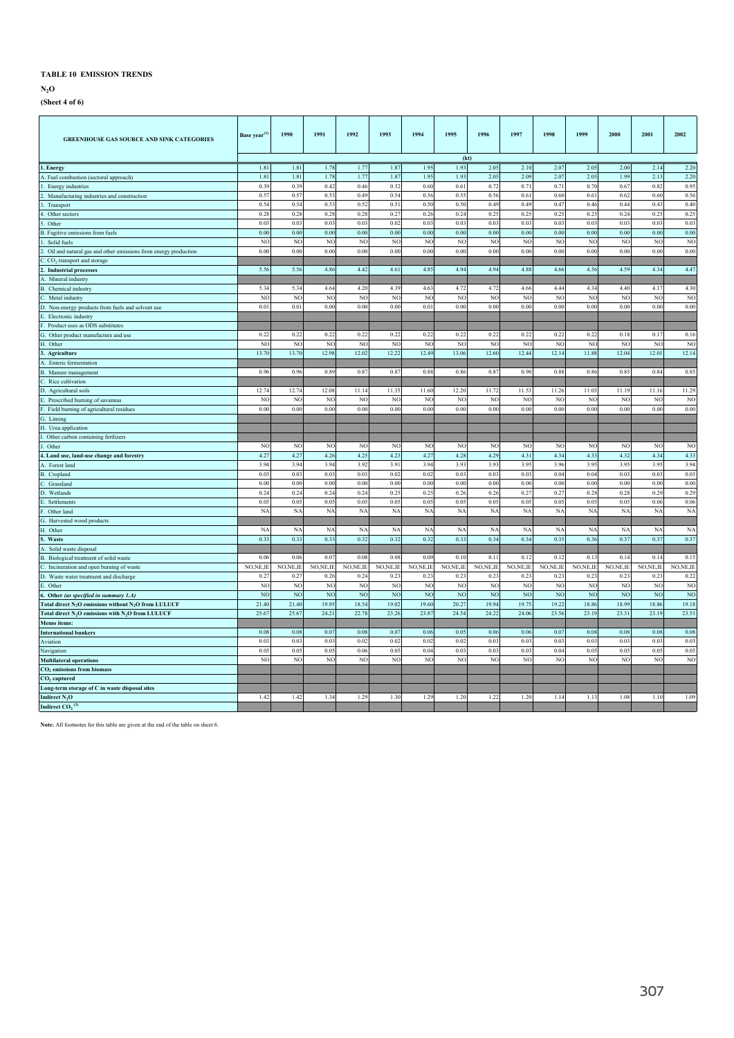**N2O**

## **(Sheet 4 of 6)**

| <b>GREENHOUSE GAS SOURCE AND SINK CATEGORIES</b>                             | Base year <sup>(1</sup> | 1990           | 1991           | 1992           | 1993      | 1994           | 1995           | 1996           | 1997           | 1998           | 1999           | 2000           | 2001           | 2002           |
|------------------------------------------------------------------------------|-------------------------|----------------|----------------|----------------|-----------|----------------|----------------|----------------|----------------|----------------|----------------|----------------|----------------|----------------|
|                                                                              |                         |                |                |                |           |                | (kt)           |                |                |                |                |                |                |                |
| l. Energy                                                                    | 1.81                    | 1.81           | 1.78           | 1.77           | 1.87      | 1.95           | 1.93           | 2.05           | 2.10           | 2.07           | 2.05           | 2.00           | 2.14           | 2.20           |
| A. Fuel combustion (sectoral approach)                                       | 1.81                    | 1.81           | 1.78           | $1.7^{\circ}$  | 1.87      | 1.95           | 1.93           | 2.05           | 2.09           | 2.07           | 2.05           | 1.99           | 2.13           | 2.20           |
| Energy industries                                                            | 0.39                    | 0.39           | 0.42           | 0.46           | 0.52      | 0.60           | 0.61           | 0.72           | 0.71           | 0.71           | 0.70           | 0.67           | 0.82           | 0.95           |
| Manufacturing industries and construction                                    | $0.5^{\circ}$           | 0.57           | 0.53           | 0.49           | 0.54      | 0.56           | 0.55           | 0.56           | 0.61           | 0.60           | 0.61           | 0.62           | 0.60           | 0.56           |
| Transport                                                                    | 0.54                    | 0.54           | 0.53           | 0.52           | 0.51      | 0.50           | 0.50           | 0.49           | 0.49           | 0.47           | 0.46           | 0.44           | 0.43           | 0.40           |
| Other sectors                                                                | 0.28                    | 0.28           | 0.28           | 0.28           | 0.27      | 0.26           | 0.24           | 0.25           | 0.25           | 0.25           | 0.25           | 0.24           | 0.25           | 0.25           |
| Other                                                                        | 0.03                    | 0.03           | 0.03           | 0.03           | 0.02      | 0.03           | 0.03           | 0.03           | 0.03           | 0.03           | 0.03           | 0.03           | 0.03           | 0.03           |
| Fugitive emissions from fuels                                                | 0.00                    | 0.00           | 0.00           | 0.00           | 0.00      | 0.00           | 0.00           | 0.00           | 0.00           | 0.00           | 0.00           | 0.00           | 0.00           | 0.00           |
| Solid fuels                                                                  | N <sub>C</sub>          | <b>NC</b>      | NC             | N <sub>O</sub> | NO        | N <sub>O</sub> | N <sub>C</sub> | NC             | N <sub>O</sub> | NO             | NO             | N <sub>O</sub> | N <sub>O</sub> | N <sub>C</sub> |
| Oil and natural gas and other emissions from energy production               | 0.00                    | 0.00           | 0.00           | 0.00           | 0.00      | 0.00           | 0.00           | 0.00           | 0.00           | 0.00           | 0.00           | 0.00           | 0.00           | 0.00           |
| $C$ . $CO2$ transport and storage                                            |                         |                |                |                |           |                |                |                |                |                |                |                |                |                |
| <b>Industrial processes</b>                                                  | 5.56                    | 5.56           | 4.86           | 4.42           | 4.61      | 4.85           | 4.94           | 4.94           | 4.88           | 4.66           | 4.56           | 4.59           | 4.34           | 4.47           |
| . Mineral industry                                                           |                         |                |                |                |           |                |                |                |                |                |                |                |                |                |
| 3. Chemical industry                                                         | 5.34                    | 534            | 46             | 4.20           | 4.39      | 4.63           | 4.72           | 4.72           | 4.66           | 4.44           | 434            | 4.40           | 4.17           | 4.30           |
| Metal industry                                                               | NC                      | <b>NC</b>      | NC             | NC             | <b>NC</b> | NO             | N <sub>C</sub> | N <sub>C</sub> | N <sub>C</sub> | N <sub>C</sub> | N <sub>O</sub> | N <sub>O</sub> | N <sub>C</sub> | N <sub>C</sub> |
| D. Non-energy products from fuels and solvent use                            | 0.01                    | 0.01           | 0.00           | 0.00           | 0.00      | 0.01           | 0.00           | 0.00           | 0.00           | 0.00           | 0.00           | 0.00           | 0.00           | 0.00           |
| Electronic industry                                                          |                         |                |                |                |           |                |                |                |                |                |                |                |                |                |
| Product uses as ODS substitutes                                              |                         |                |                |                |           |                |                |                |                |                |                |                |                |                |
| 3. Other product manufacture and use                                         | 0.22                    | 0.22           | 0.22           | 0.22           | 0.22      | 0.22           | 0.22           | 0.22           | 0.22           | 0.22           | 0.22           | 0.18           | 0.17           | 0.16           |
| I. Other                                                                     | NC                      | NC             | NO             | N <sub>C</sub> | <b>NC</b> | <b>NO</b>      | N <sub>C</sub> | NO             | NO             | NO             | <b>NC</b>      | NO             | NC             | NC             |
| . Agriculture                                                                | 13.70                   | 13.70          | 12.98          | 12.02          | 12.22     | 12.49          | 13.06          | 12.60          | 12.44          | 12.14          | 11.88          | 12.04          | 12.01          | 12.14          |
| A. Enteric fermentation                                                      |                         |                |                |                |           |                |                |                |                |                |                |                |                |                |
| 3. Manure management                                                         | 0.96                    | 0.96           | 0.89           | $0.8^{\circ}$  | 0.87      | 0.88           | 0.86           | $0.8^{\circ}$  | 0.90           | 0.88           | 0.86           | 0.85           | 0.84           | 0.85           |
| Rice cultivation                                                             |                         |                |                |                |           |                |                |                |                |                |                |                |                |                |
| D. Agricultural soils                                                        | 12.74                   | 12.74          | 12.08          | 11.14          | 11.35     | 11.60          | 12.20          | 11.72          | 11.53          | 11.26          | 11.03          | 11.19          | 11.16          | 11.29          |
| Prescribed burning of savannas                                               | NC                      | NC             | NC             | N <sub>C</sub> | NO        | <b>NO</b>      | N <sub>0</sub> | NO             | NO             | NC             | N <sub>C</sub> | NO             | NO             | NC             |
| Field burning of agricultural residues                                       | 0.00                    | 0.00           | 0.00           | 0.00           | 0.00      | 0.00           | 0.00           | 0.00           | 0.00           | 0.00           | 0.00           | 0.00           | 0.00           | 0.00           |
| 3. Liming                                                                    |                         |                |                |                |           |                |                |                |                |                |                |                |                |                |
| I. Urea application                                                          |                         |                |                |                |           |                |                |                |                |                |                |                |                |                |
| Other carbon containing fertlizers                                           |                         |                |                |                |           |                |                |                |                |                |                |                |                |                |
| Other                                                                        | N <sub>C</sub>          | N <sub>C</sub> | NC             | N <sub>O</sub> | NO        | N <sub>O</sub> | N <sub>O</sub> | NO             | NO             | NO             | N <sub>O</sub> | N <sub>O</sub> | N <sub>O</sub> | N <sub>O</sub> |
| . Land use, land-use change and forestry                                     | 4.27                    | 4.27           | 4.26           | 4.25           | 4.23      | $4.2^{\circ}$  | 4.28           | 4.29           | 4.31           | 4.34           | 4.33           | 4.32           | 4.34           | 4.33           |
| . Forest land                                                                | 3.94                    | 3.94           | 3.94           | 3.92           | 3.91      | 3.94           | 3.9            | 3.9            | 3.95           | 3.96           | 3.95           | 3.95           | 3.95           | 3.94           |
| 3. Cropland                                                                  | 0.03                    | 0.03           | 0.0            | 0.03           | 0.02      | 0.02           | 0.03           | $00^{\circ}$   | 0.03           | 0.04           | 0.04           | 0.03           | 0.03           | 0.03           |
| C. Grassland                                                                 | 0.00                    | 0.00           | 0.00           | 0.00           | 0.00      | 0.00           | 0.00           | 0.00           | 0.00           | 0.00           | 0.00           | 0.00           | 0.00           | 0.00           |
| ). Wetlands                                                                  | 0.24                    | 0.24           | 0.24           | 0.24           | 0.25      | 0.25           | 0.26           | 0.26           | 0.27           | 0.27           | 0.28           | 0.28           | 0.29           | 0.29           |
| Settlements                                                                  | 0.05                    | 0.05           | 0.05           | 0.05           | 0.05      | 0.05           | 0.05           | 0.05           | 0.05           | 0.05           | 0.05           | 0.05           | 0.06           | 0.06           |
| Other land                                                                   | N                       | N <sub>A</sub> | NA             | <b>NA</b>      | <b>NA</b> | <b>NA</b>      | <b>NA</b>      | <b>NA</b>      | <b>NA</b>      | NA             | NA             | N/             | NA             | N <sub>A</sub> |
| G. Harvested wood products                                                   |                         |                |                |                |           |                |                |                |                |                |                |                |                |                |
| I. Other                                                                     | N/                      | NA             | N/             | NA             | <b>NA</b> | <b>NA</b>      | NA             | NA             | NA             | N/             | N <sub>A</sub> | N/             | N              | <b>NA</b>      |
| Waste                                                                        | 0.33                    | 0.33           | 0.33           | 0.32           | 0.32      | 0.32           | 0.33           | 0.34           | 0.34           | 0.35           | 0.36           | 0.37           | 0.37           | 0.37           |
| . Solid waste disposal                                                       |                         |                |                |                |           |                |                |                |                |                |                |                |                |                |
| 3. Biological treatment of solid waste                                       | 0 <sub>0</sub>          | 0.06           | 0.07           | 0.08           | 0.05      | 0.09           | 0.10           | 0.11           | 0.12           | 0.12           | 0.13           | 0.14           | 0.14           | 0.15           |
| . Incineration and open burning of waste                                     | NO, NE, IE              | NO, NE, IE     | NO, NE, II     | NO, NE, II     | NO,NE,IE  | NO, NE, IE     | NO, NE, IE     | NO, NE, IF     | NO, NE, IE     | NO, NE, IF     | NO, NE, IE     | NO, NE, IE     | NO, NE, IE     | NO, NE, IF     |
| D. Waste water treatment and discharge                                       | 0.27                    | 0.27           | 0.26           | 0.24           | 0.23      | 0.23           | 0.23           | 0.23           | 0.23           | 0.23           | 0.23           | 0.23           | 0.23           | 0.22           |
| Other                                                                        | NO                      | NO             | NC             | NO             | NO        | N <sub>O</sub> | N <sub>O</sub> | N <sub>C</sub> | NO             | NO             | N <sub>O</sub> | N <sub>O</sub> | N <sub>O</sub> | NC             |
| Other (as specified in summary 1.A)                                          | <b>NC</b>               | <b>NC</b>      | N <sub>O</sub> | <b>NC</b>      | <b>NC</b> | N <sub>O</sub> | N <sub>C</sub> | NC             | N <sub>O</sub> | NO             | N <sub>O</sub> | N <sub>O</sub> | N <sub>O</sub> | N <sub>O</sub> |
| Total direct N <sub>2</sub> O emissions without N <sub>2</sub> O from LULUCF | 21.40                   | 21.40          | 19.95          | 18.54          | 19.02     | 19.60          | 20.27          | 19.94          | 19.75          | 19.22          | 18.86          | 18.99          | 18.86          | 19.18          |
| Total direct N <sub>2</sub> O emissions with N <sub>2</sub> O from LULUCF    | 25.67                   | 25.67          | 24.21          | 22.78          | 23.26     | 23.87          | 24.54          | 24.22          | 24.06          | 23.56          | 23.19          | 23.31          | 23.19          | 23.51          |
| Memo items:                                                                  |                         |                |                |                |           |                |                |                |                |                |                |                |                |                |
| nternational bunkers                                                         | 0.08                    | 0.08           | $0.0^{\circ}$  | 0.08           | 0.07      | 0.06           | 0.05           | 0.06           | 0.06           | 0.07           | 0.08           | 0.08           | 0.08           | 0.08           |
| Aviation                                                                     | 0.03                    | 0.03           | 0 <sup>0</sup> | 0.02           | 0.02      | 0.02           | 0.02           | 0.03           | 0.03           | 0.03           | 0.03           | 0.03           | 0.03           | 0.03           |
| Navigation                                                                   | 0.05                    | 0.05           | 0.05           | 0.06           | 0.05      | 0.04           | 0.03           | 0.03           | 0.03           | 0.04           | 0.05           | 0.03           | 0.05           | 0.05           |
| <b>Multilateral operations</b>                                               | NO                      | NO             | N <sub>O</sub> | NO             | NO        | N <sub>O</sub> | N <sub>O</sub> | NO             | NO             | NO             | NO             | NO             | N <sub>O</sub> | N <sub>O</sub> |
| CO <sub>2</sub> emissions from biomass                                       |                         |                |                |                |           |                |                |                |                |                |                |                |                |                |
| $CO2$ captured                                                               |                         |                |                |                |           |                |                |                |                |                |                |                |                |                |
| Long-term storage of C in waste disposal sites                               |                         |                |                |                |           |                |                |                |                |                |                |                |                |                |
| Indirect N <sub>2</sub> O                                                    | 1.42                    | 142            | 134            | 125            | 1.30      | 1.29           | 1,20           | 122            | 120            | 1 1 4          | 113            | 1.08           | 110            | 1.09           |
| Indirect CO, $^6$                                                            |                         |                |                |                |           |                |                |                |                |                |                |                |                |                |
|                                                                              |                         |                |                |                |           |                |                |                |                |                |                |                |                |                |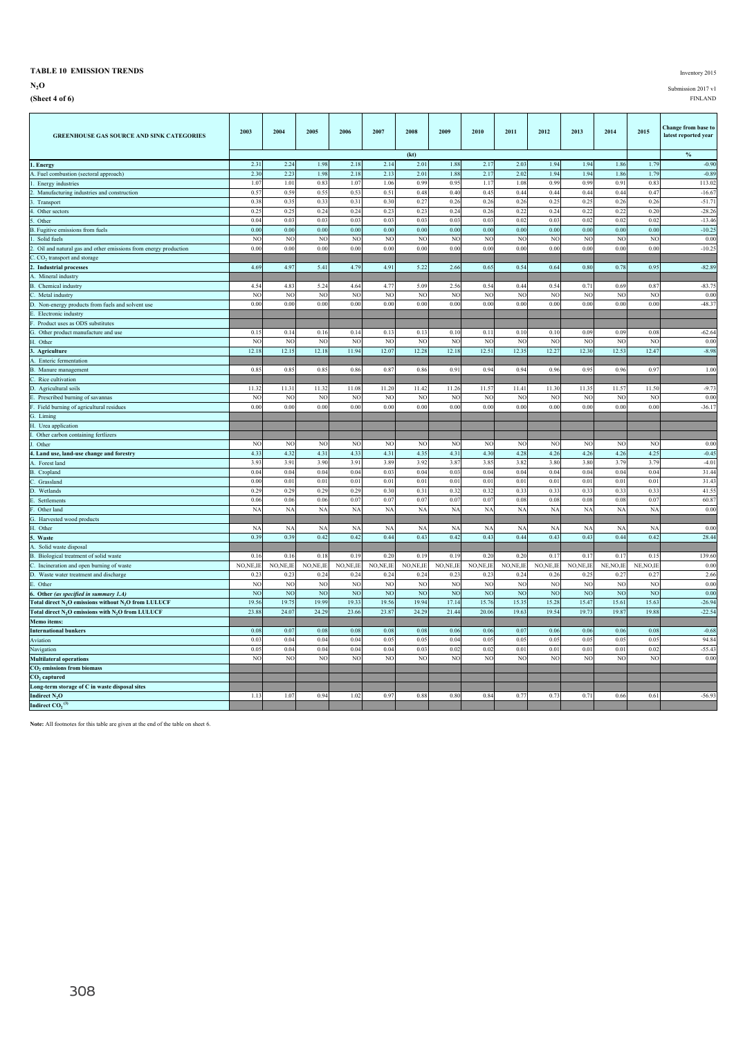## **TABLE 10 EMISSION TRENDS** Inventory 2015

**N2O** Submission 2017 v1

**(Sheet 4 of 6)** FINLAND

| <b>GREENHOUSE GAS SOURCE AND SINK CATEGORIES</b>                             | 2003           | 2004                   | 2005           | 2006           | 2007                   | 2008                   | 2009           | 2010             | 2011                   | 2012                   | 2013           | 2014                   | 2015                   | Change from base to<br>latest reported year |
|------------------------------------------------------------------------------|----------------|------------------------|----------------|----------------|------------------------|------------------------|----------------|------------------|------------------------|------------------------|----------------|------------------------|------------------------|---------------------------------------------|
|                                                                              |                |                        |                |                |                        | (kt)                   |                |                  |                        |                        |                |                        |                        | $\%$                                        |
| 1. Energy                                                                    | 2.31           | 2.24                   | 1.98           | 2.18           | 2.14                   | 2.01                   | 1.88           | 2.17             | 2.03                   | 1.94                   | 1.94           | 1.86                   | 1.79                   | $-0.90$                                     |
| A. Fuel combustion (sectoral approach)                                       | 2.30           | 2.23                   | 1.98           | 2.18           | 2.13                   | 2.01                   | 1.88           | 2.17             | 2.02                   | 1.94                   | 1.94           | 1.86                   | 1.79                   | $-0.89$                                     |
| 1. Energy industries                                                         | 1.07           | 1.01                   | 0.83           | 1.07           | 1.06                   | 0.99                   | 0.95           | 1.17             | 1.08                   | 0.99                   | 0.99           | 0.91                   | 0.83                   | 113.02                                      |
| Manufacturing industries and construction                                    | 0.57           | 0.59                   | 0.55           | 0.53           | 0.51                   | 0.48                   | 0.40           | 0.45             | 0.44                   | 0.44                   | 0.44           | 0.44                   | 0.47                   | $-16.6'$                                    |
| Transport                                                                    | 0.38           | 0.35                   | 0.33           | 0.3            | 0.30                   | 0.27                   | 0.26           | 0.26             | 0.26                   | 0.25                   | 0.25           | 0.26                   | 0.26                   | $-51.7$                                     |
| 4. Other sectors                                                             | 0.25           | 0.25                   | 0.24           | 0.24           | 0.23                   | 0.23                   | 0.24           | 0.26             | 0.22                   | 0.24                   | 0.22           | 0.22                   | 0.20                   | $-28.26$                                    |
| 5. Other                                                                     | 0.04           | 0.03                   | 0.03           | 0.03           | 0.03                   | 0.03                   | 0.03           | 0.03             | 0.02                   | 0.03                   | 0.02           | 0.02                   | 0.02                   | $-13.46$                                    |
| B. Fugitive emissions from fuels<br>Solid fuels                              | 0.00<br>NC     | 0.00<br>N <sub>O</sub> | 0.00<br>NO     | 0.00<br>NO     | 0.00<br>N <sub>O</sub> | 0.00<br>N <sub>O</sub> | 0.00<br>NC     | 0.00<br>NO       | 0.00<br>N <sub>O</sub> | 0.00<br>N <sub>O</sub> | 0.00<br>NC     | 0.00<br>N <sub>O</sub> | 0.01<br>N <sub>O</sub> | $-10.25$<br>0.00                            |
| Oil and natural gas and other emissions from energy production               | 0.00           | 0.00                   | 0.00           | 0.00           | 0.00                   | 0.00                   | 0.00           | 0.00             | 0.00                   | 0.00                   | 0.00           | 0.00                   | 0.00                   | $-10.25$                                    |
| C. CO <sub>2</sub> transport and storage                                     |                |                        |                |                |                        |                        |                |                  |                        |                        |                |                        |                        |                                             |
| 2. Industrial processes                                                      | 4.69           | 4.97                   | 5.41           | 4.79           | 4.91                   | 5.22                   | 2.66           | 0.65             | 0.54                   | 0.64                   | 0.80           | 0.78                   | 0.95                   | $-82.89$                                    |
| A. Mineral industry                                                          |                |                        |                |                |                        |                        |                |                  |                        |                        |                |                        |                        |                                             |
| B. Chemical industry                                                         | 4.54           | 4.83                   | 5.24           | 4.64           | 4.77                   | 5.09                   | 2.56           | 0.54             | 0.44                   | 0.54                   | 0.71           | 0.69                   | $0.8^{\circ}$          | $-83.75$                                    |
| Metal industry                                                               | NC             | N <sub>O</sub>         | N <sub>O</sub> | NO             | N <sub>O</sub>         | NO                     | NC             | N                | N <sub>O</sub>         | N <sub>O</sub>         | NO             | NC                     | <b>NC</b>              | 0.00                                        |
| D. Non-energy products from fuels and solvent use                            | 0.00           | 0.00                   | 0.00           | 0.00           | 0.00                   | 0.00                   | 0.00           | 0.00             | 0.00                   | 0.00                   | 0.00           | 0.00                   | 0.00                   | $-48.37$                                    |
| Electronic industry<br>E.                                                    |                |                        |                |                |                        |                        |                |                  |                        |                        |                |                        |                        |                                             |
| Product uses as ODS substitutes                                              |                |                        |                |                |                        |                        |                |                  |                        |                        |                |                        |                        |                                             |
| G. Other product manufacture and use                                         | 0.15           | 0.14                   | 0.16           | 0.14           | 0.13                   | 0.13                   | 0.10           | 0.11             | 0.10                   | 0.10                   | 0.05           | 0.09                   | 0.08                   | $-62.64$                                    |
| H. Other                                                                     | NC             | NC                     | NC             | NC             | N <sub>O</sub>         | N <sub>O</sub>         | NC             | NO               | N <sub>O</sub>         | N <sub>O</sub>         | NO             | NC                     | N <sub>C</sub>         | 0.00                                        |
| 3. Agriculture                                                               | 12.18          | 12.15                  | 12.18          | 11.94          | 12.07                  | 12.28                  | 12.18          | 12.51            | 12.35                  | 12.27                  | 12.30          | 12.53                  | 12.47                  | $-8.98$                                     |
| A. Enteric fermentation                                                      |                |                        |                |                |                        |                        |                |                  |                        |                        |                |                        |                        |                                             |
| B. Manure management                                                         | 0.85           | 0.85                   | 0.85           | 0.86           | 0.87                   | 0.86                   | 0.91           | 0.94             | 0.94                   | 0.96                   | 0.95           | 0.96                   | 0.97                   | 1.00                                        |
| C.<br>Rice cultivation                                                       |                |                        |                |                |                        |                        |                |                  |                        |                        |                |                        |                        |                                             |
| D. Agricultural soils                                                        | 11.32          | 11.31                  | 11.32          | 11.08          | 11.20                  | 11.42                  | 11.26          | 11.5'            | 11.41                  | 11.30                  | 11.35          | $11.5^{\circ}$         | 11.50                  | $-9.73$                                     |
| E. Prescribed burning of savannas                                            | N <sub>C</sub> | N <sub>O</sub>         | NO             | NO             | N <sub>O</sub>         | N <sub>O</sub>         | <b>NC</b>      | NO               | N <sub>O</sub>         | N <sub>O</sub>         | N <sub>C</sub> | N <sub>O</sub>         | N <sub>C</sub>         | 0.00                                        |
| F. Field burning of agricultural residues                                    | 0.00           | 0.00                   | 0.00           | 0.00           | 0.00                   | 0.00                   | 0.00           | 0.00             | 0.00                   | 0.00                   | 0.00           | 0.00                   | 0.00                   | $-36.1'$                                    |
| G. Liming                                                                    |                |                        |                |                |                        |                        |                |                  |                        |                        |                |                        |                        |                                             |
| H. Urea application                                                          |                |                        |                |                |                        |                        |                |                  |                        |                        |                |                        |                        |                                             |
| I. Other carbon containing fertlizers<br>J. Other                            | NO             | N <sub>O</sub>         | N <sub>O</sub> | NO             | N <sub>O</sub>         | NO                     | N <sub>C</sub> | NO               | N <sub>O</sub>         | N <sub>O</sub>         | NO             | NC                     | NO                     | 0.00                                        |
| 4. Land use, land-use change and forestry                                    | 4.33           | 4.32                   | 4.31           | 4.33           | 4.31                   | 4.35                   | 4.31           | 4.30             | 4.28                   | 4.26                   | 4.26           | 4.26                   | 4.25                   | $-0.45$                                     |
| A. Forest land                                                               | 3.9            | 3.91                   | 3.90           | 3.91           | 3.89                   | 3.92                   | 3.8'           | 3.8 <sup>2</sup> | 3.82                   | 3.80                   | 3.80           | 3.79                   | 3.79                   | $-4.01$                                     |
| <b>B.</b> Cropland                                                           | 0.04           | 0.04                   | 0.04           | 0.04           | 0.03                   | 0.04                   | 0.03           | 0.04             | 0.04                   | 0.04                   | 0.04           | 0.04                   | 0.04                   | 31.44                                       |
| C. Grassland                                                                 | 0.00           | 0.01                   | 0.01           | 0.01           | 0.01                   | 0.01                   | 0.01           | 0.01             | 0.01                   | 0.01                   | 0.01           | 0.01                   | 0.01                   | 31.43                                       |
| D. Wetlands                                                                  | 0.29           | 0.29                   | 0.29           | 0.29           | 0.30                   | 0.31                   | 0.32           | 0.32             | 0.33                   | 0.33                   | 0.33           | 0.33                   | 0.33                   | 41.5 <sup>2</sup>                           |
| Settlements<br>E.                                                            | 0.06           | 0.06                   | 0.06           | 0.07           | 0.07                   | 0.07                   | $0.0^{\circ}$  | 0.07             | 0.08                   | 0.08                   | 0.08           | 0.08                   | 0.07                   | 60.8                                        |
| Other land<br>F                                                              | NA             | <b>NA</b>              | <b>NA</b>      | <b>NA</b>      | <b>NA</b>              | <b>NA</b>              | <b>NA</b>      | <b>NA</b>        | <b>NA</b>              | <b>NA</b>              | NA             | NA                     | N <sub>A</sub>         | 0.00                                        |
| G. Harvested wood products                                                   |                |                        |                |                |                        |                        |                |                  |                        |                        |                |                        |                        |                                             |
| H. Other                                                                     | $N_A$          | NA                     | <b>NA</b>      | NA             | <b>NA</b>              | $N_A$                  | <b>NA</b>      | NA               | <b>NA</b>              | <b>NA</b>              | $N_A$          | NA                     | <b>NA</b>              | 0.00                                        |
| 5. Waste                                                                     | 0.39           | 0.39                   | 0.42           | 0.42           | 0.44                   | 0.43                   | 0.42           | 0.43             | 0.44                   | 0.43                   | 0.43           | 0.44                   | 0.42                   | 28.44                                       |
| A. Solid waste disposal                                                      |                |                        |                |                |                        |                        |                |                  |                        |                        |                |                        |                        |                                             |
| B. Biological treatment of solid waste                                       | 0.16           | 0.16                   | 0.18           | 0.19           | 0.20                   | 0.19                   | 0.19           | 0.20             | 0.20                   | 0.17                   | 0.17           | $0.1^{\circ}$          | 0.1                    | 139.60                                      |
| Incineration and open burning of waste<br>C.                                 | NO, NE, IE     | NO, NE, IE             | NO, NE, IE     | NO, NE, IE     | NO, NE, IE             | NO, NE, II             | NO, NE, IE     | NO,NE,IE         | NO, NE, IE             | NO, NE, IE             | NO, NE, IE     | NE, NO, IE             | NE, NO, II             | 0.00                                        |
| D. Waste water treatment and discharge                                       | 0.23           | 0.23                   | 0.24           | 0.24           | 0.24                   | 0.24                   | 0.23           | 0.2              | 0.24                   | 0.26                   | 0.25           | $0.2^{\circ}$          | $0.2^{\circ}$          | 2.66                                        |
| E. Other                                                                     | NC             | NC                     | N <sub>C</sub> | NC             | N <sub>O</sub>         | NO                     | N <sub>C</sub> | N <sub>C</sub>   | N <sub>O</sub>         | N <sub>O</sub>         | NC             | NC                     | N <sub>C</sub>         | 0.00                                        |
| 6. Other (as specified in summary 1.A)                                       | NO             | N <sub>O</sub>         | N <sub>O</sub> | N <sub>O</sub> | N <sub>O</sub>         | N <sub>O</sub>         | NC             | N <sub>C</sub>   | N <sub>O</sub>         | N <sub>O</sub>         | NO             | N <sub>O</sub>         | N <sub>C</sub>         | 0.00                                        |
| Total direct N <sub>2</sub> O emissions without N <sub>2</sub> O from LULUCF | 19.56          | 19.75                  | 19.99          | 19.33<br>23.66 | 19.56                  | 19.94                  | 17.14          | 15.76            | 15.35                  | 15.28                  | 15.47          | 15.61                  | 15.63                  | $-26.94$                                    |
| Total direct N <sub>2</sub> O emissions with N <sub>2</sub> O from LULUCF    | 23.88          | 24.0                   | 24.29          |                | 23.87                  | 24.29                  | 21.44          | 20.06            | 19.63                  | 19.54                  | 19.73          | $19.8^{\circ}$         | 19.88                  | $-22.54$                                    |
| Memo items:<br><b>International bunkers</b>                                  | 0.08           | 0.07                   | 0.08           | 0.08           | 0.08                   | 0.08                   | 0.06           | 0.06             | 0.07                   | 0.06                   | 0.06           | 0.06                   | 0.08                   | $-0.68$                                     |
| Aviation                                                                     | 0.03           | 0.04                   | 0.04           | 0.04           | 0.05                   | 0.03                   | 0.04           | 0.03             | 0.05                   | 0.05                   | 0.05           | 0.05                   | 0.0                    | 94.84                                       |
| Navigation                                                                   | 0.05           | 0.04                   | 0.04           | 0.04           | 0.04                   | 0.03                   | 0.02           | 0.02             | 0.01                   | 0.01                   | 0.01           | 0.01                   | 0.02                   | $-55.43$                                    |
| <b>Multilateral operations</b>                                               | NO             | N <sub>O</sub>         | N <sub>O</sub> | N <sub>O</sub> | N <sub>O</sub>         | N <sub>O</sub>         | N <sub>O</sub> | NO               | N <sub>O</sub>         | N <sub>O</sub>         | NO             | NO                     | N <sub>O</sub>         | 0.00                                        |
| CO <sub>2</sub> emissions from biomass                                       |                |                        |                |                |                        |                        |                |                  |                        |                        |                |                        |                        |                                             |
| CO <sub>2</sub> captured                                                     |                |                        |                |                |                        |                        |                |                  |                        |                        |                |                        |                        |                                             |
| Long-term storage of C in waste disposal sites                               |                |                        |                |                |                        |                        |                |                  |                        |                        |                |                        |                        |                                             |
| Indirect $N_2O$                                                              | 1.13           | 1.07                   | 0.94           | 1.02           | 0.97                   | 0.88                   | 0.80           | 0.84             | 0.77                   | 0.73                   | 0.71           | 0.66                   | 0.61                   | $-56.93$                                    |
| Indirect $CO2(3)$                                                            |                |                        |                |                |                        |                        |                |                  |                        |                        |                |                        |                        |                                             |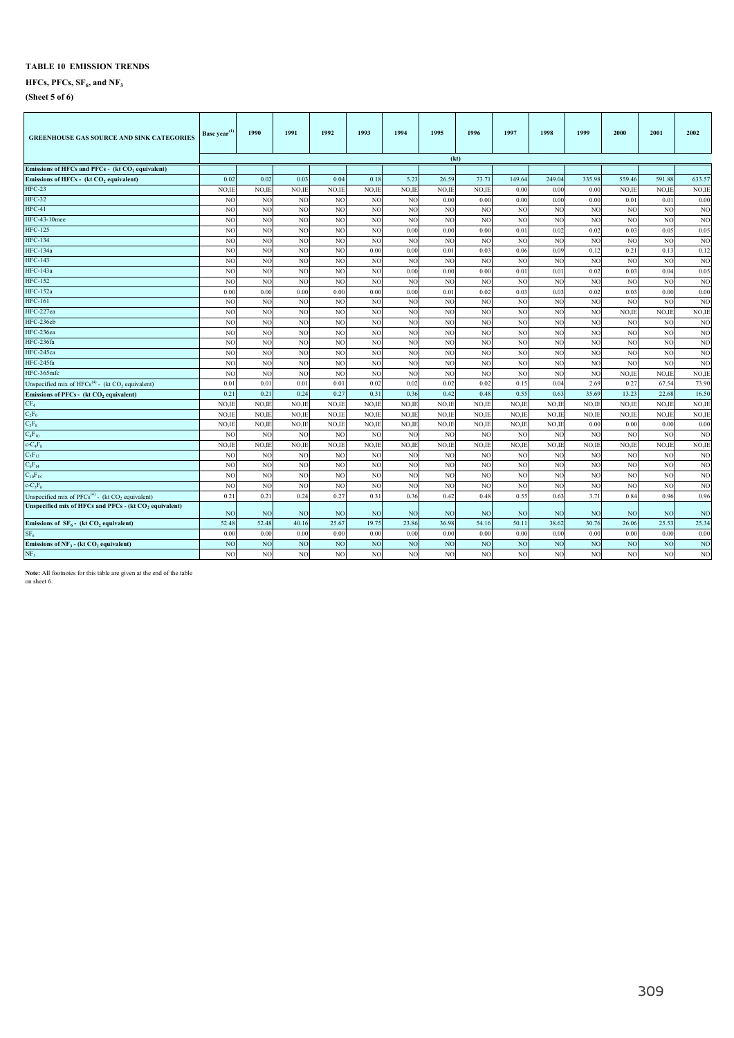## $HFCs, PFCs, SF<sub>6</sub>, and NF<sub>3</sub>$

**(Sheet 5 of 6)**

| <b>GREENHOUSE GAS SOURCE AND SINK CATEGORIES</b>                     | Base year <sup>(1)</sup> | 1990           | 1991            | 1992            | 1993           | 1994            | 1995           | 1996           | 1997            | 1998            | 1999            | 2000           | 2001           | 2002           |
|----------------------------------------------------------------------|--------------------------|----------------|-----------------|-----------------|----------------|-----------------|----------------|----------------|-----------------|-----------------|-----------------|----------------|----------------|----------------|
| Emissions of HFCs and PFCs - (kt CO <sub>2</sub> equivalent)         |                          |                |                 |                 |                |                 |                | (kt)           |                 |                 |                 |                |                |                |
|                                                                      | 0.02                     | 0.02           | 0.03            | 0.04            | 0.18           | 5.23            | 26.59          | 73.71          | 149.64          | 249.04          | 335.98          | 559.46         | 591.8          | 633.57         |
| Emissions of HFCs - (kt CO <sub>2</sub> equivalent)<br><b>HFC-23</b> | NO,II                    | NO,IE          | NO,IE           | NO,IE           | NO,IE          | NO,IE           | NO,IE          | NO,IE          | 0.00            | 0.00            | 0.00            | NO,IE          | NO,IE          | NO,IE          |
| <b>HFC-32</b>                                                        | NO <sub>1</sub>          | N <sub>O</sub> | N <sub>O</sub>  | NO              | N <sub>O</sub> | N <sub>O</sub>  | 0.00           | 0.00           | 0.00            | 0.00            | 0.00            | 0.01           | 0.01           | 0.00           |
| $HFC-41$                                                             | N <sub>O</sub>           | <b>NC</b>      | N <sub>O</sub>  | NO              | N <sub>O</sub> | N <sub>O</sub>  | N <sub>O</sub> | N <sub>O</sub> | N <sub>O</sub>  | N <sub>O</sub>  | NO              | N <sub>C</sub> | N <sub>O</sub> | N <sub>O</sub> |
| HFC-43-10mee                                                         | NO                       | NO             | N <sub>O</sub>  | NO              | N <sub>O</sub> | N <sub>O</sub>  | N <sub>O</sub> | NO             | NO              | NO              | NO              | N <sub>O</sub> | N <sub>O</sub> | NO             |
| <b>HFC-125</b>                                                       | NO                       | N <sub>O</sub> | N <sub>O</sub>  | NO              | N <sub>O</sub> | 0.00            | 0.00           | 0.00           | 0.01            | 0.02            | 0.02            | 0.03           | 0.05           | 0.05           |
| <b>HFC-134</b>                                                       | N <sub>O</sub>           | N <sub>O</sub> | N <sub>O</sub>  | NO              | N <sub>O</sub> | NO              | N <sub>O</sub> | NO             | NO              | NO              | NO              | N <sub>O</sub> | N <sub>O</sub> | N <sub>O</sub> |
| <b>HFC-134a</b>                                                      | NO                       | N <sub>O</sub> | N <sub>O</sub>  | NO              | 0.00           | 0.00            | 0.01           | 0.03           | 0.06            | 0.09            | 0.12            | 0.21           | 0.13           | 0.12           |
| <b>HFC-143</b>                                                       | NO                       | N <sub>O</sub> | N <sub>O</sub>  | NO              | N <sub>O</sub> | NO              | N <sub>O</sub> | NO             | NO              | NO              | NO              | N <sub>O</sub> | NO             | NO             |
| <b>HFC-143a</b>                                                      | NO                       | N <sub>O</sub> | N <sub>O</sub>  | N <sub>O</sub>  | N <sub>O</sub> | 0.00            | 0.00           | 0.00           | 0.01            | 0.01            | 0.02            | 0.03           | 0.04           | 0.05           |
| <b>HFC-152</b>                                                       | N <sub>O</sub>           | N <sub>O</sub> | N <sub>O</sub>  | NO              | N <sub>O</sub> | NO              | N <sub>O</sub> | NO             | N <sub>O</sub>  | NO <sub>1</sub> | NO              | N <sub>O</sub> | N <sub>O</sub> | NO             |
| <b>HFC-152a</b>                                                      | 0.00                     | 0.00           | 0.00            | 0.00            | 0.00           | 0.00            | 0.01           | 0.02           | 0.03            | 0.03            | 0.02            | 0.03           | 0.00           | 0.00           |
| <b>HFC-161</b>                                                       | NO <sub>1</sub>          | NO             | N <sub>O</sub>  | NO              | N <sub>O</sub> | NO              | N <sub>O</sub> | NO             | NO              | NO              | NO              | N <sub>O</sub> | N <sub>O</sub> | NO             |
| HFC-227ea                                                            | NO                       | N <sub>O</sub> | N <sub>O</sub>  | NO              | N <sub>O</sub> | NO              | N <sub>O</sub> | NO             | NO              | NO              | NO              | NO,IE          | NO,IE          | NO,IE          |
| HFC-236cb                                                            | NO                       | N <sub>O</sub> | N <sub>O</sub>  | NO              | N <sub>O</sub> | NO              | N <sub>O</sub> | NO             | NO              | NO              | NO              | NO             | N <sub>O</sub> | NO             |
| HFC-236ea                                                            | N <sub>O</sub>           | N <sub>O</sub> | N <sub>O</sub>  | N <sub>O</sub>  | N <sub>O</sub> | NO              | N <sub>O</sub> | N <sub>O</sub> | NO              | NO <sub>1</sub> | NO              | N <sub>O</sub> | NO             | NO             |
| HFC-236fa                                                            | N <sub>O</sub>           | N <sub>O</sub> | N <sub>O</sub>  | NO              | N <sub>O</sub> | NO              | N <sub>O</sub> | N <sub>O</sub> | N <sub>O</sub>  | N <sub>O</sub>  | NO              | N <sub>O</sub> | N <sub>O</sub> | N <sub>O</sub> |
| HFC-245ca                                                            | NO                       | N <sub>O</sub> | N <sub>O</sub>  | NO              | N <sub>O</sub> | N <sub>O</sub>  | N <sub>O</sub> | NO             | NO              | NO              | NO              | N <sub>O</sub> | N <sub>O</sub> | NO             |
| HFC-245fa                                                            | NO <sub>1</sub>          | N <sub>O</sub> | N <sub>O</sub>  | N <sub>O</sub>  | N <sub>O</sub> | N <sub>O</sub>  | N <sub>O</sub> | NO             | NO              | NO              | NO              | N <sub>O</sub> | N <sub>O</sub> | NO             |
| HFC-365mfc                                                           | N <sub>O</sub>           | N <sub>O</sub> | N <sub>O</sub>  | NO              | N <sub>O</sub> | NO <sub>1</sub> | N <sub>O</sub> | N <sub>O</sub> | N <sub>O</sub>  | N <sub>O</sub>  | NO <sub>1</sub> | NO,IE          | NO,IE          | NO,IE          |
| Unspecified mix of $HFCs^{(4)}$ - (kt CO <sub>2</sub> equivalent)    | 0.01                     | 0.01           | 0.01            | 0.01            | 0.02           | 0.02            | 0.02           | 0.02           | 0.15            | 0.04            | 2.69            | 0.27           | 67.54          | 73.90          |
| Emissions of PFCs - (kt CO <sub>2</sub> equivalent)                  | 0.21                     | 0.21           | 0.24            | 0.27            | 0.31           | 0.36            | 0.42           | 0.48           | 0.55            | 0.63            | 35.69           | 13.23          | 22.68          | 16.50          |
| CF <sub>4</sub>                                                      | NO.II                    | NO,II          | NO,IE           | NO.IE           | NO,IE          | NO,II           | NO.II          | NO,IE          | NO.II           | NO,IE           | NO,IE           | NO,IE          | NO,IE          | NO,IE          |
| $C_2F_6$                                                             | NO.II                    | NO.II          | NO,IE           | NO,IE           | NO,IE          | NO,IE           | NO,IE          | NO,IE          | NO,II           | NO,IE           | NO,IE           | NO,IE          | NO,IE          | NO,IE          |
| $C_3F_8$                                                             | NO,II                    | NO,II          | NO,II           | NO,IE           | NO,IE          | NO,IE           | NO,IE          | NO,IE          | NO,IE           | NO,IE           | 0.00            | 0.00           | 0.00           | 0.00           |
| $C_4F_{10}$                                                          | NO                       | N <sub>C</sub> | N <sub>O</sub>  | NO              | N <sub>O</sub> | NO              | N <sub>O</sub> | NO             | NO              | NO              | NO              | N <sub>O</sub> | N <sub>O</sub> | NO             |
| $c - C_4F_8$                                                         | NO,II                    | NO,II          | NO,IE           | NO,IE           | NO,IE          | NO,IE           | NO,IE          | NO,IE          | NO,IE           | NO,IE           | NO,IE           | NO,IE          | NO,IE          | NO,IE          |
| $C_5F_{12}$                                                          | NO                       | N <sub>O</sub> | N <sub>O</sub>  | NO              | N <sub>O</sub> | NO              | N <sub>O</sub> | N <sub>O</sub> | NO              | N <sub>O</sub>  | NO              | NO             | N <sub>O</sub> | NO             |
| $C_6F_{14}$                                                          | NO                       | N <sub>O</sub> | NO              | NO              | N <sub>O</sub> | NO              | N <sub>O</sub> | NO             | NO              | <b>NO</b>       | NO              | N <sub>O</sub> | NO             | NO             |
| $C_{10}F_{18}$                                                       | N <sub>O</sub>           | NO             | N <sub>O</sub>  | NO              | N <sub>O</sub> | NO              | N <sub>O</sub> | N <sub>O</sub> | N <sub>O</sub>  | N <sub>O</sub>  | NO              | N <sub>O</sub> | N <sub>O</sub> | N <sub>O</sub> |
| $c-C_3F_6$                                                           | NO                       | N <sub>O</sub> | N <sub>O</sub>  | NO              | N <sub>O</sub> | N <sub>O</sub>  | N <sub>O</sub> | NO             | NO              | NO              | NO              | N <sub>O</sub> | N <sub>O</sub> | NO             |
| Unspecified mix of $PFCs^{(4)}$ - (kt CO <sub>2</sub> equivalent)    | 0.21                     | 0.21           | 0.24            | 0.27            | 0.31           | 0.36            | 0.42           | 0.48           | 0.55            | 0.63            | 3.71            | 0.84           | 0.96           | 0.96           |
| Unspecified mix of HFCs and PFCs - (kt CO <sub>2</sub> equivalent)   | N <sub>O</sub>           | N <sub>O</sub> | NO <sub>1</sub> | NO              | N <sub>O</sub> | NO              | N <sub>O</sub> | NO             | NO <sub>1</sub> | NO <sub>1</sub> | <b>NO</b>       | N <sub>O</sub> | N <sub>O</sub> | <b>NO</b>      |
| Emissions of $SF_6$ - (kt CO <sub>2</sub> equivalent)                | 52.48                    | 52.48          | 40.16           | 25.67           | 19.75          | 23.86           | 36.98          | 54.16          | 50.11           | 38.62           | 30.76           | 26.06          | 25.53          | 25.34          |
| SF <sub>6</sub>                                                      | 0.00                     | 0.00           | 0.00            | 0.00            | 0.00           | 0.00            | 0.00           | 0.00           | 0.00            | 0.00            | 0.00            | 0.00           | 0.00           | 0.00           |
| Emissions of $NF_3$ - (kt $CO_2$ equivalent)                         | N <sub>O</sub>           | N <sub>O</sub> | N <sub>O</sub>  | NO <sub>1</sub> | N <sub>O</sub> | N <sub>O</sub>  | N <sub>O</sub> | NO             | NO              | NO <sub>1</sub> | NO <sub>1</sub> | N <sub>O</sub> | N <sub>O</sub> | NO             |
| NF <sub>3</sub>                                                      | NO                       | N <sub>O</sub> | N <sub>O</sub>  | NO              | N <sub>O</sub> | N <sub>O</sub>  | N <sub>O</sub> | N <sub>O</sub> | N <sub>O</sub>  | NO <sub></sub>  | NO <sub></sub>  | N <sub>O</sub> | N <sub>O</sub> | NO             |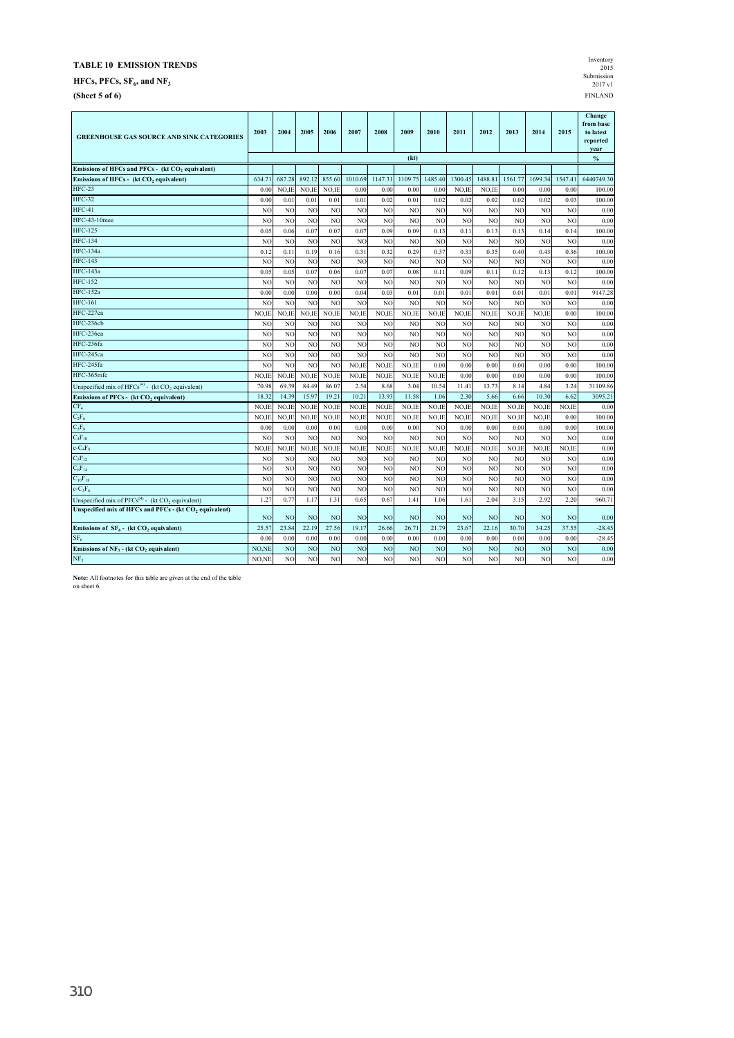$HFCs, PFCs, SF<sub>6</sub>, and NF<sub>3</sub>$ 

**(Sheet 5 of 6)** FINLAND

| Inventory        |
|------------------|
| 2015             |
| Submission       |
| $2017 \text{ v}$ |
| <b>FINLAND</b>   |

| <b>GREENHOUSE GAS SOURCE AND SINK CATEGORIES</b>                         | 2003           | 2004           | 2005           | 2006           | 2007           | 2008            | 2009           | 2010           | 2011           | 2012           | 2013            | 2014           | 2015           | Change<br>from base<br>to latest<br>reported<br>year |
|--------------------------------------------------------------------------|----------------|----------------|----------------|----------------|----------------|-----------------|----------------|----------------|----------------|----------------|-----------------|----------------|----------------|------------------------------------------------------|
|                                                                          |                |                |                |                |                |                 | (kt)           |                |                |                |                 |                |                | $\frac{0}{0}$                                        |
| Emissions of HFCs and PFCs - (kt CO <sub>2</sub> equivalent)             |                |                |                |                |                |                 |                |                |                |                |                 |                |                |                                                      |
| Emissions of HFCs - (kt CO, equivalent)                                  | 634.7          | 687.28         | 892.12         | 855.60         | 1010.69        | 1147.31         | 1109.75        | 1485.40        | 1300.45        | 1488.81        | 1561.77         | 1699.34        | 1547.4         | 6440749.30                                           |
| $HFC-23$                                                                 | 0.01           | NO.IE          | NO.IE          | NO.IE          | 0.00           | 0.00            | 0.00           | 0.00           | NO.II          | NO.IE          | 0.00            | 0.00           | 0.00           | 100.00                                               |
| <b>HFC-32</b>                                                            | 0.00           | 0.01           | 0.01           | 0.01           | 0.01           | 0.02            | 0.01           | 0.02           | 0.02           | 0.02           | 0.02            | 0.02           | 0.03           | 100.00                                               |
| $HFC-41$                                                                 | N <sub>O</sub> | N <sub>O</sub> | N <sub>O</sub> | N <sub>O</sub> | N <sub>O</sub> | NO              | N <sub>O</sub> | N <sub>O</sub> | N <sub>O</sub> | N <sub>O</sub> | NO <sub></sub>  | N <sub>O</sub> | N <sub>O</sub> | 0.00                                                 |
| <b>HFC-43-10mee</b>                                                      | N <sub>O</sub> | N <sub>O</sub> | N <sub>O</sub> | N <sub>O</sub> | N <sub>O</sub> | NO <sub>1</sub> | N <sub>O</sub> | N <sub>O</sub> | NO             | N <sub>O</sub> | NO <sub></sub>  | N <sub>O</sub> | N <sub>O</sub> | 0.00                                                 |
| <b>HFC-125</b>                                                           | 0.05           | 0.06           | 0.07           | 0.07           | 0.07           | 0.09            | 0.09           | 0.13           | 0.11           | 0.13           | 0.13            | 0.14           | 0.14           | 100.00                                               |
| <b>HFC-134</b>                                                           | N <sub>C</sub> | N <sub>O</sub> | N <sub>C</sub> | N <sub>O</sub> | N <sub>O</sub> | NO <sub>1</sub> | N <sub>O</sub> | N <sub>C</sub> | N <sub>O</sub> | N <sub>O</sub> | NO <sub></sub>  | N <sub>O</sub> | N <sub>C</sub> | 0.00                                                 |
| <b>HFC-134a</b>                                                          | 0.12           | 0.11           | 0.19           | 0.16           | 0.31           | 0.32            | 0.29           | 0.37           | 033            | 0.35           | 0.40            | 0.43           | 0.36           | 100.00                                               |
| <b>HFC-143</b>                                                           | N <sub>O</sub> | N <sub>O</sub> | N <sub>C</sub> | N <sub>O</sub> | N <sub>O</sub> | N <sub>O</sub>  | N <sub>O</sub> | N <sub>O</sub> | N <sub>O</sub> | N <sub>O</sub> | N <sub>O</sub>  | N <sub>O</sub> | N <sub>O</sub> | 0.00                                                 |
| <b>HFC-143a</b>                                                          | 0.05           | 0.05           | 0.07           | 0.06           | 0.07           | 0.07            | 0.08           | 0.11           | 0.09           | 0.11           | 0.12            | 0.13           | 0.12           | 100.00                                               |
| <b>HFC-152</b>                                                           | N <sub>O</sub> | N <sub>O</sub> | N <sub>O</sub> | N <sub>O</sub> | N <sub>O</sub> | N <sub>O</sub>  | N <sub>O</sub> | N <sub>O</sub> | N <sub>O</sub> | N <sub>O</sub> | NO              | N <sub>O</sub> | N <sub>O</sub> | 0.00                                                 |
| <b>HFC-152a</b>                                                          | 0.00           | 0.00           | 0.00           | 0.00           | 0.04           | 0.03            | 0.01           | 0.01           | 0.01           | 0.01           | 0.01            | 0.01           | 0.01           | 9147.28                                              |
| <b>HFC-161</b>                                                           | N <sub>O</sub> | NO             | N <sub>O</sub> | N <sub>O</sub> | NO <sub></sub> | NO <sub>1</sub> | N <sub>O</sub> | N <sub>O</sub> | N <sub>O</sub> | NO             | NO <sub>1</sub> | N <sub>O</sub> | N <sub>O</sub> | 0.00                                                 |
| HFC-227ea                                                                | NO,IE          | NO,IE          | NO.IE          | NO.IE          | NO.IE          | NO,IE           | NO,IE          | NO.IE          | NO.IE          | NO.IE          | NO.IE           | NO.IE          | 0.00           | 100.00                                               |
| HFC-236cb                                                                | NO             | N <sub>O</sub> | N <sub>C</sub> | N <sub>O</sub> | N <sub>O</sub> | N <sub>O</sub>  | N <sub>O</sub> | N <sub>O</sub> | N <sub>O</sub> | N <sub>O</sub> | N <sub>O</sub>  | N <sub>O</sub> | N <sub>C</sub> | 0.00                                                 |
| HFC-236ea                                                                | N <sub>O</sub> | N <sub>O</sub> | N <sub>O</sub> | N <sub>O</sub> | NO.            | N <sub>O</sub>  | N <sub>O</sub> | N <sub>O</sub> | NO             | N <sub>O</sub> | N <sub>O</sub>  | N <sub>O</sub> | N <sub>C</sub> | 0.00                                                 |
| HFC-236fa                                                                | N <sub>C</sub> | N <sub>O</sub> | N <sub>C</sub> | N <sub>O</sub> | N <sub>O</sub> | N <sub>O</sub>  | N <sub>C</sub> | N <sub>C</sub> | N <sub>O</sub> | N <sub>O</sub> | N <sub>O</sub>  | N <sub>O</sub> | N <sub>C</sub> | 0.00                                                 |
| HFC-245ca                                                                | N <sub>O</sub> | N <sub>O</sub> | N <sub>O</sub> | N <sub>O</sub> | N <sub>O</sub> | NO              | N <sub>O</sub> | N <sub>O</sub> | N <sub>O</sub> | N <sub>O</sub> | NO <sub></sub>  | N <sub>O</sub> | N <sub>O</sub> | 0.00                                                 |
| HFC-245fa                                                                | N <sub>O</sub> | NO <sub></sub> | N <sub>O</sub> | N <sub>O</sub> | NO.IE          | NO.IE           | NO.IE          | 0.00           | 0.00           | 0.00           | 0.00            | 0.00           | 0.00           | 100.00                                               |
| HFC-365mfc                                                               | NO.IE          | NO.IE          | NO.IE          | NO.IE          | NO.IE          | NO.IE           | NO.IE          | NO.IE          | 0.00           | 0.00           | 0.00            | 0.00           | 0.00           | 100.00                                               |
| Unspecified mix of $HFCs^{(4)}$ - (kt CO <sub>2</sub> equivalent)        | 70.98          | 69.39          | 84.49          | 86.07          | 2.54           | 8.68            | 3.04           | 10.54          | 11.41          | 13.73          | 8.14            | 4.84           | 3.24           | 31109.86                                             |
| Emissions of PFCs - (kt CO <sub>2</sub> equivalent)                      | 18.32          | 14.39          | 15.97          | 19.21          | 10.21          | 13.93           | 11.58          | 1.06           | 2.30           | 5.66           | 6.66            | 10.30          | 6.62           | 3095.21                                              |
| CF <sub>4</sub>                                                          | NO.IE          | NO.IE          | NO.IE          | NO.IE          | NO.IE          | NO.IE           | NO.IE          | NO.IE          | NO.IE          | NO.IE          | NO.IE           | NO.IE          | NO.IE          | 0.00                                                 |
| $C_2F_6$                                                                 | NO,II          | NO,IE          | NO,IE          | NO,IE          | NO.IE          | NO.IE           | NO,IE          | NO,IE          | NO,IE          | NO,IE          | NO,IE           | NO,IE          | 0.00           | 100.00                                               |
| $C_3F_8$                                                                 | 0.00           | 0.00           | 0.00           | 0.00           | 0.00           | 0.00            | 0.00           | N <sub>C</sub> | 0.00           | 0.00           | 0.00            | 0.00           | 0.00           | 100.00                                               |
| $C_4F_{10}$                                                              | N <sub>O</sub> | N <sub>O</sub> | N <sub>O</sub> | NO <sub></sub> | NO             | N <sub>O</sub>  | N <sub>O</sub> | N <sub>O</sub> | N <sub>O</sub> | NO <sub></sub> | NO <sub>1</sub> | N <sub>O</sub> | N <sub>O</sub> | 0.00                                                 |
| $c$ - $C_4F_8$                                                           | NO.IE          | NO.IE          | NO.IE          | NO.IE          | NO.IE          | NO.IE           | NO.IE          | NO.IE          | NO.IE          | NO.IE          | NO.IE           | NO.IE          | NO.II          | 0.00                                                 |
| $C_5F_{12}$                                                              | N <sub>O</sub> | N <sub>O</sub> | N <sub>O</sub> | N <sub>O</sub> | N <sub>O</sub> | N <sub>O</sub>  | N <sub>O</sub> | N <sub>O</sub> | NO             | N <sub>O</sub> | N <sub>O</sub>  | N <sub>O</sub> | N <sub>O</sub> | 0.00                                                 |
| $C_6F_{14}$                                                              | N <sub>O</sub> | N <sub>O</sub> | N <sub>O</sub> | N <sub>O</sub> | N <sub>O</sub> | N <sub>O</sub>  | N <sub>O</sub> | N <sub>O</sub> | NO             | N <sub>O</sub> | N <sub>O</sub>  | N <sub>O</sub> | N <sub>C</sub> | 0.00                                                 |
| $C_{10}F_{18}$                                                           | NC             | N <sub>O</sub> | N <sub>C</sub> | N <sub>O</sub> | N <sub>O</sub> | N <sub>O</sub>  | N <sub>C</sub> | N <sub>C</sub> | N <sub>O</sub> | N <sub>O</sub> | N <sub>O</sub>  | N <sub>O</sub> | N <sub>C</sub> | 0.00                                                 |
| $c-C_3F_6$                                                               | N <sub>O</sub> | N <sub>O</sub> | N <sub>O</sub> | N <sub>O</sub> | NO             | NO              | NO             | N <sub>O</sub> | NO             | NO             | NO <sub></sub>  | N <sub>O</sub> | N <sub>O</sub> | 0.00                                                 |
| Unspecified mix of PFCs <sup>(4)</sup> - (kt CO <sub>2</sub> equivalent) | 1.27           | 0.77           | 1.17           | 1.31           | 0.65           | 0.67            | 1.41           | 1.06           | 1.61           | 2.04           | 3.15            | 2.92           | 2.20           | 960.71                                               |
| Unspecified mix of HFCs and PFCs - (kt CO <sub>2</sub> equivalent)       | N <sub>O</sub> | N <sub>O</sub> | N <sub>O</sub> | NO <sub></sub> | N <sub>O</sub> | N <sub>O</sub>  | N <sub>O</sub> | N <sub>O</sub> | N <sub>O</sub> | N <sub>O</sub> | N <sub>O</sub>  | N <sub>O</sub> | N <sub>O</sub> | 0.00                                                 |
| Emissions of $SF_6$ - (kt CO <sub>2</sub> equivalent)                    | 25.57          | 23.84          | 22.19          | 27.56          | 19.17          | 26.66           | 26.71          | 21.79          | 23.67          | 22.16          | 30.70           | 34.25          | 37.55          | $-28.45$                                             |
| SF <sub>6</sub>                                                          | 0.00           | 0.00           | 0.00           | 0.00           | 0.00           | 0.00            | 0.00           | 0.00           | 0.00           | 0.00           | 0.00            | 0.00           | 0.00           | $-28.45$                                             |
| Emissions of $NF_3$ - (kt CO, equivalent)                                | NO,NE          | N <sub>O</sub> | N <sub>O</sub> | N <sub>O</sub> | NO             | NO <sub>1</sub> | NO             | N <sub>O</sub> | N <sub>O</sub> | N <sub>O</sub> | N <sub>O</sub>  | N <sub>O</sub> | <b>NO</b>      | 0.00                                                 |
| NF <sub>3</sub>                                                          | NO.NE          | NO <sub></sub> | N <sub>O</sub> | N <sub>O</sub> | N <sub>O</sub> | NO.             | N <sub>O</sub> | N <sub>O</sub> | NO             | N <sub>O</sub> | N <sub>O</sub>  | N <sub>O</sub> | N <sub>O</sub> | 0.00                                                 |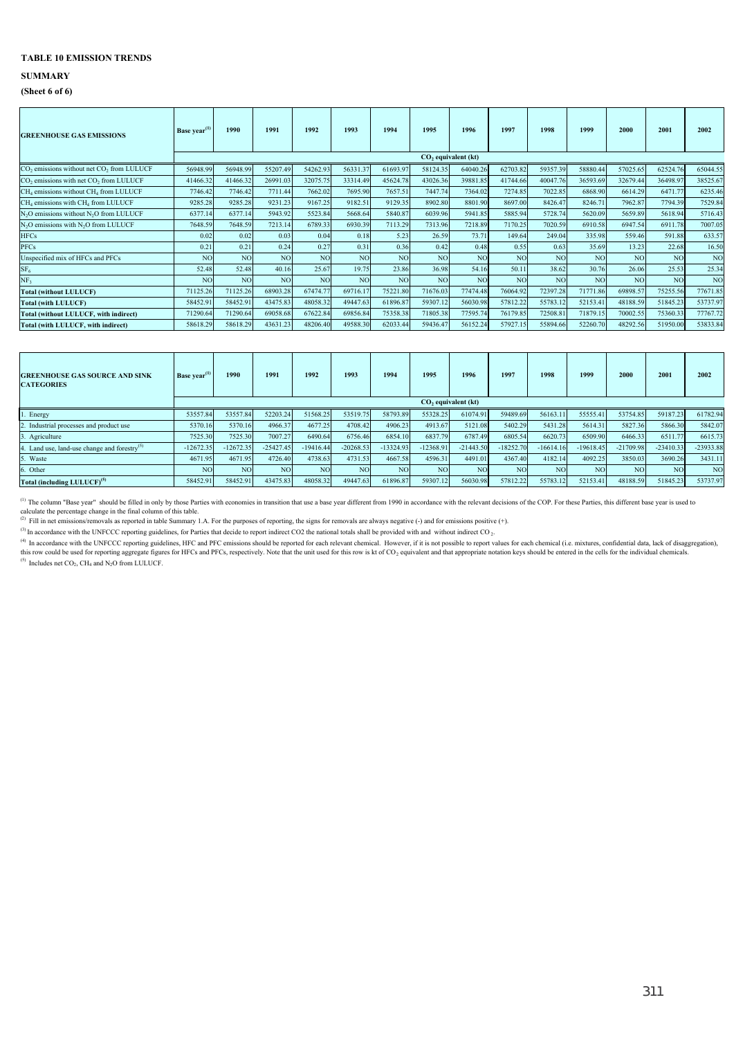#### **SUMMARY**

#### **(Sheet 6 of 6)**

| <b>GREENHOUSE GAS EMISSIONS</b>                                   | Base year <sup>(1)</sup> | 1990           | 1991            | 1992     | 1993           | 1994            | 1995            | 1996                  | 1997           | 1998            | 1999           | 2000            | 2001            | 2002           |
|-------------------------------------------------------------------|--------------------------|----------------|-----------------|----------|----------------|-----------------|-----------------|-----------------------|----------------|-----------------|----------------|-----------------|-----------------|----------------|
|                                                                   |                          |                |                 |          |                |                 |                 |                       |                |                 |                |                 |                 |                |
|                                                                   |                          |                |                 |          |                |                 |                 | $CO2$ equivalent (kt) |                |                 |                |                 |                 |                |
| CO <sub>2</sub> emissions without net CO <sub>2</sub> from LULUCF | 56948.99                 | 56948.99       | 55207.49        | 54262.93 | 56331.37       | 61693.97        | 58124.35        | 64040.26              | 62703.82       | 59357.39        | 58880.44       | 57025.65        | 62524.76        | 65044.55       |
| CO <sub>2</sub> emissions with net CO <sub>2</sub> from LULUCF    | 41466.32                 | 41466.32       | 26991.03        | 32075.75 | 33314.49       | 45624.78        | 43026.36        | 39881.85              | 41744.66       | 40047.76        | 36593.69       | 32679.44        | 36498.97        | 38525.67       |
| CH <sub>4</sub> emissions without CH <sub>4</sub> from LULUCF     | 7746.42                  | 7746.42        | 7711.44         | 7662.02  | 7695.90        | 7657.51         | 7447.74         | 7364.02               | 7274.85        | 7022.85         | 6868.90        | 6614.29         | 6471.77         | 6235.46        |
| CH <sub>4</sub> emissions with CH <sub>4</sub> from LULUCF        | 9285.28                  | 9285.28        | 9231.23         | 9167.25  | 9182.51        | 9129.35         | 8902.80         | 8801.90               | 8697.00        | 8426.47         | 8246.71        | 7962.87         | 7794.39         | 7529.84        |
| N <sub>2</sub> O emissions without N <sub>2</sub> O from LULUCF   | 6377.14                  | 6377.14        | 5943.92         | 5523.84  | 5668.64        | 5840.87         | 6039.96         | 5941.85               | 5885.94        | 5728.74         | 5620.09        | 5659.89         | 5618.94         | 5716.43        |
| N <sub>2</sub> O emissions with N <sub>2</sub> O from LULUCF      | 7648.59                  | 7648.59        | 7213.14         | 6789.33  | 6930.39        | 7113.29         | 7313.96         | 7218.89               | 7170.25        | 7020.59         | 6910.58        | 6947.54         | 6911.78         | 7007.05        |
| <b>HFCs</b>                                                       | 0.02                     | 0.02           | 0.03            | 0.04     | 0.18           | 5.23            | 26.59           | 73.71                 | 149.64         | 249.04          | 335.98         | 559.46          | 591.88          | 633.57         |
| <b>PFCs</b>                                                       | 0.21                     | 0.21           | 0.24            | 0.27     | 0.31           | 0.36            | 0.42            | 0.48                  | 0.55           | 0.63            | 35.69          | 13.23           | 22.68           | 16.50          |
| Unspecified mix of HFCs and PFCs                                  | N <sub>O</sub>           | NO <sub></sub> | NO <sub></sub>  | NO       | N <sub>O</sub> | NO <sub>1</sub> | N <sub>O</sub>  | N <sub>O</sub>        | <b>NO</b>      | NO <sub>1</sub> | N <sub>O</sub> | NO <sub>1</sub> | N <sub>O</sub>  | N <sub>O</sub> |
| SF <sub>6</sub>                                                   | 52.48                    | 52.48          | 40.16           | 25.67    | 19.75          | 23.86           | 36.98           | 54.16                 | 50.11          | 38.62           | 30.76          | 26.06           | 25.53           | 25.34          |
| NF <sub>2</sub>                                                   | NO <sub>1</sub>          | N <sub>O</sub> | NO <sub>1</sub> | NO       | <b>NC</b>      | N <sub>O</sub>  | NO <sub>1</sub> | N <sub>O</sub>        | N <sub>O</sub> | N <sub>O</sub>  | N <sub>C</sub> | N <sub>O</sub>  | NO <sub>1</sub> | N <sub>O</sub> |
| <b>Total (without LULUCF)</b>                                     | 71125.26                 | 71125.26       | 68903.28        | 67474.77 | 69716.17       | 75221.80        | 71676.03        | 77474.48              | 76064.92       | 72397.28        | 71771.86       | 69898.57        | 75255.56        | 77671.85       |
| <b>Total (with LULUCF)</b>                                        | 58452.91                 | 58452.91       | 43475.83        | 48058.32 | 49447.63       | 61896.87        | 59307.12        | 56030.98              | 57812.22       | 55783.12        | 52153.41       | 48188.59        | 51845.23        | 53737.97       |
| Total (without LULUCF, with indirect)                             | 71290.64                 | 71290.64       | 69058.68        | 67622.84 | 69856.84       | 75358.38        | 71805.38        | 77595.74              | 76179.85       | 72508.81        | 71879.15       | 70002.55        | 75360.33        | 77767.72       |
| Total (with LULUCF, with indirect)                                | 58618.29                 | 58618.29       | 43631.23        | 48206.40 | 49588.30       | 62033.44        | 59436.47        | 56152.24              | 57927.15       | 55894.66        | 52260.70       | 48292.56        | 51950.00        | 53833.84       |

| <b>GREENHOUSE GAS SOURCE AND SINK</b><br><b>CATEGORIES</b> | Base vear $^{(1)}$ | 1990            | 1991            | 1992            | 1993           | 1994          | 1995           | 1996                  | 1997           | 1998            | 1999           | 2000           | 2001            | 2002           |
|------------------------------------------------------------|--------------------|-----------------|-----------------|-----------------|----------------|---------------|----------------|-----------------------|----------------|-----------------|----------------|----------------|-----------------|----------------|
|                                                            |                    |                 |                 |                 |                |               |                | $CO2$ equivalent (kt) |                |                 |                |                |                 |                |
| Energy                                                     | 53557.84           | 53557.84        | 52203.24        | 51568.25        | 53519.75       | 58793.89      | 55328.25       | 61074.91              | 59489.69       | 56163.11        | 55555.4        | 53754.85       | 59187.23        | 61782.94       |
| Industrial processes and product use                       | 5370.16            | 5370.16         | 4966.37         | 4677.25         | 4708.42        | 4906.23       | 4913.67        | 5121.08               | 5402.29        | 5431.28         | 5614.31        | 5827.36        | 5866.30         | 5842.07        |
| 3. Agriculture                                             | 7525.30            | 7525.30         | 7007.27         | 6490.64         | 6756.46        | 6854.10       | 6837.79        | 6787.49               | 6805.54        | 6620.73         | 6509.90        | 6466.33        | 6511.77         | 6615.73        |
| 4. Land use, land-use change and forestry <sup>(5)</sup>   | $-12672.35$        | $-12672.35$     | $-25427.45$     | $-19416.44$     | $-20268.53$    | $-13324.93$   | $-12368.91$    | $-21443.50$           | $-18252.70$    | $-16614.16$     | $-19618.45$    | $-21709.98$    | $-23410.33$     | $-23933.88$    |
| Waste                                                      | 4671.95            | 4671.95         | 4726.40         | 4738.63         | 4731.53        | 4667.58       | 4596.31        | 4491.01               | 4367.40        | 4182.14         | 4092.25        | 3850.03        | 3690.26         | 3431.11        |
| 6. Other                                                   | NO <sub>1</sub>    | NO <sub>1</sub> | NO <sub>1</sub> | NO <sub>1</sub> | N <sub>O</sub> | <sub>NO</sub> | N <sub>O</sub> | NO <sub>1</sub>       | N <sub>O</sub> | NO <sub>1</sub> | N <sub>O</sub> | N <sub>O</sub> | NO <sub>1</sub> | N <sub>O</sub> |
| Total (including LULUCF) <sup>(5)</sup>                    | 58452.91           | 58452.91        | 43475.83        | 48058.32        | 49447.63       | 61896.87      | 59307.12       | 56030.98              | 57812.22       | 55783.12        | 52153.41       | 48188.59       | 51845.23        | 53737.97       |

<sup>(1)</sup> The column "Base year" should be filled in only by those Parties with economies in transition that use a base year different from 1990 in accordance with the relevant decisions of the COP. For these Parties, this dif The contains a party of the final column of this table.<br>
(2) Fill in net emissions/removals as reported in table Summary 1.A. For the purposes of reporting, the signs for removals are always negative (-) and for emissions

<sup>(3)</sup> In accordance with the UNFCCC reporting guidelines, for Parties that decide to report indirect CO2 the national totals shall be provided with and without indirect CO<sub>2</sub>.

<sup>(4)</sup> In accordance with the UNFCCC reporting guidelines, HFC and PFC emissions should be reported for each relevant chemical. However, if it is not possible to report values for each chemical (i.e. mixtures, confidential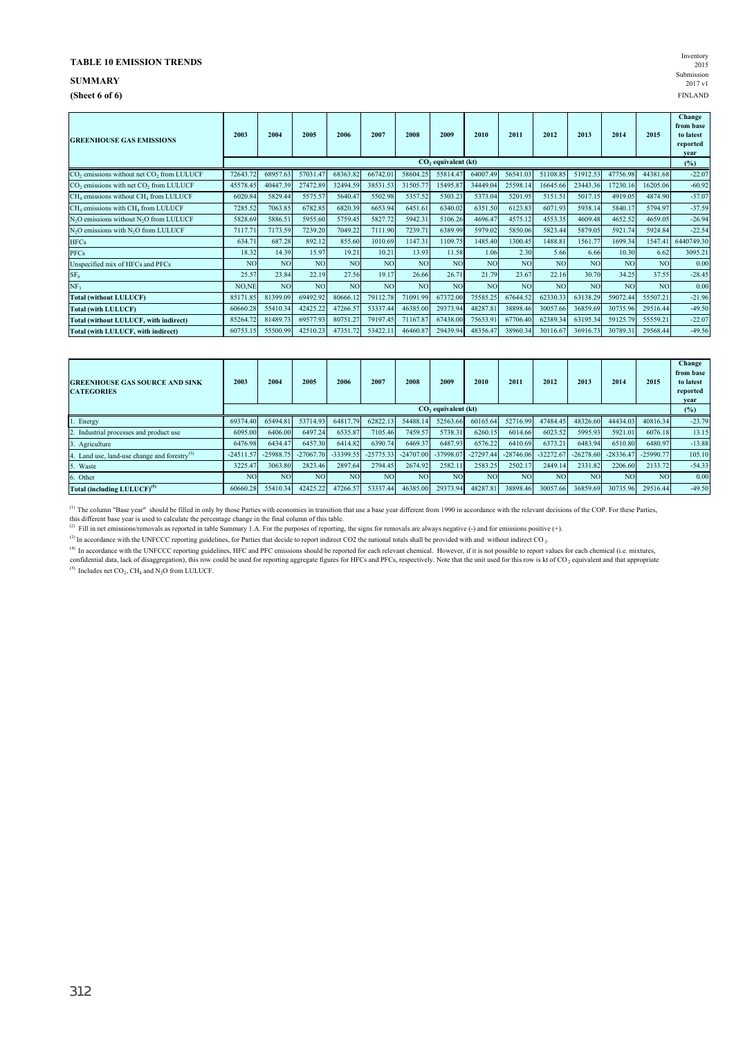## **SUMMARY** Submission

**(Sheet 6 of 6)** FINLAND

| Inventory        |
|------------------|
| 2015             |
| Submission       |
| $2017 \text{ v}$ |
| <b>FINLAND</b>   |

| <b>GREENHOUSE GAS EMISSIONS</b>                                   | 2003                            | 2004           | 2005            | 2006           | 2007            | 2008            | 2009            | 2010            | 2011           | 2012            | 2013            | 2014     | 2015      | Change<br>from base<br>to latest<br>reported<br>vear |
|-------------------------------------------------------------------|---------------------------------|----------------|-----------------|----------------|-----------------|-----------------|-----------------|-----------------|----------------|-----------------|-----------------|----------|-----------|------------------------------------------------------|
|                                                                   | CO <sub>2</sub> equivalent (kt) |                |                 |                |                 |                 |                 |                 |                |                 |                 |          |           | (%)                                                  |
| CO <sub>2</sub> emissions without net CO <sub>2</sub> from LULUCF | 72643.72                        | 68957.63       | 57031.47        | 68363.82       | 66742.01        | 58604.25        | 55814.47        | 64007.49        | 56541.03       | 51108.85        | 51912.53        | 47756.98 | 44381.68  | $-22.07$                                             |
| CO <sub>2</sub> emissions with net CO <sub>2</sub> from LULUCF    | 45578.45                        | 40447.39       | 27472.89        | 32494.59       | 38531.53        | 31505.77        | 15495.87        | 34449.04        | 25598.14       | 16645.66        | 23443.36        | 17230.16 | 16205.06  | $-60.92$                                             |
| $CH4$ emissions without $CH4$ from LULUCF                         | 6020.84                         | 5829.44        | 5575.57         | 5640.47        | 5502.98         | 5357.52         | 5303.23         | 5373.04         | 5201.95        | 5151.51         | 5017.15         | 4919.05  | 4874.90   | $-37.07$                                             |
| $CH4$ emissions with $CH4$ from LULUCF                            | 7285.52                         | 7063.85        | 6782.85         | 6820.39        | 6653.94         | 6451.61         | 6340.02         | 6351.50         | 6123.83        | 6071.93         | 5938.14         | 5840.1   | 5794.97   | $-37.59$                                             |
| N <sub>2</sub> O emissions without N <sub>2</sub> O from LULUCF   | 5828.69                         | 5886.51        | 5955.60         | 5759.45        | 5827.72         | 5942.31         | 5106.26         | 4696.47         | 4575.12        | 4553.35         | 4609.48         | 4652.52  | 4659.05   | $-26.94$                                             |
| N <sub>2</sub> O emissions with N <sub>2</sub> O from LULUCF      | 7117.71                         | 7173.59        | 7239.20         | 7049.22        | 7111.90         | 7239.71         | 6389.99         | 5979.02         | 5850.06        | 5823.44         | 5879.05         | 5921.74  | 5924.84   | $-22.54$                                             |
| <b>HFCs</b>                                                       | 634.71                          | 687.28         | 892.12          | 855.60         | 1010.69         | 1147.31         | 1109.75         | 1485.40         | 1300.45        | 1488.81         | 1561.77         | 1699.34  | 1547.41   | 6440749.30                                           |
| <b>PFCs</b>                                                       | 18.32                           | 14.39          | 15.97           | 19.21          | 10.21           | 13.93           | 11.58           | 1.06            | 2.30           | 5.66            | 6.66            | 10.30    | 6.62      | 3095.21                                              |
| Unspecified mix of HFCs and PFCs                                  | N <sub>O</sub>                  | NO <sub></sub> | NO <sub>1</sub> | N <sub>O</sub> | NO <sub>1</sub> | <b>NO</b>       | NO <sub>1</sub> | NO <sub>1</sub> | NO <sub></sub> | NO <sub>1</sub> | <b>NO</b>       | NO.      | <b>NO</b> | 0.00                                                 |
| SF <sub>6</sub>                                                   | 25.57                           | 23.84          | 22.19           | 27.56          | 19.17           | 26.66           | 26.71           | 21.79           | 23.67          | 22.16           | 30.70           | 34.25    | 37.55     | $-28.45$                                             |
| NF <sub>3</sub>                                                   | NO,NE                           | N <sub>O</sub> | NO <sub>1</sub> | NO             | NO <sub></sub>  | NO <sub>1</sub> | NO <sub>1</sub> | N <sub>O</sub>  | NO <sub></sub> | NO <sub>1</sub> | NO <sub>1</sub> | NO.      | <b>NO</b> | 0.00                                                 |
| <b>Total (without LULUCF)</b>                                     | 85171.85                        | 81399.09       | 69492.92        | 80666.12       | 79112.78        | 71091.99        | 67372.00        | 75585.25        | 67644.52       | 62330.33        | 63138.29        | 59072.44 | 55507.21  | $-21.96$                                             |
| <b>Total (with LULUCF)</b>                                        | 60660.28                        | 55410.34       | 42425.22        | 47266.57       | 53337.44        | 46385.00        | 29373.94        | 48287.81        | 38898.46       | 30057.66        | 36859.69        | 30735.96 | 29516.44  | $-49.50$                                             |
| Total (without LULUCF, with indirect)                             | 85264.72                        | 81489.73       | 69577.93        | 80751.27       | 79197.45        | 71167.87        | 67438.00        | 75653.91        | 67706.40       | 62389.34        | 63195.34        | 59125.79 | 55559.21  | $-22.07$                                             |
| Total (with LULUCF, with indirect)                                | 60753.15                        | 55500.99       | 42510.23        | 47351.72       | 53422.11        | 46460.87        | 29439.94        | 48356.47        | 38960.34       | 30116.67        | 36916.73        | 30789.31 | 29568.44  | $-49.56$                                             |

| <b>GREENHOUSE GAS SOURCE AND SINK</b><br><b>CATEGORIES</b> | 2003           | 2004           | 2005        | 2006           | 2007            | 2008           | 2009                            | 2010        | 2011        | 2012        | 2013           | 2014        | 2015        | Change<br>from base<br>to latest<br>reported<br>vear |
|------------------------------------------------------------|----------------|----------------|-------------|----------------|-----------------|----------------|---------------------------------|-------------|-------------|-------------|----------------|-------------|-------------|------------------------------------------------------|
|                                                            |                |                |             |                |                 |                | CO <sub>2</sub> equivalent (kt) |             |             |             |                |             |             | (%)                                                  |
| Energy                                                     | 69374.40       | 65494.81       | 53714.93    | 64817.79       | 62822.13        | 54488.14       | 52563.66                        | 60165.64    | 52716.99    | 47484.45    | 48326.60       | 44434.03    | 40816.34    | $-23.79$                                             |
| Industrial processes and product use                       | 6095.00        | 6406.00        | 6497.24     | 6535.87        | 7105.46         | 7459.57        | 5738.31                         | 6260.15     | 6014.66     | 6023.52     | 5995.93        | 5921.01     | 6076.18     | 13.15                                                |
| 3. Agriculture                                             | 6476.98        | 6434.47        | 6457.30     | 6414.82        | 6390.74         | 6469.37        | 6487.93                         | 6576.22     | 6410.69     | 6373.21     | 6483.94        | 6510.80     | 6480.97     | $-13.88$                                             |
| Land use, land-use change and forestry $^{(5)}$            | $-24511.57$    | $-25988.75$    | $-27067.70$ | -33399.55      | $-25775.33$     | $-24707.00$    | -37998.07                       | $-27297.44$ | $-28746.06$ | $-32272.67$ | $-26278.60$    | $-28336.47$ | $-25990.77$ | 105.10                                               |
| Waste                                                      | 3225.47        | 3063.80        | 2823.46     | 2897.64        | 2794.45         | 2674.92        | 2582.11                         | 2583.25     | 2502.17     | 2449.14     | 2331.82        | 2206.60     | 2133.72     | $-54.33$                                             |
| 6. Other                                                   | N <sub>O</sub> | N <sub>O</sub> | <b>NO</b>   | N <sub>O</sub> | NO <sub>1</sub> | N <sub>O</sub> | NO.                             | <b>NO</b>   | <b>NO</b>   | <b>NO</b>   | N <sub>O</sub> | <b>NO</b>   | <b>NO</b>   | 0.00                                                 |
| Total (including LULUCF) <sup>(5)</sup>                    | 60660.28       | 55410.34       | 42425.22    | 47266.57       | 53337.44        | 46385.00       | 29373.94                        | 48287.81    | 38898.46    | 30057.66    | 36859.69       | 30735.96    | 29516.44    | $-49.50$                                             |

(1) The column "Base year" should be filled in only by those Parties with economies in transition that use a base year different from 1990 in accordance with the relevant decisions of the COP. For these Parties, this diffe

(2) Fill in net emissions/removals as reported in table Summary 1.A. For the purposes of reporting, the signs for removals are always negative (-) and for emissions positive (+).

<sup>(3)</sup> In accordance with the UNFCCC reporting guidelines, for Parties that decide to report indirect CO2 the national totals shall be provided with and without indirect CO<sub>2</sub>.

<sup>(4)</sup> In accordance with the UNFCCC reporting guidelines, HFC and PFC emissions should be reported for each relevant chemical. However, if it is not possible to report values for each chemical (i.e. mixtures, confidential

<sup>(5)</sup> Includes net  $CO_2$ ,  $CH_4$  and  $N_2O$  from LULUCF.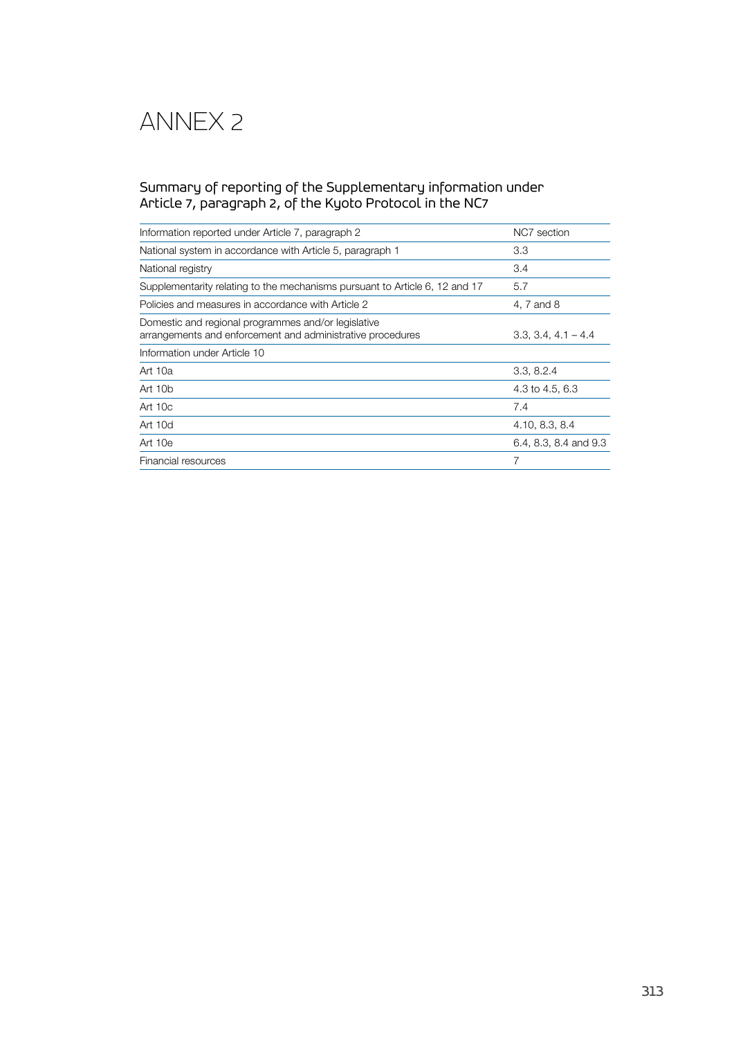# Annex 2

# Summary of reporting of the Supplementary information under Article 7, paragraph 2, of the Kyoto Protocol in the NC7

| Information reported under Article 7, paragraph 2                                                                 | NC7 section           |
|-------------------------------------------------------------------------------------------------------------------|-----------------------|
| National system in accordance with Article 5, paragraph 1                                                         | 3.3                   |
| National registry                                                                                                 | 3.4                   |
| Supplementarity relating to the mechanisms pursuant to Article 6, 12 and 17                                       | 5.7                   |
| Policies and measures in accordance with Article 2                                                                | 4, 7 and 8            |
| Domestic and regional programmes and/or legislative<br>arrangements and enforcement and administrative procedures | $3.3, 3.4, 4.1 - 4.4$ |
| Information under Article 10                                                                                      |                       |
| Art 10a                                                                                                           | 3.3, 8.2.4            |
| Art 10 <sub>b</sub>                                                                                               | 4.3 to 4.5, 6.3       |
| Art $10c$                                                                                                         | 7.4                   |
| Art $10d$                                                                                                         | 4.10, 8.3, 8.4        |
| Art $10e$                                                                                                         | 6.4, 8.3, 8.4 and 9.3 |
| Financial resources                                                                                               | 7                     |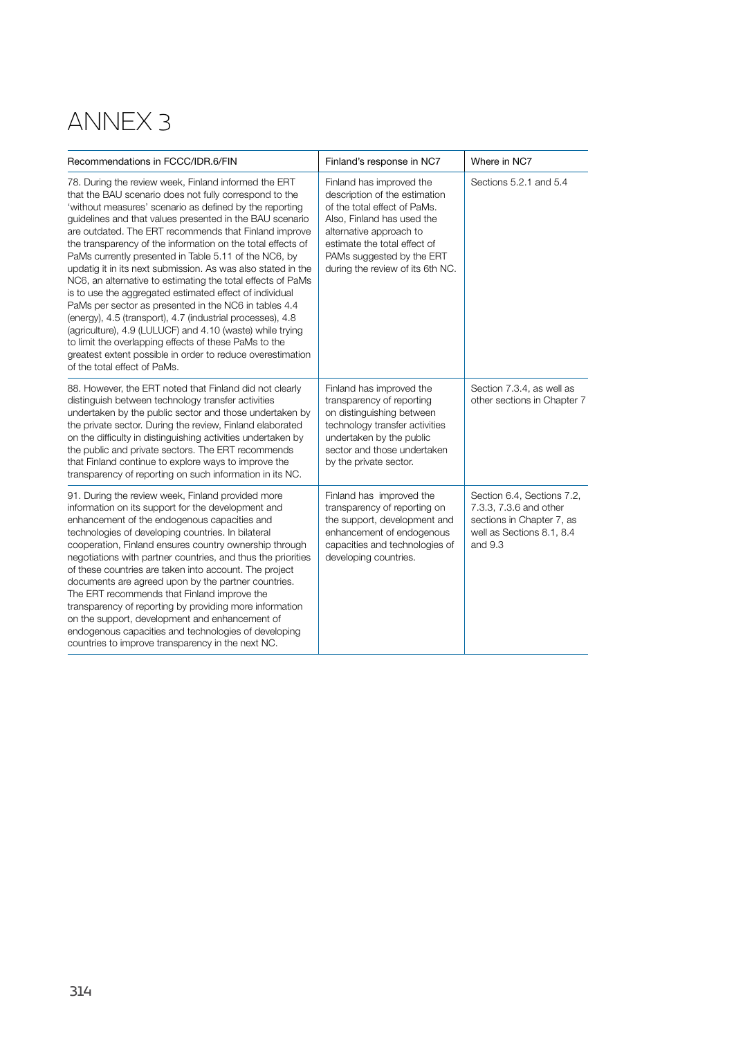# Annex 3

| Recommendations in FCCC/IDR.6/FIN                                                                                                                                                                                                                                                                                                                                                                                                                                                                                                                                                                                                                                                                                                                                                                                                                                                                                                                           | Finland's response in NC7                                                                                                                                                                                                                           | Where in NC7                                                                                                                |
|-------------------------------------------------------------------------------------------------------------------------------------------------------------------------------------------------------------------------------------------------------------------------------------------------------------------------------------------------------------------------------------------------------------------------------------------------------------------------------------------------------------------------------------------------------------------------------------------------------------------------------------------------------------------------------------------------------------------------------------------------------------------------------------------------------------------------------------------------------------------------------------------------------------------------------------------------------------|-----------------------------------------------------------------------------------------------------------------------------------------------------------------------------------------------------------------------------------------------------|-----------------------------------------------------------------------------------------------------------------------------|
| 78. During the review week, Finland informed the ERT<br>that the BAU scenario does not fully correspond to the<br>'without measures' scenario as defined by the reporting<br>guidelines and that values presented in the BAU scenario<br>are outdated. The ERT recommends that Finland improve<br>the transparency of the information on the total effects of<br>PaMs currently presented in Table 5.11 of the NC6, by<br>updatig it in its next submission. As was also stated in the<br>NC6, an alternative to estimating the total effects of PaMs<br>is to use the aggregated estimated effect of individual<br>PaMs per sector as presented in the NC6 in tables 4.4<br>(energy), 4.5 (transport), 4.7 (industrial processes), 4.8<br>(agriculture), 4.9 (LULUCF) and 4.10 (waste) while trying<br>to limit the overlapping effects of these PaMs to the<br>greatest extent possible in order to reduce overestimation<br>of the total effect of PaMs. | Finland has improved the<br>description of the estimation<br>of the total effect of PaMs.<br>Also, Finland has used the<br>alternative approach to<br>estimate the total effect of<br>PAMs suggested by the ERT<br>during the review of its 6th NC. | Sections 5.2.1 and 5.4                                                                                                      |
| 88. However, the ERT noted that Finland did not clearly<br>distinguish between technology transfer activities<br>undertaken by the public sector and those undertaken by<br>the private sector. During the review, Finland elaborated<br>on the difficulty in distinguishing activities undertaken by<br>the public and private sectors. The ERT recommends<br>that Finland continue to explore ways to improve the<br>transparency of reporting on such information in its NC.                                                                                                                                                                                                                                                                                                                                                                                                                                                                             | Finland has improved the<br>transparency of reporting<br>on distinguishing between<br>technology transfer activities<br>undertaken by the public<br>sector and those undertaken<br>by the private sector.                                           | Section 7.3.4, as well as<br>other sections in Chapter 7                                                                    |
| 91. During the review week, Finland provided more<br>information on its support for the development and<br>enhancement of the endogenous capacities and<br>technologies of developing countries. In bilateral<br>cooperation, Finland ensures country ownership through<br>negotiations with partner countries, and thus the priorities<br>of these countries are taken into account. The project<br>documents are agreed upon by the partner countries.<br>The ERT recommends that Finland improve the<br>transparency of reporting by providing more information<br>on the support, development and enhancement of<br>endogenous capacities and technologies of developing<br>countries to improve transparency in the next NC.                                                                                                                                                                                                                           | Finland has improved the<br>transparency of reporting on<br>the support, development and<br>enhancement of endogenous<br>capacities and technologies of<br>developing countries.                                                                    | Section 6.4, Sections 7.2,<br>7.3.3, 7.3.6 and other<br>sections in Chapter 7, as<br>well as Sections 8.1, 8.4<br>and $9.3$ |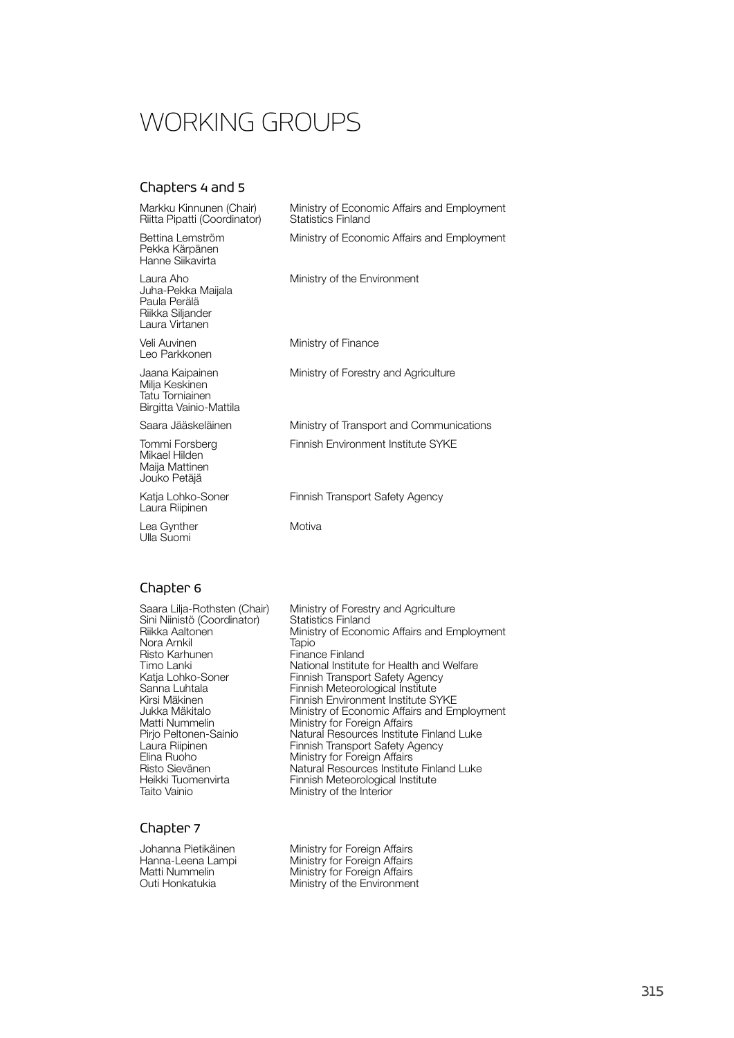# WORKING GROUPS

# Chapters 4 and 5

| Markku Kinnunen (Chair)<br>Riitta Pipatti (Coordinator)                               | Ministry of Economic Affairs and Employment<br><b>Statistics Finland</b> |
|---------------------------------------------------------------------------------------|--------------------------------------------------------------------------|
| Bettina Lemström<br>Pekka Kärpänen<br>Hanne Siikavirta                                | Ministry of Economic Affairs and Employment                              |
| Laura Aho<br>Juha-Pekka Maijala<br>Paula Perälä<br>Riikka Siljander<br>Laura Virtanen | Ministry of the Environment                                              |
| Veli Auvinen<br>Leo Parkkonen                                                         | Ministry of Finance                                                      |
| Jaana Kaipainen<br>Milja Keskinen<br>Tatu Torniainen<br>Birgitta Vainio-Mattila       | Ministry of Forestry and Agriculture                                     |
| Saara Jääskeläinen                                                                    | Ministry of Transport and Communications                                 |
| Tommi Forsberg<br>Mikael Hilden<br>Maija Mattinen<br>Jouko Petäjä                     | Finnish Environment Institute SYKE                                       |
| Katja Lohko-Soner<br>Laura Riipinen                                                   | <b>Finnish Transport Safety Agency</b>                                   |
| Lea Gynther<br>Ulla Suomi                                                             | Motiva                                                                   |

# Chapter 6

| Saara Lilja-Rothsten (Chair)<br>Sini Niinistö (Coordinator)<br>Riikka Aaltonen<br>Nora Arnkil | Ministry of Forestry and Agriculture<br><b>Statistics Finland</b><br>Ministry of Economic Affairs and Employment<br>Tapio |
|-----------------------------------------------------------------------------------------------|---------------------------------------------------------------------------------------------------------------------------|
| Risto Karhunen                                                                                | Finance Finland                                                                                                           |
| Timo Lanki                                                                                    | National Institute for Health and Welfare                                                                                 |
| Katja Lohko-Soner                                                                             | Finnish Transport Safety Agency                                                                                           |
| Sanna Luhtala                                                                                 | Finnish Meteorological Institute                                                                                          |
| Kirsi Mäkinen                                                                                 | Finnish Environment Institute SYKE                                                                                        |
| Jukka Mäkitalo                                                                                | Ministry of Economic Affairs and Employment                                                                               |
| Matti Nummelin                                                                                | Ministry for Foreign Affairs                                                                                              |
| Pirjo Peltonen-Sainio                                                                         | Natural Resources Institute Finland Luke                                                                                  |
| Laura Riipinen                                                                                | Finnish Transport Safety Agency                                                                                           |
| Elina Ruoho                                                                                   | Ministry for Foreign Affairs                                                                                              |
| Risto Sievänen                                                                                | Natural Resources Institute Finland Luke                                                                                  |
| Heikki Tuomenvirta                                                                            | Finnish Meteorological Institute                                                                                          |
| Taito Vainio                                                                                  | Ministry of the Interior                                                                                                  |
|                                                                                               |                                                                                                                           |

## Chapter 7

| Johanna Pietikäinen |  |
|---------------------|--|
| Hanna-Leena Lampi   |  |
| Matti Nummelin      |  |
| Outi Honkatukia     |  |

melinem<br>1 Affairs **Rival Sides**<br>Institute Finland Luke Ametrate Tunnis<br>gical Institute<br>rior

and Agriculture

| Johanna Pietikäinen | Ministry for Foreign Affairs |
|---------------------|------------------------------|
| Hanna-Leena Lampi   | Ministry for Foreign Affairs |
| Matti Nummelin      | Ministry for Foreign Affairs |
| Outi Honkatukia     | Ministry of the Environment  |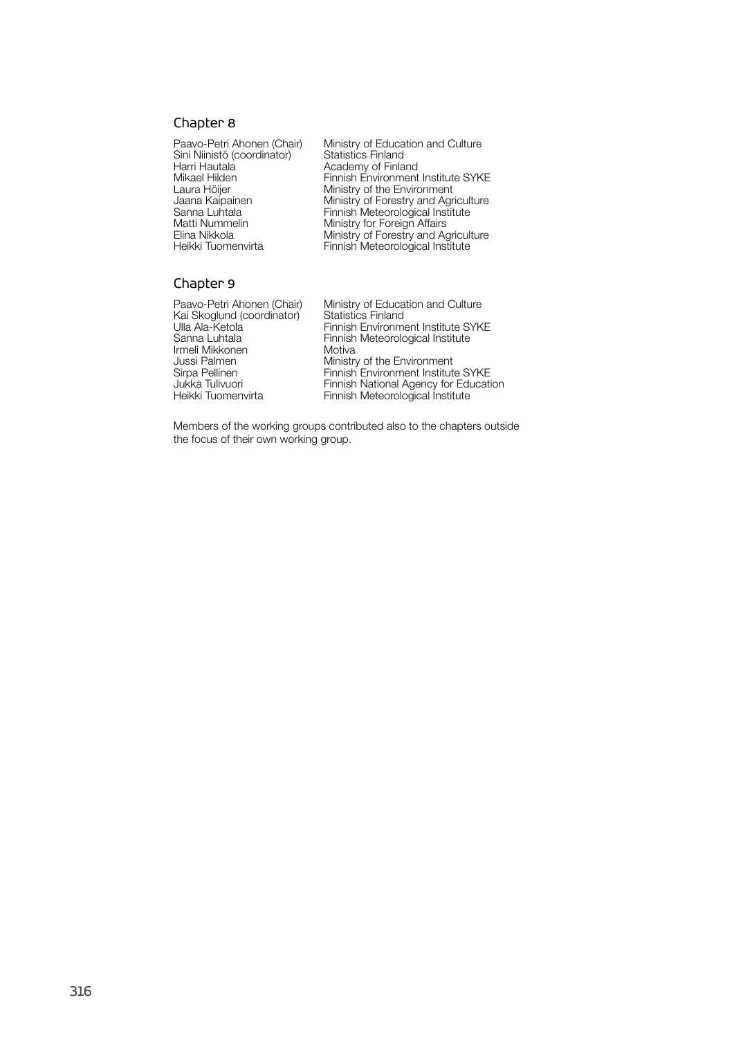## Chapter 8

Sini Niinistö (coordinator)<br>Harri Hautala Harri Hautala **Academy of Finland** Matti Nummelin Ministry for Foreign Affairs<br>Elina Nikkola Ministry of Forestry and Ag

Paavo-Petri Ahonen (Chair) Ministry of Education and Culture<br>Sini Niinistö (coordinator) Statistics Finland Mikael Hilden Finnish Environment Institute SYKE Laura Höijer **Ministry of the Environment**<br>Jaana Kaipainen Ministry of Forestry and Agr Jaana Kaipainen Ministry of Forestry and Agriculture Sanna Luhtala Finnish Meteorological Institute Elina Nikkola Ministry of Forestry and Agriculture Heikki Tuomenvirta Finnish Meteorological Institute

## Chapter 9

Kai Skoglund (coordinator)<br>Ulla Ala-Ketola Irmeli Mikkonen<br>Jussi Palmen Jussi Palmen Ministry of the Environment

Paavo-Petri Ahonen (Chair) Ministry of Education and Culture<br>Kai Skoglund (coordinator) Statistics Finland Ulla Ala-Ketola Finnish Environment Institute SYKE<br>Sanna Luhtala Finnish Meteorological Institute Finnish Meteorological Institute<br>Motiva Sirpa Pellinen Finnish Environment Institute SYKE<br>Jukka Tulivuori Finnish National Agency for Educati Jukka Tulivuori Finnish National Agency for Education Heikki Tuomenvirta Finnish Meteorological Institute

Members of the working groups contributed also to the chapters outside the focus of their own working group.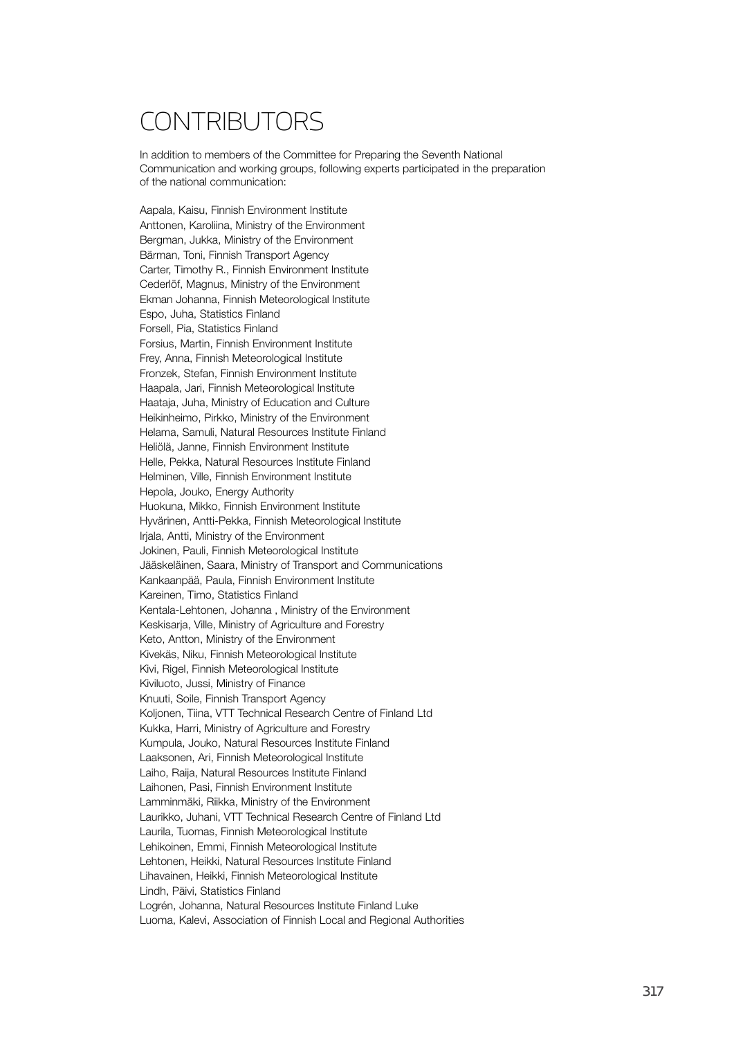# CONTRIBUTORS

In addition to members of the Committee for Preparing the Seventh National Communication and working groups, following experts participated in the preparation of the national communication:

Aapala, Kaisu, Finnish Environment Institute Anttonen, Karoliina, Ministry of the Environment Bergman, Jukka, Ministry of the Environment Bärman, Toni, Finnish Transport Agency Carter, Timothy R., Finnish Environment Institute Cederlöf, Magnus, Ministry of the Environment Ekman Johanna, Finnish Meteorological Institute Espo, Juha, Statistics Finland Forsell, Pia, Statistics Finland Forsius, Martin, Finnish Environment Institute Frey, Anna, Finnish Meteorological Institute Fronzek, Stefan, Finnish Environment Institute Haapala, Jari, Finnish Meteorological Institute Haataja, Juha, Ministry of Education and Culture Heikinheimo, Pirkko, Ministry of the Environment Helama, Samuli, Natural Resources Institute Finland Heliölä, Janne, Finnish Environment Institute Helle, Pekka, Natural Resources Institute Finland Helminen, Ville, Finnish Environment Institute Hepola, Jouko, Energy Authority Huokuna, Mikko, Finnish Environment Institute Hyvärinen, Antti-Pekka, Finnish Meteorological Institute Irjala, Antti, Ministry of the Environment Jokinen, Pauli, Finnish Meteorological Institute Jääskeläinen, Saara, Ministry of Transport and Communications Kankaanpää, Paula, Finnish Environment Institute Kareinen, Timo, Statistics Finland Kentala-Lehtonen, Johanna , Ministry of the Environment Keskisarja, Ville, Ministry of Agriculture and Forestry Keto, Antton, Ministry of the Environment Kivekäs, Niku, Finnish Meteorological Institute Kivi, Rigel, Finnish Meteorological Institute Kiviluoto, Jussi, Ministry of Finance Knuuti, Soile, Finnish Transport Agency Koljonen, Tiina, VTT Technical Research Centre of Finland Ltd Kukka, Harri, Ministry of Agriculture and Forestry Kumpula, Jouko, Natural Resources Institute Finland Laaksonen, Ari, Finnish Meteorological Institute Laiho, Raija, Natural Resources Institute Finland Laihonen, Pasi, Finnish Environment Institute Lamminmäki, Riikka, Ministry of the Environment Laurikko, Juhani, VTT Technical Research Centre of Finland Ltd Laurila, Tuomas, Finnish Meteorological Institute Lehikoinen, Emmi, Finnish Meteorological Institute Lehtonen, Heikki, Natural Resources Institute Finland Lihavainen, Heikki, Finnish Meteorological Institute Lindh, Päivi, Statistics Finland Logrén, Johanna, Natural Resources Institute Finland Luke Luoma, Kalevi, Association of Finnish Local and Regional Authorities